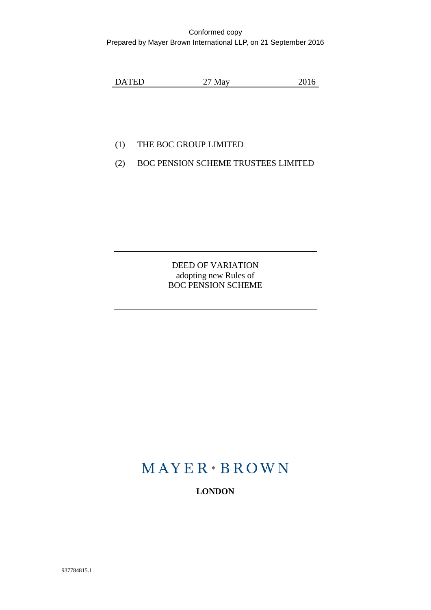#### Conformed copy Prepared by Mayer Brown International LLP, on 21 September 2016

DATED 27 May 2016

# (1) THE BOC GROUP LIMITED

(2) BOC PENSION SCHEME TRUSTEES LIMITED

DEED OF VARIATION adopting new Rules of BOC PENSION SCHEME

# $MAYER*BROWN$

**LONDON**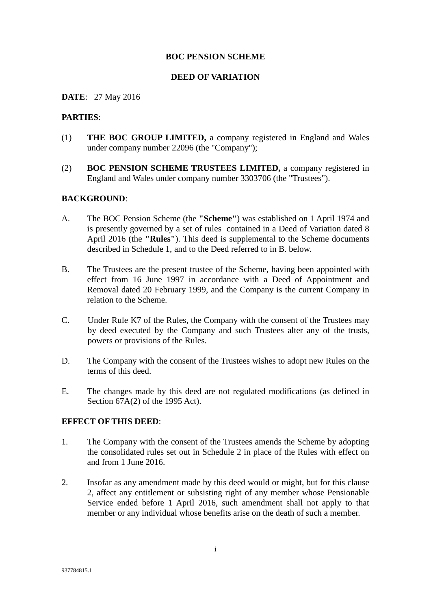#### **BOC PENSION SCHEME**

#### **DEED OF VARIATION**

#### **DATE**: 27 May 2016

#### **PARTIES**:

- (1) **THE BOC GROUP LIMITED,** a company registered in England and Wales under company number 22096 (the "Company");
- (2) **BOC PENSION SCHEME TRUSTEES LIMITED,** a company registered in England and Wales under company number 3303706 (the "Trustees").

#### **BACKGROUND**:

- A. The BOC Pension Scheme (the **"Scheme"**) was established on 1 April 1974 and is presently governed by a set of rules contained in a Deed of Variation dated 8 April 2016 (the **"Rules"**). This deed is supplemental to the Scheme documents described in Schedule 1, and to the Deed referred to in B. below.
- B. The Trustees are the present trustee of the Scheme, having been appointed with effect from 16 June 1997 in accordance with a Deed of Appointment and Removal dated 20 February 1999, and the Company is the current Company in relation to the Scheme.
- C. Under Rule K7 of the Rules, the Company with the consent of the Trustees may by deed executed by the Company and such Trustees alter any of the trusts, powers or provisions of the Rules.
- D. The Company with the consent of the Trustees wishes to adopt new Rules on the terms of this deed.
- E. The changes made by this deed are not regulated modifications (as defined in Section 67A(2) of the 1995 Act).

#### **EFFECT OF THIS DEED**:

- 1. The Company with the consent of the Trustees amends the Scheme by adopting the consolidated rules set out in Schedule 2 in place of the Rules with effect on and from 1 June 2016.
- 2. Insofar as any amendment made by this deed would or might, but for this clause 2, affect any entitlement or subsisting right of any member whose Pensionable Service ended before 1 April 2016, such amendment shall not apply to that member or any individual whose benefits arise on the death of such a member.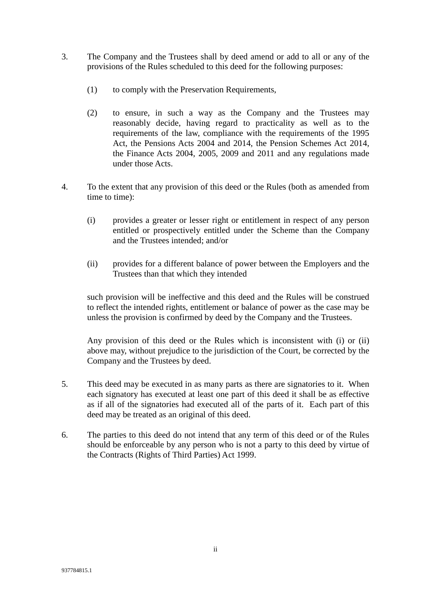- 3. The Company and the Trustees shall by deed amend or add to all or any of the provisions of the Rules scheduled to this deed for the following purposes:
	- (1) to comply with the Preservation Requirements,
	- (2) to ensure, in such a way as the Company and the Trustees may reasonably decide, having regard to practicality as well as to the requirements of the law, compliance with the requirements of the 1995 Act, the Pensions Acts 2004 and 2014, the Pension Schemes Act 2014, the Finance Acts 2004, 2005, 2009 and 2011 and any regulations made under those Acts.
- 4. To the extent that any provision of this deed or the Rules (both as amended from time to time):
	- (i) provides a greater or lesser right or entitlement in respect of any person entitled or prospectively entitled under the Scheme than the Company and the Trustees intended; and/or
	- (ii) provides for a different balance of power between the Employers and the Trustees than that which they intended

such provision will be ineffective and this deed and the Rules will be construed to reflect the intended rights, entitlement or balance of power as the case may be unless the provision is confirmed by deed by the Company and the Trustees.

Any provision of this deed or the Rules which is inconsistent with (i) or (ii) above may, without prejudice to the jurisdiction of the Court, be corrected by the Company and the Trustees by deed.

- 5. This deed may be executed in as many parts as there are signatories to it. When each signatory has executed at least one part of this deed it shall be as effective as if all of the signatories had executed all of the parts of it. Each part of this deed may be treated as an original of this deed.
- 6. The parties to this deed do not intend that any term of this deed or of the Rules should be enforceable by any person who is not a party to this deed by virtue of the Contracts (Rights of Third Parties) Act 1999.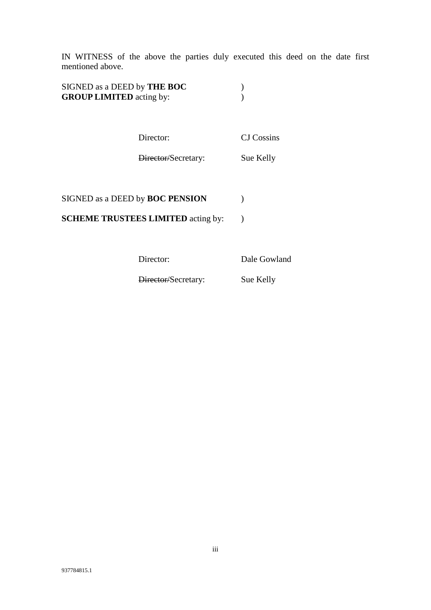IN WITNESS of the above the parties duly executed this deed on the date first mentioned above.

| SIGNED as a DEED by THE BOC     |  |
|---------------------------------|--|
| <b>GROUP LIMITED</b> acting by: |  |

Director: CJ Cossins

Director/Secretary: Sue Kelly

# SIGNED as a DEED by **BOC PENSION** )

**SCHEME TRUSTEES LIMITED** acting by: )

Director: Dale Gowland

Director/Secretary: Sue Kelly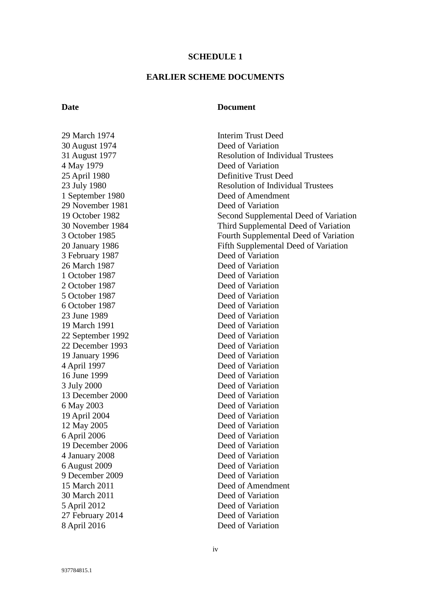#### **SCHEDULE 1**

#### **EARLIER SCHEME DOCUMENTS**

#### **Date Document**

29 March 1974 **Interim Trust Deed** 30 August 1974 Deed of Variation 4 May 1979 Deed of Variation 25 April 1980 Definitive Trust Deed 1 September 1980 Deed of Amendment 29 November 1981 Deed of Variation 3 February 1987 Deed of Variation 26 March 1987 Deed of Variation 1 October 1987 Deed of Variation 2 October 1987 Deed of Variation 5 October 1987 Deed of Variation 6 October 1987 Deed of Variation 23 June 1989 Deed of Variation 19 March 1991 Deed of Variation 22 September 1992 Deed of Variation 22 December 1993 Deed of Variation 19 January 1996 Deed of Variation 4 April 1997 Deed of Variation 16 June 1999 Deed of Variation 3 July 2000 Deed of Variation 13 December 2000 Deed of Variation 6 May 2003 Deed of Variation 19 April 2004 Deed of Variation 12 May 2005 Deed of Variation 6 April 2006 Deed of Variation 19 December 2006 Deed of Variation 4 January 2008 Deed of Variation 6 August 2009 Deed of Variation 9 December 2009 Deed of Variation 15 March 2011 30 March 2011 5 April 2012 Deed of Variation 27 February 2014 Deed of Variation 8 April 2016 Deed of Variation

31 August 1977 Resolution of Individual Trustees 23 July 1980 Resolution of Individual Trustees 19 October 1982 Second Supplemental Deed of Variation 30 November 1984 Third Supplemental Deed of Variation 3 October 1985 Fourth Supplemental Deed of Variation 20 January 1986 Fifth Supplemental Deed of Variation Deed of Amendment Deed of Variation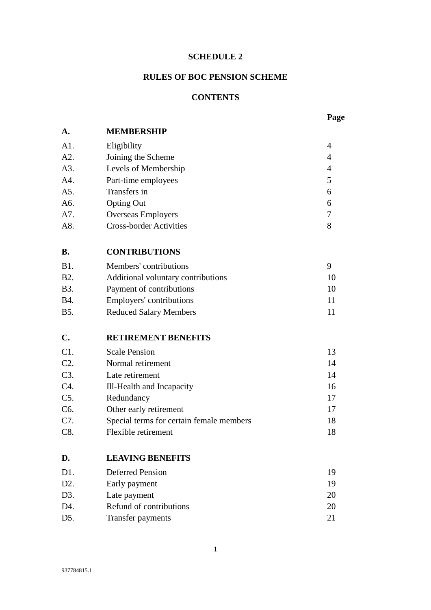#### **SCHEDULE 2**

# **RULES OF BOC PENSION SCHEME**

## **CONTENTS**

# **A. MEMBERSHIP**

| A1. | Eligibility                    | 4 |
|-----|--------------------------------|---|
| A2. | Joining the Scheme             | 4 |
| A3. | Levels of Membership           | 4 |
| A4. | Part-time employees            | 5 |
| A5. | Transfers in                   | 6 |
| A6. | <b>Opting Out</b>              | 6 |
| A7. | <b>Overseas Employers</b>      |   |
| A8. | <b>Cross-border Activities</b> | 8 |

# **B. CONTRIBUTIONS**

| <b>B</b> 1. | Members' contributions             |    |
|-------------|------------------------------------|----|
| <b>B2.</b>  | Additional voluntary contributions | 10 |
| B3.         | Payment of contributions           | 10 |
| B4.         | Employers' contributions           |    |
| B5.         | <b>Reduced Salary Members</b>      |    |

# **C. RETIREMENT BENEFITS**

| C1.              | <b>Scale Pension</b>                     | 13 |
|------------------|------------------------------------------|----|
| $C2$ .           | Normal retirement                        | 14 |
| C3.              | Late retirement                          | 14 |
| C4.              | Ill-Health and Incapacity                | 16 |
| $C5$ .           | Redundancy                               | 17 |
| C <sub>6</sub> . | Other early retirement                   | 17 |
| C7.              | Special terms for certain female members | 18 |
| C8.              | Flexible retirement                      | 18 |

#### **D. LEAVING BENEFITS**

| 19 |
|----|
| 19 |
| 20 |
| 20 |
| 21 |
|    |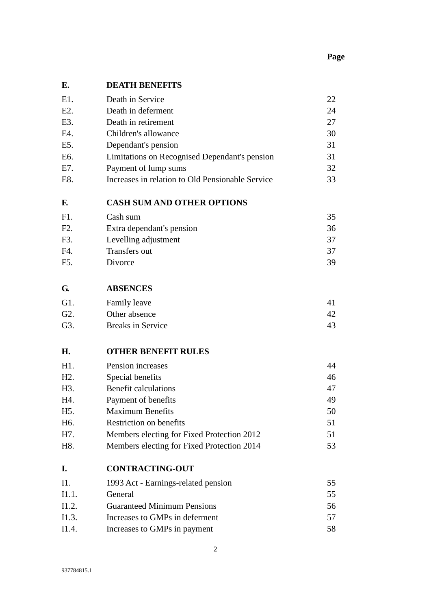# **Page**

# **E. DEATH BENEFITS**

| E1. | Death in Service                                 | 22 |
|-----|--------------------------------------------------|----|
| E2. | Death in deferment                               | 24 |
| E3. | Death in retirement                              | 27 |
| E4. | Children's allowance                             | 30 |
| E5. | Dependant's pension                              | 31 |
| E6. | Limitations on Recognised Dependant's pension    | 31 |
| E7. | Payment of lump sums                             | 32 |
| E8. | Increases in relation to Old Pensionable Service | 33 |
|     |                                                  |    |

### **F. CASH SUM AND OTHER OPTIONS**

| F1             | Cash sum                  | 35 |
|----------------|---------------------------|----|
| $F2$ .         | Extra dependant's pension | 36 |
| F <sub>3</sub> | Levelling adjustment      | 37 |
| FA             | Transfers out             | 37 |
| F5.            | Divorce                   | 39 |

#### **G. ABSENCES**

| G1.              | Family leave      |    |
|------------------|-------------------|----|
| G <sub>2</sub> . | Other absence     |    |
| G3.              | Breaks in Service | 43 |

#### **H. OTHER BENEFIT RULES**

| H1.              | Pension increases                          | 44 |
|------------------|--------------------------------------------|----|
| $H2$ .           | Special benefits                           | 46 |
| H3.              | Benefit calculations                       | 47 |
| H4.              | Payment of benefits                        | 49 |
| H <sub>5</sub> . | <b>Maximum Benefits</b>                    | 50 |
| H <sub>6</sub> . | Restriction on benefits                    | 51 |
| H7.              | Members electing for Fixed Protection 2012 | 51 |
| H8.              | Members electing for Fixed Protection 2014 | 53 |

#### **I. CONTRACTING-OUT**

| I1.   | 1993 Act - Earnings-related pension | 55 |
|-------|-------------------------------------|----|
| I1.1. | General                             | 55 |
| 11.2. | <b>Guaranteed Minimum Pensions</b>  | 56 |
| 11.3. | Increases to GMPs in deferment      | 57 |
| 11.4. | Increases to GMPs in payment        | 58 |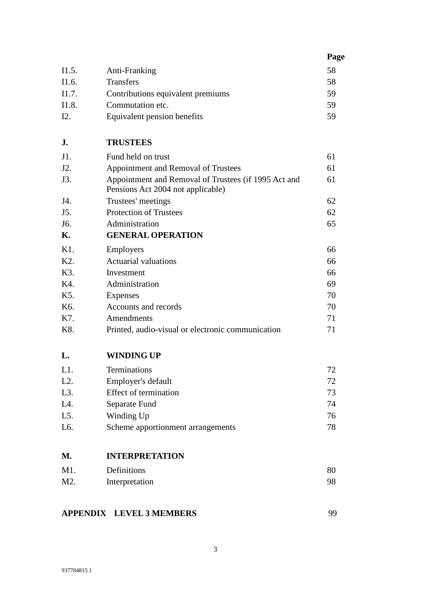|       |                                   | Page |
|-------|-----------------------------------|------|
| I1.5. | Anti-Franking                     | 58   |
| I1.6. | <b>Transfers</b>                  | 58   |
| I1.7. | Contributions equivalent premiums | 59   |
| I1.8. | Commutation etc.                  | 59   |
| 12.   | Equivalent pension benefits       | 59   |

# **J. TRUSTEES**

| J1.              | Fund held on trust                                                                        | 61 |
|------------------|-------------------------------------------------------------------------------------------|----|
| J2.              | Appointment and Removal of Trustees                                                       | 61 |
| J3.              | Appointment and Removal of Trustees (if 1995 Act and<br>Pensions Act 2004 not applicable) | 61 |
| J4.              | Trustees' meetings                                                                        | 62 |
| J5.              | <b>Protection of Trustees</b>                                                             | 62 |
| J6.              | Administration                                                                            | 65 |
| Κ.               | <b>GENERAL OPERATION</b>                                                                  |    |
| $K1$ .           | <b>Employers</b>                                                                          | 66 |
| K <sub>2</sub> . | <b>Actuarial valuations</b>                                                               | 66 |
| K3.              | Investment                                                                                | 66 |
| K4.              | Administration                                                                            | 69 |
| K <sub>5</sub> . | Expenses                                                                                  | 70 |
|                  |                                                                                           |    |

#### **L. WINDING UP**

| $L1$ .           | Terminations                      | 72. |
|------------------|-----------------------------------|-----|
| $L2$ .           | Employer's default                | 72  |
| $L3$ .           | Effect of termination             | 73  |
| L4.              | Separate Fund                     | 74  |
| $L5$ .           | Winding Up                        | 76  |
| L <sub>6</sub> . | Scheme apportionment arrangements | 78  |

K7. Amendments 71 K8. Printed, audio-visual or electronic communication 71

# **M. INTERPRETATION**

| M1. | Definitions    | 80 |
|-----|----------------|----|
| M2. | Interpretation |    |

# **APPENDIX LEVEL 3 MEMBERS** 99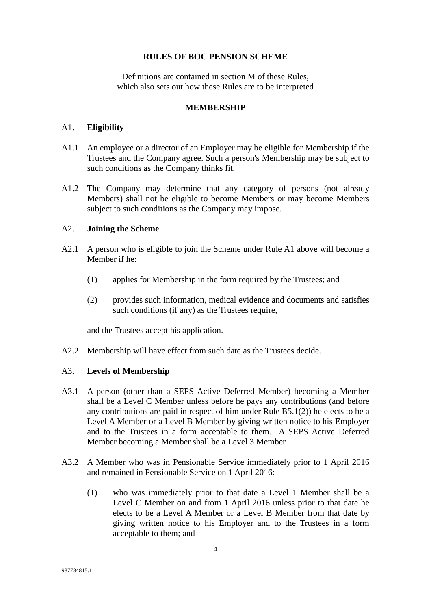#### **RULES OF BOC PENSION SCHEME**

Definitions are contained in section M of these Rules, which also sets out how these Rules are to be interpreted

#### **MEMBERSHIP**

#### A1. **Eligibility**

- A1.1 An employee or a director of an Employer may be eligible for Membership if the Trustees and the Company agree. Such a person's Membership may be subject to such conditions as the Company thinks fit.
- A1.2 The Company may determine that any category of persons (not already Members) shall not be eligible to become Members or may become Members subject to such conditions as the Company may impose.

#### A2. **Joining the Scheme**

- A2.1 A person who is eligible to join the Scheme under Rule A1 above will become a Member if he:
	- (1) applies for Membership in the form required by the Trustees; and
	- (2) provides such information, medical evidence and documents and satisfies such conditions (if any) as the Trustees require,

and the Trustees accept his application.

A2.2 Membership will have effect from such date as the Trustees decide.

### A3. **Levels of Membership**

- A3.1 A person (other than a SEPS Active Deferred Member) becoming a Member shall be a Level C Member unless before he pays any contributions (and before any contributions are paid in respect of him under Rule B5.1(2)) he elects to be a Level A Member or a Level B Member by giving written notice to his Employer and to the Trustees in a form acceptable to them. A SEPS Active Deferred Member becoming a Member shall be a Level 3 Member.
- A3.2 A Member who was in Pensionable Service immediately prior to 1 April 2016 and remained in Pensionable Service on 1 April 2016:
	- (1) who was immediately prior to that date a Level 1 Member shall be a Level C Member on and from 1 April 2016 unless prior to that date he elects to be a Level A Member or a Level B Member from that date by giving written notice to his Employer and to the Trustees in a form acceptable to them; and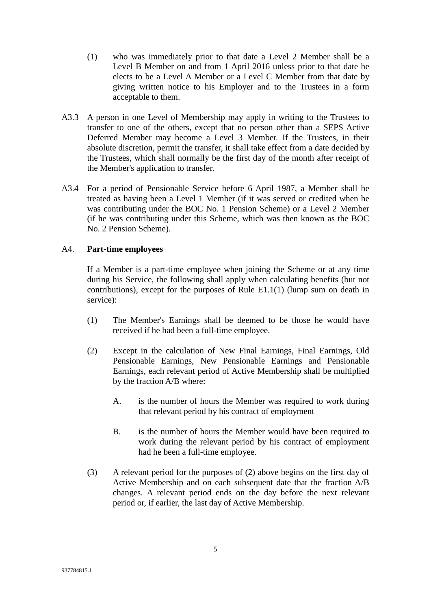- (1) who was immediately prior to that date a Level 2 Member shall be a Level B Member on and from 1 April 2016 unless prior to that date he elects to be a Level A Member or a Level C Member from that date by giving written notice to his Employer and to the Trustees in a form acceptable to them.
- A3.3 A person in one Level of Membership may apply in writing to the Trustees to transfer to one of the others, except that no person other than a SEPS Active Deferred Member may become a Level 3 Member. If the Trustees, in their absolute discretion, permit the transfer, it shall take effect from a date decided by the Trustees, which shall normally be the first day of the month after receipt of the Member's application to transfer.
- A3.4 For a period of Pensionable Service before 6 April 1987, a Member shall be treated as having been a Level 1 Member (if it was served or credited when he was contributing under the BOC No. 1 Pension Scheme) or a Level 2 Member (if he was contributing under this Scheme, which was then known as the BOC No. 2 Pension Scheme).

### A4. **Part-time employees**

If a Member is a part-time employee when joining the Scheme or at any time during his Service, the following shall apply when calculating benefits (but not contributions), except for the purposes of Rule E1.1(1) (lump sum on death in service):

- (1) The Member's Earnings shall be deemed to be those he would have received if he had been a full-time employee.
- (2) Except in the calculation of New Final Earnings, Final Earnings, Old Pensionable Earnings, New Pensionable Earnings and Pensionable Earnings, each relevant period of Active Membership shall be multiplied by the fraction A/B where:
	- A. is the number of hours the Member was required to work during that relevant period by his contract of employment
	- B. is the number of hours the Member would have been required to work during the relevant period by his contract of employment had he been a full-time employee.
- (3) A relevant period for the purposes of (2) above begins on the first day of Active Membership and on each subsequent date that the fraction A/B changes. A relevant period ends on the day before the next relevant period or, if earlier, the last day of Active Membership.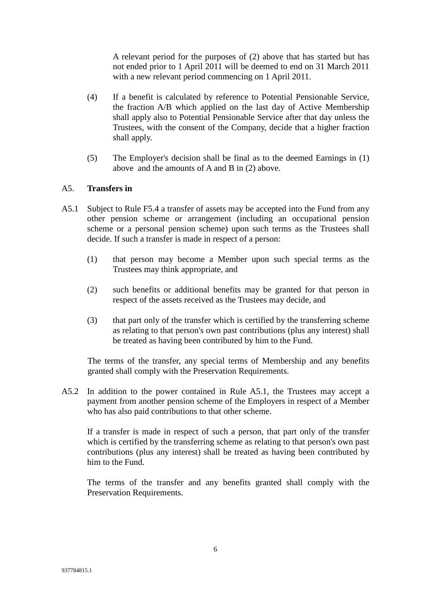A relevant period for the purposes of (2) above that has started but has not ended prior to 1 April 2011 will be deemed to end on 31 March 2011 with a new relevant period commencing on 1 April 2011.

- (4) If a benefit is calculated by reference to Potential Pensionable Service, the fraction A/B which applied on the last day of Active Membership shall apply also to Potential Pensionable Service after that day unless the Trustees, with the consent of the Company, decide that a higher fraction shall apply.
- (5) The Employer's decision shall be final as to the deemed Earnings in (1) above and the amounts of A and B in (2) above.

#### A5. **Transfers in**

- A5.1 Subject to Rule F5.4 a transfer of assets may be accepted into the Fund from any other pension scheme or arrangement (including an occupational pension scheme or a personal pension scheme) upon such terms as the Trustees shall decide. If such a transfer is made in respect of a person:
	- (1) that person may become a Member upon such special terms as the Trustees may think appropriate, and
	- (2) such benefits or additional benefits may be granted for that person in respect of the assets received as the Trustees may decide, and
	- (3) that part only of the transfer which is certified by the transferring scheme as relating to that person's own past contributions (plus any interest) shall be treated as having been contributed by him to the Fund.

The terms of the transfer, any special terms of Membership and any benefits granted shall comply with the Preservation Requirements.

A5.2 In addition to the power contained in Rule A5.1, the Trustees may accept a payment from another pension scheme of the Employers in respect of a Member who has also paid contributions to that other scheme.

If a transfer is made in respect of such a person, that part only of the transfer which is certified by the transferring scheme as relating to that person's own past contributions (plus any interest) shall be treated as having been contributed by him to the Fund.

The terms of the transfer and any benefits granted shall comply with the Preservation Requirements.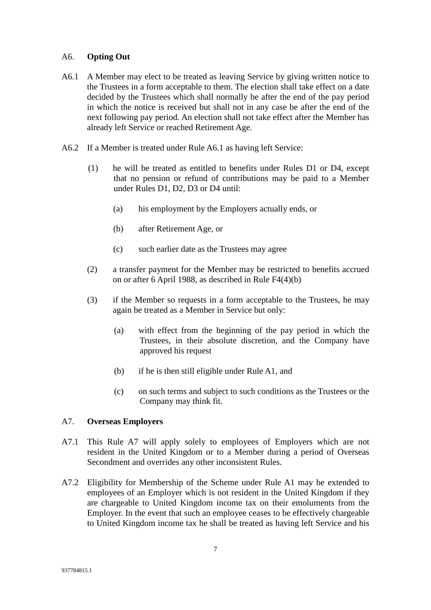#### A6. **Opting Out**

- A6.1 A Member may elect to be treated as leaving Service by giving written notice to the Trustees in a form acceptable to them. The election shall take effect on a date decided by the Trustees which shall normally be after the end of the pay period in which the notice is received but shall not in any case be after the end of the next following pay period. An election shall not take effect after the Member has already left Service or reached Retirement Age.
- A6.2 If a Member is treated under Rule A6.1 as having left Service:
	- (1) he will be treated as entitled to benefits under Rules D1 or D4, except that no pension or refund of contributions may be paid to a Member under Rules D1, D2, D3 or D4 until:
		- (a) his employment by the Employers actually ends, or
		- (b) after Retirement Age, or
		- (c) such earlier date as the Trustees may agree
	- (2) a transfer payment for the Member may be restricted to benefits accrued on or after 6 April 1988, as described in Rule F4(4)(b)
	- (3) if the Member so requests in a form acceptable to the Trustees, he may again be treated as a Member in Service but only:
		- (a) with effect from the beginning of the pay period in which the Trustees, in their absolute discretion, and the Company have approved his request
		- (b) if he is then still eligible under Rule A1, and
		- (c) on such terms and subject to such conditions as the Trustees or the Company may think fit.

#### A7. **Overseas Employers**

- A7.1 This Rule A7 will apply solely to employees of Employers which are not resident in the United Kingdom or to a Member during a period of Overseas Secondment and overrides any other inconsistent Rules.
- A7.2 Eligibility for Membership of the Scheme under Rule A1 may be extended to employees of an Employer which is not resident in the United Kingdom if they are chargeable to United Kingdom income tax on their emoluments from the Employer. In the event that such an employee ceases to be effectively chargeable to United Kingdom income tax he shall be treated as having left Service and his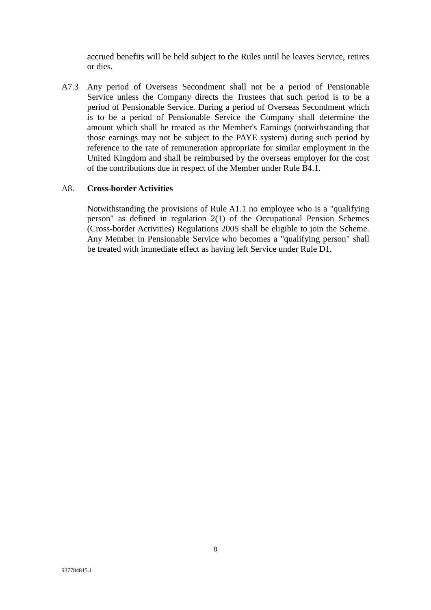accrued benefits will be held subject to the Rules until he leaves Service, retires or dies.

A7.3 Any period of Overseas Secondment shall not be a period of Pensionable Service unless the Company directs the Trustees that such period is to be a period of Pensionable Service. During a period of Overseas Secondment which is to be a period of Pensionable Service the Company shall determine the amount which shall be treated as the Member's Earnings (notwithstanding that those earnings may not be subject to the PAYE system) during such period by reference to the rate of remuneration appropriate for similar employment in the United Kingdom and shall be reimbursed by the overseas employer for the cost of the contributions due in respect of the Member under Rule B4.1.

#### A8. **Cross-border Activities**

Notwithstanding the provisions of Rule A1.1 no employee who is a "qualifying person" as defined in regulation 2(1) of the Occupational Pension Schemes (Cross-border Activities) Regulations 2005 shall be eligible to join the Scheme. Any Member in Pensionable Service who becomes a "qualifying person" shall be treated with immediate effect as having left Service under Rule D1.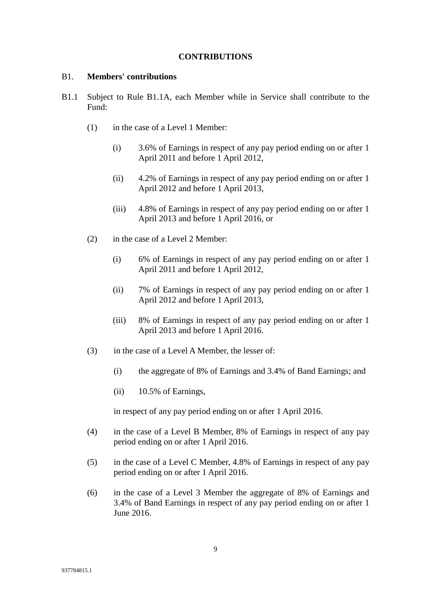#### **CONTRIBUTIONS**

#### B1. **Members' contributions**

- B1.1 Subject to Rule B1.1A, each Member while in Service shall contribute to the Fund:
	- (1) in the case of a Level 1 Member:
		- (i) 3.6% of Earnings in respect of any pay period ending on or after 1 April 2011 and before 1 April 2012,
		- (ii) 4.2% of Earnings in respect of any pay period ending on or after 1 April 2012 and before 1 April 2013,
		- (iii) 4.8% of Earnings in respect of any pay period ending on or after 1 April 2013 and before 1 April 2016, or
	- (2) in the case of a Level 2 Member:
		- (i) 6% of Earnings in respect of any pay period ending on or after 1 April 2011 and before 1 April 2012,
		- (ii) 7% of Earnings in respect of any pay period ending on or after 1 April 2012 and before 1 April 2013,
		- (iii) 8% of Earnings in respect of any pay period ending on or after 1 April 2013 and before 1 April 2016.
	- (3) in the case of a Level A Member, the lesser of:
		- (i) the aggregate of 8% of Earnings and 3.4% of Band Earnings; and
		- (ii) 10.5% of Earnings,

in respect of any pay period ending on or after 1 April 2016.

- (4) in the case of a Level B Member, 8% of Earnings in respect of any pay period ending on or after 1 April 2016.
- (5) in the case of a Level C Member, 4.8% of Earnings in respect of any pay period ending on or after 1 April 2016.
- (6) in the case of a Level 3 Member the aggregate of 8% of Earnings and 3.4% of Band Earnings in respect of any pay period ending on or after 1 June 2016.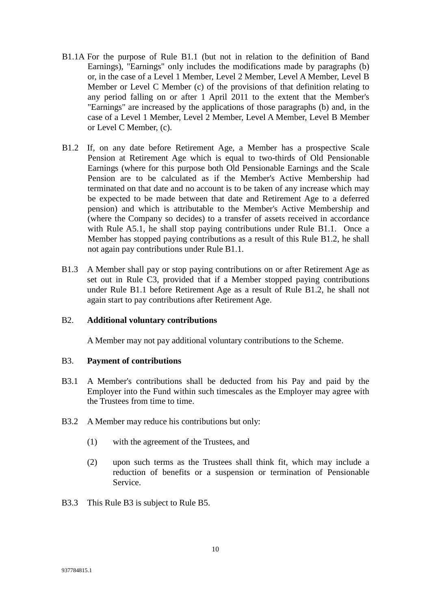- B1.1A For the purpose of Rule B1.1 (but not in relation to the definition of Band Earnings), "Earnings" only includes the modifications made by paragraphs (b) or, in the case of a Level 1 Member, Level 2 Member, Level A Member, Level B Member or Level C Member (c) of the provisions of that definition relating to any period falling on or after 1 April 2011 to the extent that the Member's "Earnings" are increased by the applications of those paragraphs (b) and, in the case of a Level 1 Member, Level 2 Member, Level A Member, Level B Member or Level C Member, (c).
- B1.2 If, on any date before Retirement Age, a Member has a prospective Scale Pension at Retirement Age which is equal to two-thirds of Old Pensionable Earnings (where for this purpose both Old Pensionable Earnings and the Scale Pension are to be calculated as if the Member's Active Membership had terminated on that date and no account is to be taken of any increase which may be expected to be made between that date and Retirement Age to a deferred pension) and which is attributable to the Member's Active Membership and (where the Company so decides) to a transfer of assets received in accordance with Rule A5.1, he shall stop paying contributions under Rule B1.1. Once a Member has stopped paying contributions as a result of this Rule B1.2, he shall not again pay contributions under Rule B1.1.
- B1.3 A Member shall pay or stop paying contributions on or after Retirement Age as set out in Rule C3, provided that if a Member stopped paying contributions under Rule B1.1 before Retirement Age as a result of Rule B1.2, he shall not again start to pay contributions after Retirement Age.

#### B2. **Additional voluntary contributions**

A Member may not pay additional voluntary contributions to the Scheme.

#### B3. **Payment of contributions**

- B3.1 A Member's contributions shall be deducted from his Pay and paid by the Employer into the Fund within such timescales as the Employer may agree with the Trustees from time to time.
- B3.2 A Member may reduce his contributions but only:
	- (1) with the agreement of the Trustees, and
	- (2) upon such terms as the Trustees shall think fit, which may include a reduction of benefits or a suspension or termination of Pensionable Service.
- B3.3 This Rule B3 is subject to Rule B5.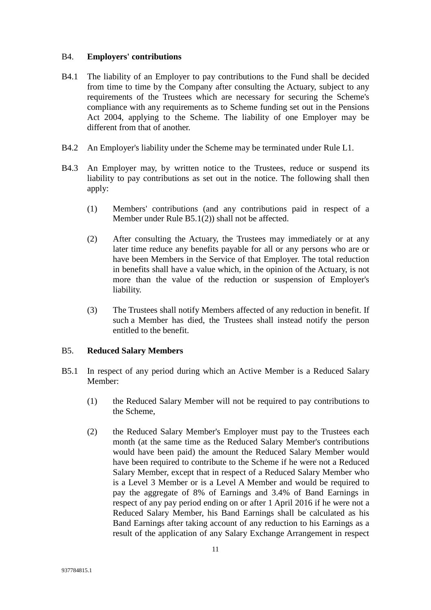#### B4. **Employers' contributions**

- B4.1 The liability of an Employer to pay contributions to the Fund shall be decided from time to time by the Company after consulting the Actuary, subject to any requirements of the Trustees which are necessary for securing the Scheme's compliance with any requirements as to Scheme funding set out in the Pensions Act 2004, applying to the Scheme. The liability of one Employer may be different from that of another.
- B4.2 An Employer's liability under the Scheme may be terminated under Rule L1.
- B4.3 An Employer may, by written notice to the Trustees, reduce or suspend its liability to pay contributions as set out in the notice. The following shall then apply:
	- (1) Members' contributions (and any contributions paid in respect of a Member under Rule B5.1(2)) shall not be affected.
	- (2) After consulting the Actuary, the Trustees may immediately or at any later time reduce any benefits payable for all or any persons who are or have been Members in the Service of that Employer. The total reduction in benefits shall have a value which, in the opinion of the Actuary, is not more than the value of the reduction or suspension of Employer's liability.
	- (3) The Trustees shall notify Members affected of any reduction in benefit. If such a Member has died, the Trustees shall instead notify the person entitled to the benefit.

#### B5. **Reduced Salary Members**

- B5.1 In respect of any period during which an Active Member is a Reduced Salary Member:
	- (1) the Reduced Salary Member will not be required to pay contributions to the Scheme,
	- (2) the Reduced Salary Member's Employer must pay to the Trustees each month (at the same time as the Reduced Salary Member's contributions would have been paid) the amount the Reduced Salary Member would have been required to contribute to the Scheme if he were not a Reduced Salary Member, except that in respect of a Reduced Salary Member who is a Level 3 Member or is a Level A Member and would be required to pay the aggregate of 8% of Earnings and 3.4% of Band Earnings in respect of any pay period ending on or after 1 April 2016 if he were not a Reduced Salary Member, his Band Earnings shall be calculated as his Band Earnings after taking account of any reduction to his Earnings as a result of the application of any Salary Exchange Arrangement in respect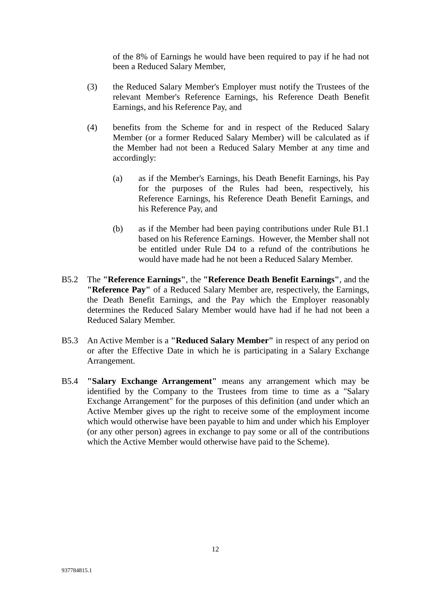of the 8% of Earnings he would have been required to pay if he had not been a Reduced Salary Member,

- (3) the Reduced Salary Member's Employer must notify the Trustees of the relevant Member's Reference Earnings, his Reference Death Benefit Earnings, and his Reference Pay, and
- (4) benefits from the Scheme for and in respect of the Reduced Salary Member (or a former Reduced Salary Member) will be calculated as if the Member had not been a Reduced Salary Member at any time and accordingly:
	- (a) as if the Member's Earnings, his Death Benefit Earnings, his Pay for the purposes of the Rules had been, respectively, his Reference Earnings, his Reference Death Benefit Earnings, and his Reference Pay, and
	- (b) as if the Member had been paying contributions under Rule B1.1 based on his Reference Earnings. However, the Member shall not be entitled under Rule D4 to a refund of the contributions he would have made had he not been a Reduced Salary Member.
- B5.2 The **"Reference Earnings"**, the **"Reference Death Benefit Earnings"**, and the **"Reference Pay"** of a Reduced Salary Member are, respectively, the Earnings, the Death Benefit Earnings, and the Pay which the Employer reasonably determines the Reduced Salary Member would have had if he had not been a Reduced Salary Member.
- B5.3 An Active Member is a **"Reduced Salary Member"** in respect of any period on or after the Effective Date in which he is participating in a Salary Exchange Arrangement.
- B5.4 **"Salary Exchange Arrangement"** means any arrangement which may be identified by the Company to the Trustees from time to time as a "Salary Exchange Arrangement" for the purposes of this definition (and under which an Active Member gives up the right to receive some of the employment income which would otherwise have been payable to him and under which his Employer (or any other person) agrees in exchange to pay some or all of the contributions which the Active Member would otherwise have paid to the Scheme).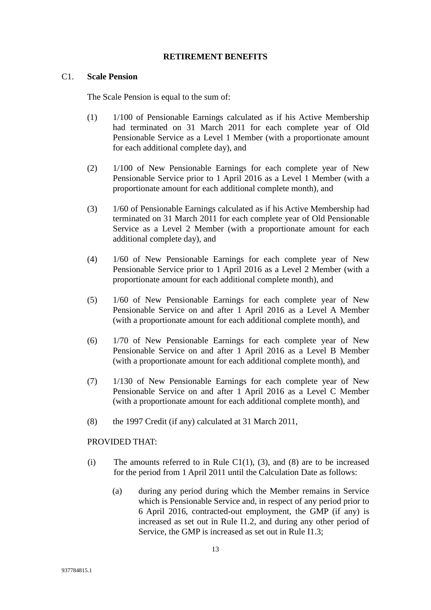#### **RETIREMENT BENEFITS**

#### C1. **Scale Pension**

The Scale Pension is equal to the sum of:

- (1) 1/100 of Pensionable Earnings calculated as if his Active Membership had terminated on 31 March 2011 for each complete year of Old Pensionable Service as a Level 1 Member (with a proportionate amount for each additional complete day), and
- (2) 1/100 of New Pensionable Earnings for each complete year of New Pensionable Service prior to 1 April 2016 as a Level 1 Member (with a proportionate amount for each additional complete month), and
- (3) 1/60 of Pensionable Earnings calculated as if his Active Membership had terminated on 31 March 2011 for each complete year of Old Pensionable Service as a Level 2 Member (with a proportionate amount for each additional complete day), and
- (4) 1/60 of New Pensionable Earnings for each complete year of New Pensionable Service prior to 1 April 2016 as a Level 2 Member (with a proportionate amount for each additional complete month), and
- (5) 1/60 of New Pensionable Earnings for each complete year of New Pensionable Service on and after 1 April 2016 as a Level A Member (with a proportionate amount for each additional complete month), and
- (6) 1/70 of New Pensionable Earnings for each complete year of New Pensionable Service on and after 1 April 2016 as a Level B Member (with a proportionate amount for each additional complete month), and
- (7) 1/130 of New Pensionable Earnings for each complete year of New Pensionable Service on and after 1 April 2016 as a Level C Member (with a proportionate amount for each additional complete month), and
- (8) the 1997 Credit (if any) calculated at 31 March 2011,

#### PROVIDED THAT:

- (i) The amounts referred to in Rule C1(1), (3), and (8) are to be increased for the period from 1 April 2011 until the Calculation Date as follows:
	- (a) during any period during which the Member remains in Service which is Pensionable Service and, in respect of any period prior to 6 April 2016, contracted-out employment, the GMP (if any) is increased as set out in Rule I1.2, and during any other period of Service, the GMP is increased as set out in Rule I1.3;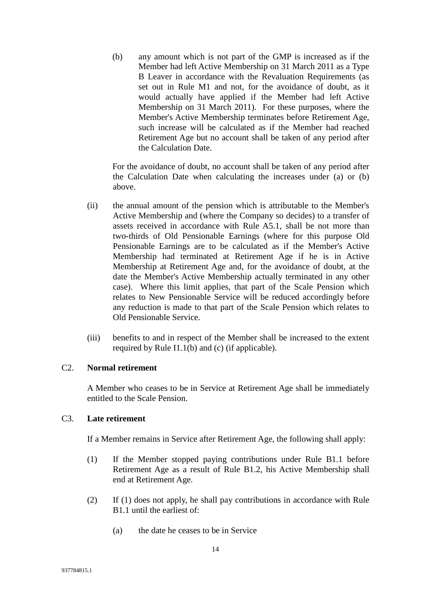(b) any amount which is not part of the GMP is increased as if the Member had left Active Membership on 31 March 2011 as a Type B Leaver in accordance with the Revaluation Requirements (as set out in Rule M1 and not, for the avoidance of doubt, as it would actually have applied if the Member had left Active Membership on 31 March 2011). For these purposes, where the Member's Active Membership terminates before Retirement Age, such increase will be calculated as if the Member had reached Retirement Age but no account shall be taken of any period after the Calculation Date.

For the avoidance of doubt, no account shall be taken of any period after the Calculation Date when calculating the increases under (a) or (b) above.

- (ii) the annual amount of the pension which is attributable to the Member's Active Membership and (where the Company so decides) to a transfer of assets received in accordance with Rule A5.1, shall be not more than two-thirds of Old Pensionable Earnings (where for this purpose Old Pensionable Earnings are to be calculated as if the Member's Active Membership had terminated at Retirement Age if he is in Active Membership at Retirement Age and, for the avoidance of doubt, at the date the Member's Active Membership actually terminated in any other case). Where this limit applies, that part of the Scale Pension which relates to New Pensionable Service will be reduced accordingly before any reduction is made to that part of the Scale Pension which relates to Old Pensionable Service.
- (iii) benefits to and in respect of the Member shall be increased to the extent required by Rule I1.1(b) and (c) (if applicable).

#### C2. **Normal retirement**

A Member who ceases to be in Service at Retirement Age shall be immediately entitled to the Scale Pension.

#### C3. **Late retirement**

If a Member remains in Service after Retirement Age, the following shall apply:

- (1) If the Member stopped paying contributions under Rule B1.1 before Retirement Age as a result of Rule B1.2, his Active Membership shall end at Retirement Age.
- (2) If (1) does not apply, he shall pay contributions in accordance with Rule B1.1 until the earliest of:
	- (a) the date he ceases to be in Service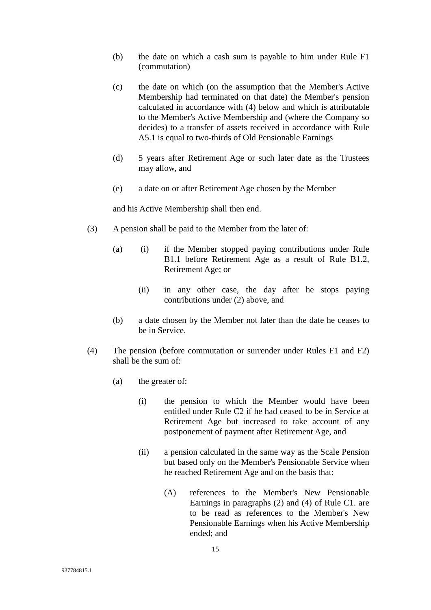- (b) the date on which a cash sum is payable to him under Rule F1 (commutation)
- (c) the date on which (on the assumption that the Member's Active Membership had terminated on that date) the Member's pension calculated in accordance with (4) below and which is attributable to the Member's Active Membership and (where the Company so decides) to a transfer of assets received in accordance with Rule A5.1 is equal to two-thirds of Old Pensionable Earnings
- (d) 5 years after Retirement Age or such later date as the Trustees may allow, and
- (e) a date on or after Retirement Age chosen by the Member

and his Active Membership shall then end.

- (3) A pension shall be paid to the Member from the later of:
	- (a) (i) if the Member stopped paying contributions under Rule B1.1 before Retirement Age as a result of Rule B1.2, Retirement Age; or
		- (ii) in any other case, the day after he stops paying contributions under (2) above, and
	- (b) a date chosen by the Member not later than the date he ceases to be in Service.
- (4) The pension (before commutation or surrender under Rules F1 and F2) shall be the sum of:
	- (a) the greater of:
		- (i) the pension to which the Member would have been entitled under Rule C2 if he had ceased to be in Service at Retirement Age but increased to take account of any postponement of payment after Retirement Age, and
		- (ii) a pension calculated in the same way as the Scale Pension but based only on the Member's Pensionable Service when he reached Retirement Age and on the basis that:
			- (A) references to the Member's New Pensionable Earnings in paragraphs (2) and (4) of Rule C1. are to be read as references to the Member's New Pensionable Earnings when his Active Membership ended; and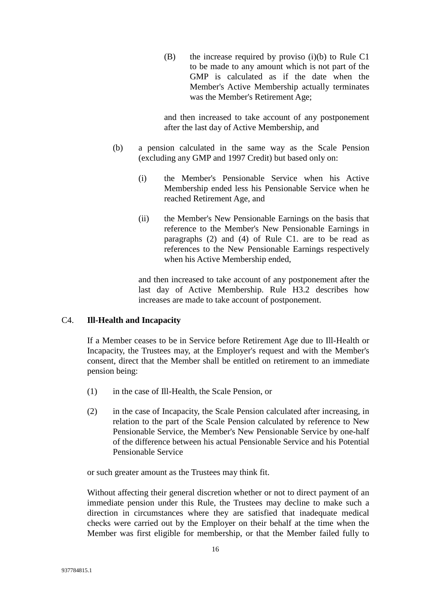$(B)$  the increase required by proviso (i)(b) to Rule C1 to be made to any amount which is not part of the GMP is calculated as if the date when the Member's Active Membership actually terminates was the Member's Retirement Age;

and then increased to take account of any postponement after the last day of Active Membership, and

- (b) a pension calculated in the same way as the Scale Pension (excluding any GMP and 1997 Credit) but based only on:
	- (i) the Member's Pensionable Service when his Active Membership ended less his Pensionable Service when he reached Retirement Age, and
	- (ii) the Member's New Pensionable Earnings on the basis that reference to the Member's New Pensionable Earnings in paragraphs (2) and (4) of Rule C1. are to be read as references to the New Pensionable Earnings respectively when his Active Membership ended,

and then increased to take account of any postponement after the last day of Active Membership. Rule H3.2 describes how increases are made to take account of postponement.

#### C4. **Ill-Health and Incapacity**

If a Member ceases to be in Service before Retirement Age due to Ill-Health or Incapacity, the Trustees may, at the Employer's request and with the Member's consent, direct that the Member shall be entitled on retirement to an immediate pension being:

- (1) in the case of Ill-Health, the Scale Pension, or
- (2) in the case of Incapacity, the Scale Pension calculated after increasing, in relation to the part of the Scale Pension calculated by reference to New Pensionable Service, the Member's New Pensionable Service by one-half of the difference between his actual Pensionable Service and his Potential Pensionable Service

or such greater amount as the Trustees may think fit.

Without affecting their general discretion whether or not to direct payment of an immediate pension under this Rule, the Trustees may decline to make such a direction in circumstances where they are satisfied that inadequate medical checks were carried out by the Employer on their behalf at the time when the Member was first eligible for membership, or that the Member failed fully to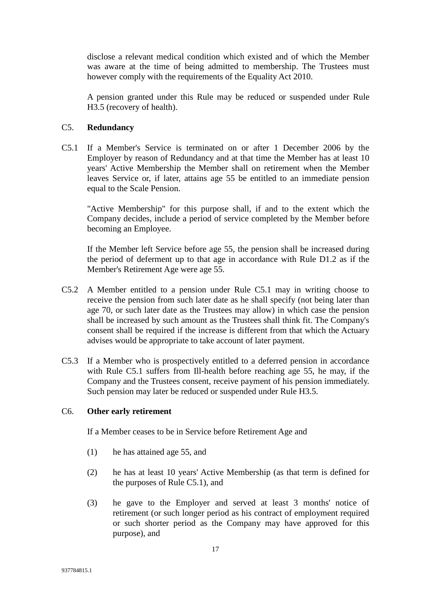disclose a relevant medical condition which existed and of which the Member was aware at the time of being admitted to membership. The Trustees must however comply with the requirements of the Equality Act 2010.

A pension granted under this Rule may be reduced or suspended under Rule H3.5 (recovery of health).

# C5. **Redundancy**

C5.1 If a Member's Service is terminated on or after 1 December 2006 by the Employer by reason of Redundancy and at that time the Member has at least 10 years' Active Membership the Member shall on retirement when the Member leaves Service or, if later, attains age 55 be entitled to an immediate pension equal to the Scale Pension.

"Active Membership" for this purpose shall, if and to the extent which the Company decides, include a period of service completed by the Member before becoming an Employee.

If the Member left Service before age 55, the pension shall be increased during the period of deferment up to that age in accordance with Rule D1.2 as if the Member's Retirement Age were age 55.

- C5.2 A Member entitled to a pension under Rule C5.1 may in writing choose to receive the pension from such later date as he shall specify (not being later than age 70, or such later date as the Trustees may allow) in which case the pension shall be increased by such amount as the Trustees shall think fit. The Company's consent shall be required if the increase is different from that which the Actuary advises would be appropriate to take account of later payment.
- C5.3 If a Member who is prospectively entitled to a deferred pension in accordance with Rule C5.1 suffers from Ill-health before reaching age 55, he may, if the Company and the Trustees consent, receive payment of his pension immediately. Such pension may later be reduced or suspended under Rule H3.5.

### C6. **Other early retirement**

If a Member ceases to be in Service before Retirement Age and

- (1) he has attained age 55, and
- (2) he has at least 10 years' Active Membership (as that term is defined for the purposes of Rule C5.1), and
- (3) he gave to the Employer and served at least 3 months' notice of retirement (or such longer period as his contract of employment required or such shorter period as the Company may have approved for this purpose), and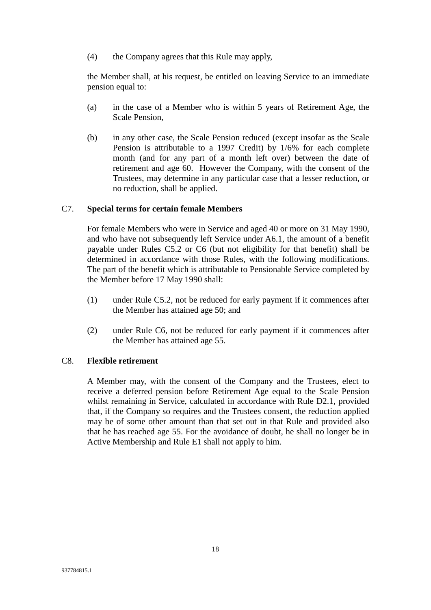(4) the Company agrees that this Rule may apply,

the Member shall, at his request, be entitled on leaving Service to an immediate pension equal to:

- (a) in the case of a Member who is within 5 years of Retirement Age, the Scale Pension,
- (b) in any other case, the Scale Pension reduced (except insofar as the Scale Pension is attributable to a 1997 Credit) by 1/6% for each complete month (and for any part of a month left over) between the date of retirement and age 60. However the Company, with the consent of the Trustees, may determine in any particular case that a lesser reduction, or no reduction, shall be applied.

#### C7. **Special terms for certain female Members**

For female Members who were in Service and aged 40 or more on 31 May 1990, and who have not subsequently left Service under A6.1, the amount of a benefit payable under Rules C5.2 or C6 (but not eligibility for that benefit) shall be determined in accordance with those Rules, with the following modifications. The part of the benefit which is attributable to Pensionable Service completed by the Member before 17 May 1990 shall:

- (1) under Rule C5.2, not be reduced for early payment if it commences after the Member has attained age 50; and
- (2) under Rule C6, not be reduced for early payment if it commences after the Member has attained age 55.

#### C8. **Flexible retirement**

A Member may, with the consent of the Company and the Trustees, elect to receive a deferred pension before Retirement Age equal to the Scale Pension whilst remaining in Service, calculated in accordance with Rule D2.1, provided that, if the Company so requires and the Trustees consent, the reduction applied may be of some other amount than that set out in that Rule and provided also that he has reached age 55. For the avoidance of doubt, he shall no longer be in Active Membership and Rule E1 shall not apply to him.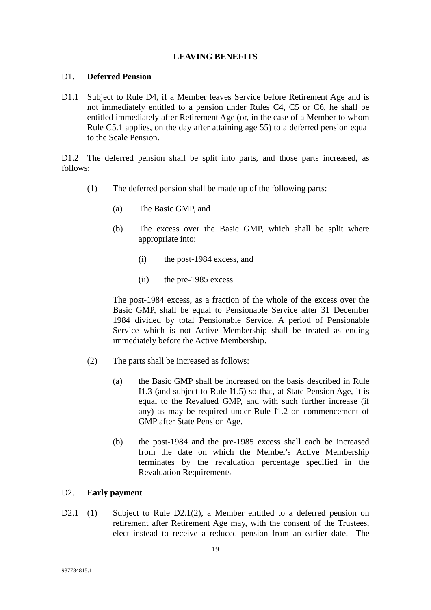#### **LEAVING BENEFITS**

#### D1. **Deferred Pension**

D1.1 Subject to Rule D4, if a Member leaves Service before Retirement Age and is not immediately entitled to a pension under Rules C4, C5 or C6, he shall be entitled immediately after Retirement Age (or, in the case of a Member to whom Rule C5.1 applies, on the day after attaining age 55) to a deferred pension equal to the Scale Pension.

D1.2 The deferred pension shall be split into parts, and those parts increased, as follows:

- (1) The deferred pension shall be made up of the following parts:
	- (a) The Basic GMP, and
	- (b) The excess over the Basic GMP, which shall be split where appropriate into:
		- (i) the post-1984 excess, and
		- (ii) the pre-1985 excess

The post-1984 excess, as a fraction of the whole of the excess over the Basic GMP, shall be equal to Pensionable Service after 31 December 1984 divided by total Pensionable Service. A period of Pensionable Service which is not Active Membership shall be treated as ending immediately before the Active Membership.

- (2) The parts shall be increased as follows:
	- (a) the Basic GMP shall be increased on the basis described in Rule I1.3 (and subject to Rule I1.5) so that, at State Pension Age, it is equal to the Revalued GMP, and with such further increase (if any) as may be required under Rule I1.2 on commencement of GMP after State Pension Age.
	- (b) the post-1984 and the pre-1985 excess shall each be increased from the date on which the Member's Active Membership terminates by the revaluation percentage specified in the Revaluation Requirements

#### D2. **Early payment**

D2.1 (1) Subject to Rule D2.1(2), a Member entitled to a deferred pension on retirement after Retirement Age may, with the consent of the Trustees, elect instead to receive a reduced pension from an earlier date. The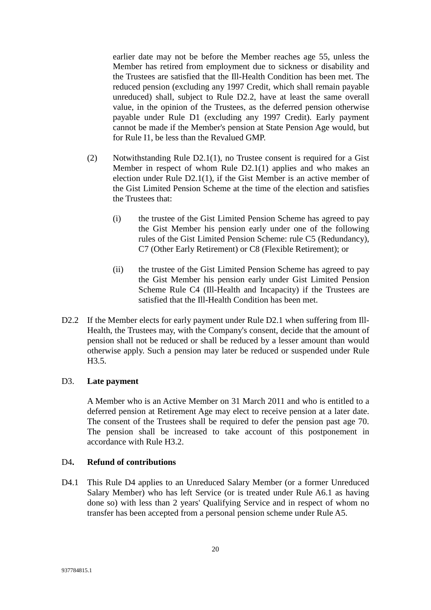earlier date may not be before the Member reaches age 55, unless the Member has retired from employment due to sickness or disability and the Trustees are satisfied that the Ill-Health Condition has been met. The reduced pension (excluding any 1997 Credit, which shall remain payable unreduced) shall, subject to Rule D2.2, have at least the same overall value, in the opinion of the Trustees, as the deferred pension otherwise payable under Rule D1 (excluding any 1997 Credit). Early payment cannot be made if the Member's pension at State Pension Age would, but for Rule I1, be less than the Revalued GMP.

- (2) Notwithstanding Rule D2.1(1), no Trustee consent is required for a Gist Member in respect of whom Rule D2.1(1) applies and who makes an election under Rule D2.1(1), if the Gist Member is an active member of the Gist Limited Pension Scheme at the time of the election and satisfies the Trustees that:
	- (i) the trustee of the Gist Limited Pension Scheme has agreed to pay the Gist Member his pension early under one of the following rules of the Gist Limited Pension Scheme: rule C5 (Redundancy), C7 (Other Early Retirement) or C8 (Flexible Retirement); or
	- (ii) the trustee of the Gist Limited Pension Scheme has agreed to pay the Gist Member his pension early under Gist Limited Pension Scheme Rule C4 (Ill-Health and Incapacity) if the Trustees are satisfied that the Ill-Health Condition has been met.
- D2.2 If the Member elects for early payment under Rule D2.1 when suffering from Ill-Health, the Trustees may, with the Company's consent, decide that the amount of pension shall not be reduced or shall be reduced by a lesser amount than would otherwise apply. Such a pension may later be reduced or suspended under Rule H3.5.

#### D3. **Late payment**

A Member who is an Active Member on 31 March 2011 and who is entitled to a deferred pension at Retirement Age may elect to receive pension at a later date. The consent of the Trustees shall be required to defer the pension past age 70. The pension shall be increased to take account of this postponement in accordance with Rule H3.2.

#### D4**. Refund of contributions**

D4.1 This Rule D4 applies to an Unreduced Salary Member (or a former Unreduced Salary Member) who has left Service (or is treated under Rule A6.1 as having done so) with less than 2 years' Qualifying Service and in respect of whom no transfer has been accepted from a personal pension scheme under Rule A5.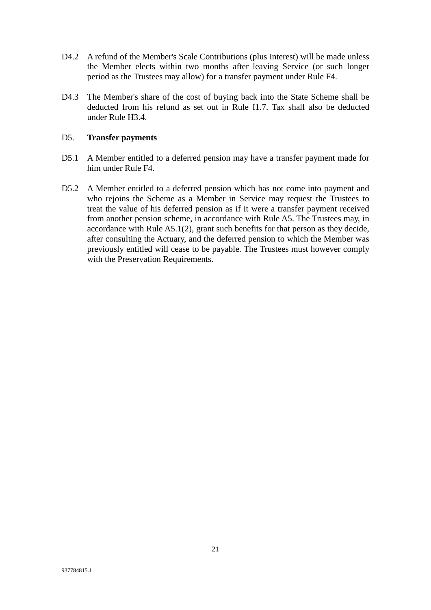- D4.2 A refund of the Member's Scale Contributions (plus Interest) will be made unless the Member elects within two months after leaving Service (or such longer period as the Trustees may allow) for a transfer payment under Rule F4.
- D4.3 The Member's share of the cost of buying back into the State Scheme shall be deducted from his refund as set out in Rule I1.7. Tax shall also be deducted under Rule H3.4.

#### D5. **Transfer payments**

- D5.1 A Member entitled to a deferred pension may have a transfer payment made for him under Rule F4.
- D5.2 A Member entitled to a deferred pension which has not come into payment and who rejoins the Scheme as a Member in Service may request the Trustees to treat the value of his deferred pension as if it were a transfer payment received from another pension scheme, in accordance with Rule A5. The Trustees may, in accordance with Rule A5.1(2), grant such benefits for that person as they decide, after consulting the Actuary, and the deferred pension to which the Member was previously entitled will cease to be payable. The Trustees must however comply with the Preservation Requirements.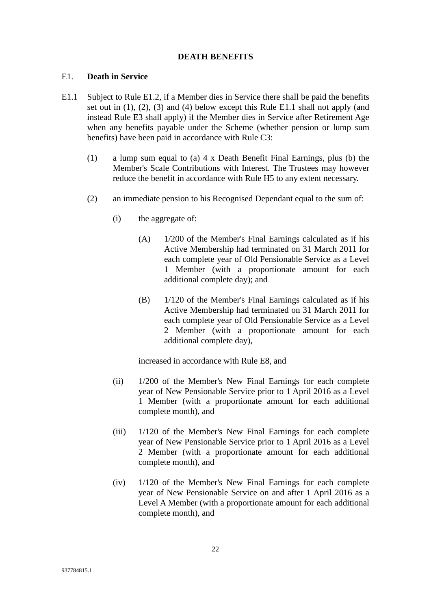#### **DEATH BENEFITS**

#### E1. **Death in Service**

- E1.1 Subject to Rule E1.2, if a Member dies in Service there shall be paid the benefits set out in (1), (2), (3) and (4) below except this Rule E1.1 shall not apply (and instead Rule E3 shall apply) if the Member dies in Service after Retirement Age when any benefits payable under the Scheme (whether pension or lump sum benefits) have been paid in accordance with Rule C3:
	- (1) a lump sum equal to (a) 4 x Death Benefit Final Earnings, plus (b) the Member's Scale Contributions with Interest. The Trustees may however reduce the benefit in accordance with Rule H5 to any extent necessary.
	- (2) an immediate pension to his Recognised Dependant equal to the sum of:
		- (i) the aggregate of:
			- (A) 1/200 of the Member's Final Earnings calculated as if his Active Membership had terminated on 31 March 2011 for each complete year of Old Pensionable Service as a Level 1 Member (with a proportionate amount for each additional complete day); and
			- (B) 1/120 of the Member's Final Earnings calculated as if his Active Membership had terminated on 31 March 2011 for each complete year of Old Pensionable Service as a Level 2 Member (with a proportionate amount for each additional complete day),

increased in accordance with Rule E8, and

- (ii) 1/200 of the Member's New Final Earnings for each complete year of New Pensionable Service prior to 1 April 2016 as a Level 1 Member (with a proportionate amount for each additional complete month), and
- (iii) 1/120 of the Member's New Final Earnings for each complete year of New Pensionable Service prior to 1 April 2016 as a Level 2 Member (with a proportionate amount for each additional complete month), and
- (iv) 1/120 of the Member's New Final Earnings for each complete year of New Pensionable Service on and after 1 April 2016 as a Level A Member (with a proportionate amount for each additional complete month), and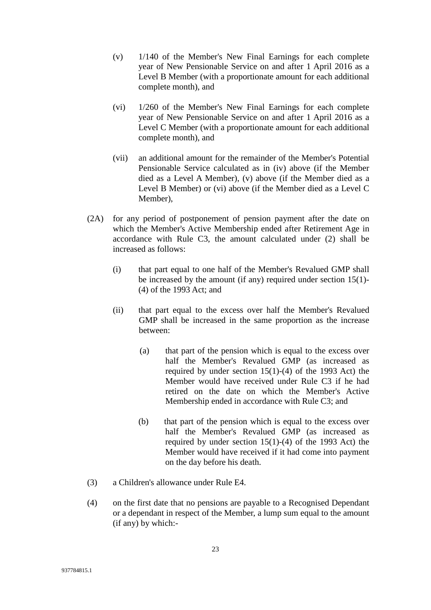- (v) 1/140 of the Member's New Final Earnings for each complete year of New Pensionable Service on and after 1 April 2016 as a Level B Member (with a proportionate amount for each additional complete month), and
- (vi) 1/260 of the Member's New Final Earnings for each complete year of New Pensionable Service on and after 1 April 2016 as a Level C Member (with a proportionate amount for each additional complete month), and
- (vii) an additional amount for the remainder of the Member's Potential Pensionable Service calculated as in (iv) above (if the Member died as a Level A Member), (v) above (if the Member died as a Level B Member) or (vi) above (if the Member died as a Level C Member),
- (2A) for any period of postponement of pension payment after the date on which the Member's Active Membership ended after Retirement Age in accordance with Rule C3, the amount calculated under (2) shall be increased as follows:
	- (i) that part equal to one half of the Member's Revalued GMP shall be increased by the amount (if any) required under section 15(1)- (4) of the 1993 Act; and
	- (ii) that part equal to the excess over half the Member's Revalued GMP shall be increased in the same proportion as the increase between:
		- (a) that part of the pension which is equal to the excess over half the Member's Revalued GMP (as increased as required by under section  $15(1)-(4)$  of the 1993 Act) the Member would have received under Rule C3 if he had retired on the date on which the Member's Active Membership ended in accordance with Rule C3; and
		- (b) that part of the pension which is equal to the excess over half the Member's Revalued GMP (as increased as required by under section  $15(1)-(4)$  of the 1993 Act) the Member would have received if it had come into payment on the day before his death.
- (3) a Children's allowance under Rule E4.
- (4) on the first date that no pensions are payable to a Recognised Dependant or a dependant in respect of the Member, a lump sum equal to the amount (if any) by which:-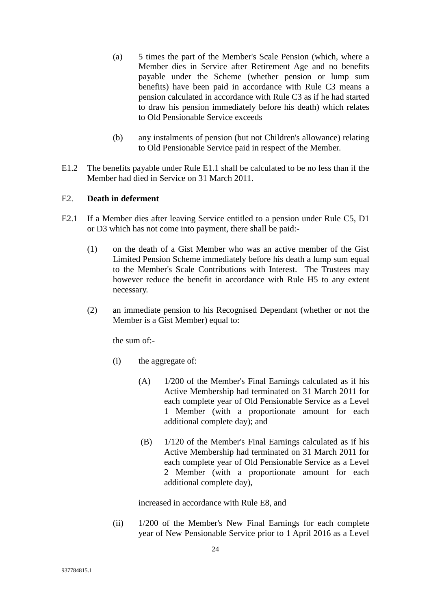- (a) 5 times the part of the Member's Scale Pension (which, where a Member dies in Service after Retirement Age and no benefits payable under the Scheme (whether pension or lump sum benefits) have been paid in accordance with Rule C3 means a pension calculated in accordance with Rule C3 as if he had started to draw his pension immediately before his death) which relates to Old Pensionable Service exceeds
- (b) any instalments of pension (but not Children's allowance) relating to Old Pensionable Service paid in respect of the Member.
- E1.2 The benefits payable under Rule E1.1 shall be calculated to be no less than if the Member had died in Service on 31 March 2011.

#### E2. **Death in deferment**

- E2.1 If a Member dies after leaving Service entitled to a pension under Rule C5, D1 or D3 which has not come into payment, there shall be paid:-
	- (1) on the death of a Gist Member who was an active member of the Gist Limited Pension Scheme immediately before his death a lump sum equal to the Member's Scale Contributions with Interest. The Trustees may however reduce the benefit in accordance with Rule H5 to any extent necessary.
	- (2) an immediate pension to his Recognised Dependant (whether or not the Member is a Gist Member) equal to:

the sum of:-

- (i) the aggregate of:
	- (A) 1/200 of the Member's Final Earnings calculated as if his Active Membership had terminated on 31 March 2011 for each complete year of Old Pensionable Service as a Level 1 Member (with a proportionate amount for each additional complete day); and
	- (B) 1/120 of the Member's Final Earnings calculated as if his Active Membership had terminated on 31 March 2011 for each complete year of Old Pensionable Service as a Level 2 Member (with a proportionate amount for each additional complete day),

increased in accordance with Rule E8, and

(ii) 1/200 of the Member's New Final Earnings for each complete year of New Pensionable Service prior to 1 April 2016 as a Level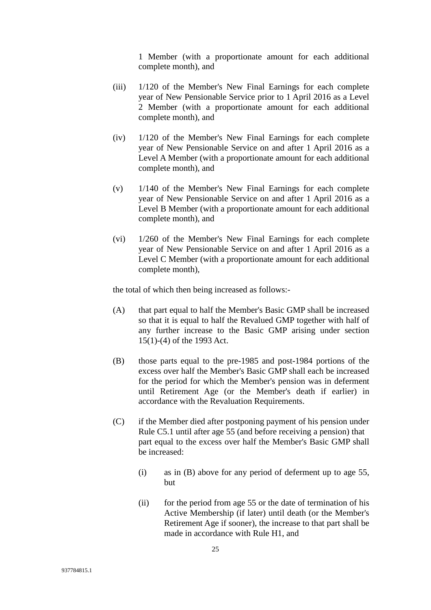1 Member (with a proportionate amount for each additional complete month), and

- (iii) 1/120 of the Member's New Final Earnings for each complete year of New Pensionable Service prior to 1 April 2016 as a Level 2 Member (with a proportionate amount for each additional complete month), and
- (iv) 1/120 of the Member's New Final Earnings for each complete year of New Pensionable Service on and after 1 April 2016 as a Level A Member (with a proportionate amount for each additional complete month), and
- (v) 1/140 of the Member's New Final Earnings for each complete year of New Pensionable Service on and after 1 April 2016 as a Level B Member (with a proportionate amount for each additional complete month), and
- (vi) 1/260 of the Member's New Final Earnings for each complete year of New Pensionable Service on and after 1 April 2016 as a Level C Member (with a proportionate amount for each additional complete month),

the total of which then being increased as follows:-

- (A) that part equal to half the Member's Basic GMP shall be increased so that it is equal to half the Revalued GMP together with half of any further increase to the Basic GMP arising under section 15(1)-(4) of the 1993 Act.
- (B) those parts equal to the pre-1985 and post-1984 portions of the excess over half the Member's Basic GMP shall each be increased for the period for which the Member's pension was in deferment until Retirement Age (or the Member's death if earlier) in accordance with the Revaluation Requirements.
- (C) if the Member died after postponing payment of his pension under Rule C5.1 until after age 55 (and before receiving a pension) that part equal to the excess over half the Member's Basic GMP shall be increased:
	- (i) as in (B) above for any period of deferment up to age 55, but
	- (ii) for the period from age 55 or the date of termination of his Active Membership (if later) until death (or the Member's Retirement Age if sooner), the increase to that part shall be made in accordance with Rule H1, and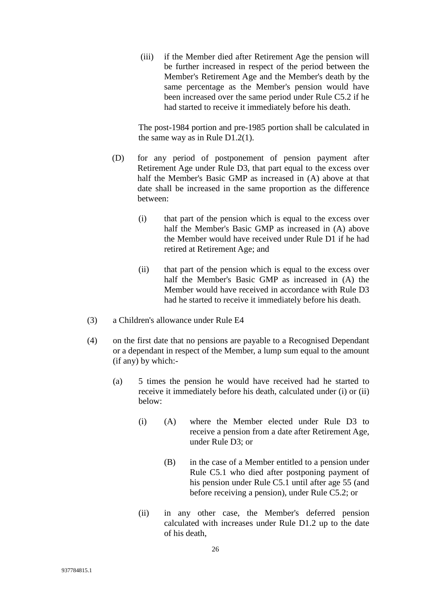(iii) if the Member died after Retirement Age the pension will be further increased in respect of the period between the Member's Retirement Age and the Member's death by the same percentage as the Member's pension would have been increased over the same period under Rule C5.2 if he had started to receive it immediately before his death.

The post-1984 portion and pre-1985 portion shall be calculated in the same way as in Rule D1.2(1).

- (D) for any period of postponement of pension payment after Retirement Age under Rule D3, that part equal to the excess over half the Member's Basic GMP as increased in (A) above at that date shall be increased in the same proportion as the difference between:
	- (i) that part of the pension which is equal to the excess over half the Member's Basic GMP as increased in (A) above the Member would have received under Rule D1 if he had retired at Retirement Age; and
	- (ii) that part of the pension which is equal to the excess over half the Member's Basic GMP as increased in (A) the Member would have received in accordance with Rule D3 had he started to receive it immediately before his death.
- (3) a Children's allowance under Rule E4
- (4) on the first date that no pensions are payable to a Recognised Dependant or a dependant in respect of the Member, a lump sum equal to the amount (if any) by which:-
	- (a) 5 times the pension he would have received had he started to receive it immediately before his death, calculated under (i) or (ii) below:
		- (i) (A) where the Member elected under Rule D3 to receive a pension from a date after Retirement Age, under Rule D3; or
			- (B) in the case of a Member entitled to a pension under Rule C5.1 who died after postponing payment of his pension under Rule C5.1 until after age 55 (and before receiving a pension), under Rule C5.2; or
		- (ii) in any other case, the Member's deferred pension calculated with increases under Rule D1.2 up to the date of his death,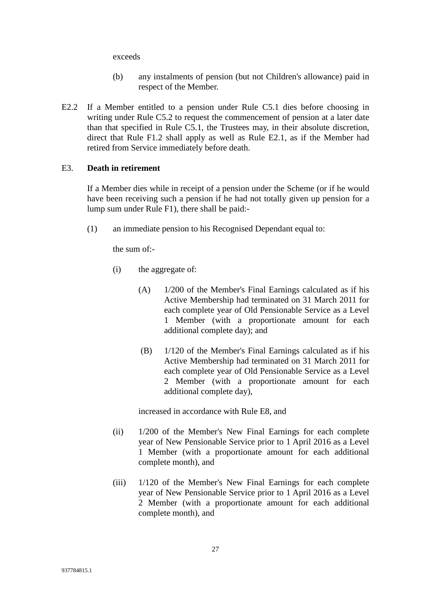exceeds

- (b) any instalments of pension (but not Children's allowance) paid in respect of the Member.
- E2.2 If a Member entitled to a pension under Rule C5.1 dies before choosing in writing under Rule C5.2 to request the commencement of pension at a later date than that specified in Rule C5.1, the Trustees may, in their absolute discretion, direct that Rule F1.2 shall apply as well as Rule E2.1, as if the Member had retired from Service immediately before death.

#### E3. **Death in retirement**

If a Member dies while in receipt of a pension under the Scheme (or if he would have been receiving such a pension if he had not totally given up pension for a lump sum under Rule F1), there shall be paid:-

(1) an immediate pension to his Recognised Dependant equal to:

the sum of:-

- (i) the aggregate of:
	- (A) 1/200 of the Member's Final Earnings calculated as if his Active Membership had terminated on 31 March 2011 for each complete year of Old Pensionable Service as a Level 1 Member (with a proportionate amount for each additional complete day); and
	- (B) 1/120 of the Member's Final Earnings calculated as if his Active Membership had terminated on 31 March 2011 for each complete year of Old Pensionable Service as a Level 2 Member (with a proportionate amount for each additional complete day),

increased in accordance with Rule E8, and

- (ii) 1/200 of the Member's New Final Earnings for each complete year of New Pensionable Service prior to 1 April 2016 as a Level 1 Member (with a proportionate amount for each additional complete month), and
- (iii) 1/120 of the Member's New Final Earnings for each complete year of New Pensionable Service prior to 1 April 2016 as a Level 2 Member (with a proportionate amount for each additional complete month), and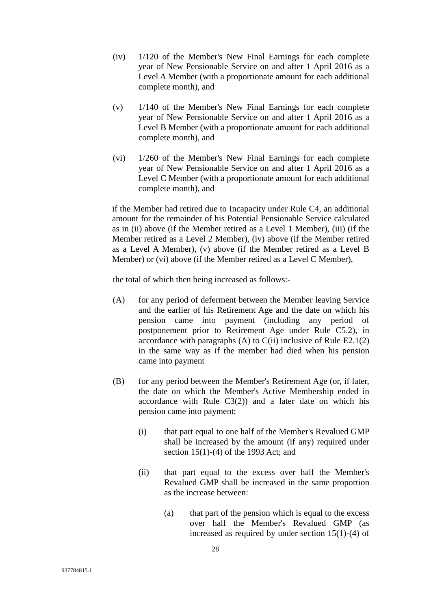- (iv) 1/120 of the Member's New Final Earnings for each complete year of New Pensionable Service on and after 1 April 2016 as a Level A Member (with a proportionate amount for each additional complete month), and
- (v) 1/140 of the Member's New Final Earnings for each complete year of New Pensionable Service on and after 1 April 2016 as a Level B Member (with a proportionate amount for each additional complete month), and
- (vi) 1/260 of the Member's New Final Earnings for each complete year of New Pensionable Service on and after 1 April 2016 as a Level C Member (with a proportionate amount for each additional complete month), and

if the Member had retired due to Incapacity under Rule C4, an additional amount for the remainder of his Potential Pensionable Service calculated as in (ii) above (if the Member retired as a Level 1 Member), (iii) (if the Member retired as a Level 2 Member), (iv) above (if the Member retired as a Level A Member), (v) above (if the Member retired as a Level B Member) or (vi) above (if the Member retired as a Level C Member),

the total of which then being increased as follows:-

- (A) for any period of deferment between the Member leaving Service and the earlier of his Retirement Age and the date on which his pension came into payment (including any period of postponement prior to Retirement Age under Rule C5.2), in accordance with paragraphs  $(A)$  to  $C(i)$  inclusive of Rule E2.1(2) in the same way as if the member had died when his pension came into payment
- (B) for any period between the Member's Retirement Age (or, if later, the date on which the Member's Active Membership ended in accordance with Rule  $C3(2)$  and a later date on which his pension came into payment:
	- (i) that part equal to one half of the Member's Revalued GMP shall be increased by the amount (if any) required under section 15(1)-(4) of the 1993 Act; and
	- (ii) that part equal to the excess over half the Member's Revalued GMP shall be increased in the same proportion as the increase between:
		- (a) that part of the pension which is equal to the excess over half the Member's Revalued GMP (as increased as required by under section 15(1)-(4) of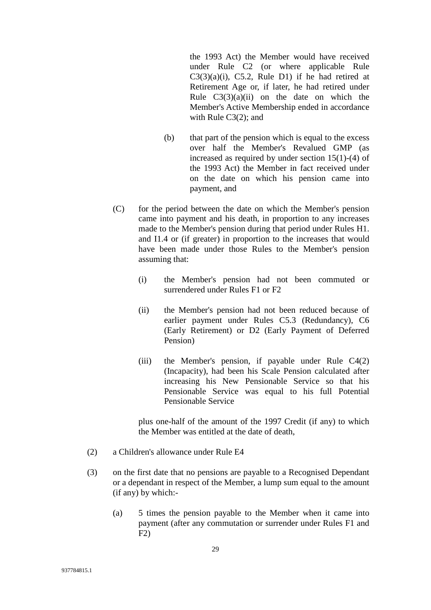the 1993 Act) the Member would have received under Rule C2 (or where applicable Rule  $C3(3)(a)(i)$ , C5.2, Rule D1) if he had retired at Retirement Age or, if later, he had retired under Rule  $C_3(3)(a)(ii)$  on the date on which the Member's Active Membership ended in accordance with Rule C3(2); and

- (b) that part of the pension which is equal to the excess over half the Member's Revalued GMP (as increased as required by under section 15(1)-(4) of the 1993 Act) the Member in fact received under on the date on which his pension came into payment, and
- (C) for the period between the date on which the Member's pension came into payment and his death, in proportion to any increases made to the Member's pension during that period under Rules H1. and I1.4 or (if greater) in proportion to the increases that would have been made under those Rules to the Member's pension assuming that:
	- (i) the Member's pension had not been commuted or surrendered under Rules F1 or F2
	- (ii) the Member's pension had not been reduced because of earlier payment under Rules C5.3 (Redundancy), C6 (Early Retirement) or D2 (Early Payment of Deferred Pension)
	- (iii) the Member's pension, if payable under Rule C4(2) (Incapacity), had been his Scale Pension calculated after increasing his New Pensionable Service so that his Pensionable Service was equal to his full Potential Pensionable Service

plus one-half of the amount of the 1997 Credit (if any) to which the Member was entitled at the date of death,

- (2) a Children's allowance under Rule E4
- (3) on the first date that no pensions are payable to a Recognised Dependant or a dependant in respect of the Member, a lump sum equal to the amount (if any) by which:-
	- (a) 5 times the pension payable to the Member when it came into payment (after any commutation or surrender under Rules F1 and  $F2)$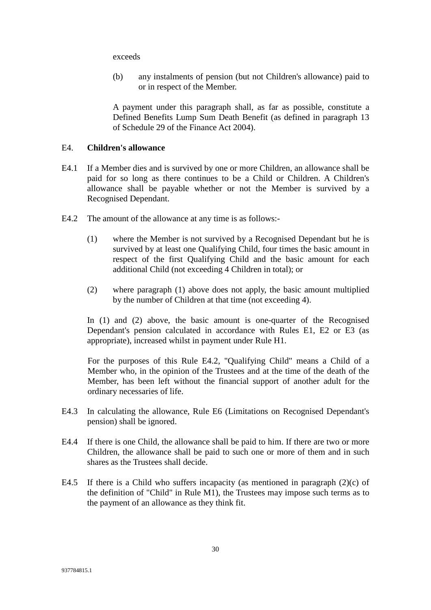exceeds

(b) any instalments of pension (but not Children's allowance) paid to or in respect of the Member.

A payment under this paragraph shall, as far as possible, constitute a Defined Benefits Lump Sum Death Benefit (as defined in paragraph 13 of Schedule 29 of the Finance Act 2004).

#### E4. **Children's allowance**

- E4.1 If a Member dies and is survived by one or more Children, an allowance shall be paid for so long as there continues to be a Child or Children. A Children's allowance shall be payable whether or not the Member is survived by a Recognised Dependant.
- E4.2 The amount of the allowance at any time is as follows:-
	- (1) where the Member is not survived by a Recognised Dependant but he is survived by at least one Qualifying Child, four times the basic amount in respect of the first Qualifying Child and the basic amount for each additional Child (not exceeding 4 Children in total); or
	- (2) where paragraph (1) above does not apply, the basic amount multiplied by the number of Children at that time (not exceeding 4).

In (1) and (2) above, the basic amount is one-quarter of the Recognised Dependant's pension calculated in accordance with Rules E1, E2 or E3 (as appropriate), increased whilst in payment under Rule H1.

For the purposes of this Rule E4.2, "Qualifying Child" means a Child of a Member who, in the opinion of the Trustees and at the time of the death of the Member, has been left without the financial support of another adult for the ordinary necessaries of life.

- E4.3 In calculating the allowance, Rule E6 (Limitations on Recognised Dependant's pension) shall be ignored.
- E4.4 If there is one Child, the allowance shall be paid to him. If there are two or more Children, the allowance shall be paid to such one or more of them and in such shares as the Trustees shall decide.
- E4.5 If there is a Child who suffers incapacity (as mentioned in paragraph  $(2)(c)$  of the definition of "Child" in Rule M1), the Trustees may impose such terms as to the payment of an allowance as they think fit.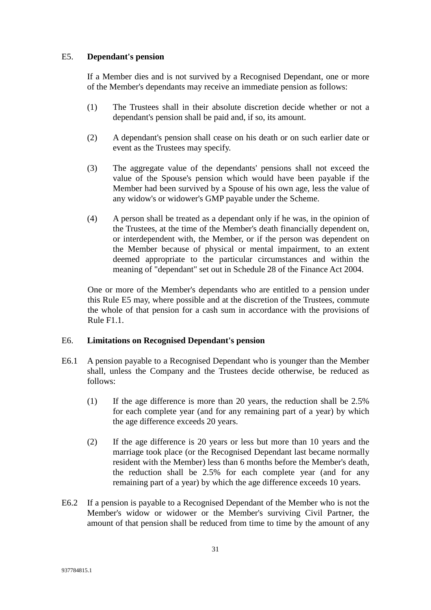#### E5. **Dependant's pension**

If a Member dies and is not survived by a Recognised Dependant, one or more of the Member's dependants may receive an immediate pension as follows:

- (1) The Trustees shall in their absolute discretion decide whether or not a dependant's pension shall be paid and, if so, its amount.
- (2) A dependant's pension shall cease on his death or on such earlier date or event as the Trustees may specify.
- (3) The aggregate value of the dependants' pensions shall not exceed the value of the Spouse's pension which would have been payable if the Member had been survived by a Spouse of his own age, less the value of any widow's or widower's GMP payable under the Scheme.
- (4) A person shall be treated as a dependant only if he was, in the opinion of the Trustees, at the time of the Member's death financially dependent on, or interdependent with, the Member, or if the person was dependent on the Member because of physical or mental impairment, to an extent deemed appropriate to the particular circumstances and within the meaning of "dependant" set out in Schedule 28 of the Finance Act 2004.

One or more of the Member's dependants who are entitled to a pension under this Rule E5 may, where possible and at the discretion of the Trustees, commute the whole of that pension for a cash sum in accordance with the provisions of Rule F1.1.

#### E6. **Limitations on Recognised Dependant's pension**

- E6.1 A pension payable to a Recognised Dependant who is younger than the Member shall, unless the Company and the Trustees decide otherwise, be reduced as follows:
	- (1) If the age difference is more than 20 years, the reduction shall be 2.5% for each complete year (and for any remaining part of a year) by which the age difference exceeds 20 years.
	- (2) If the age difference is 20 years or less but more than 10 years and the marriage took place (or the Recognised Dependant last became normally resident with the Member) less than 6 months before the Member's death, the reduction shall be 2.5% for each complete year (and for any remaining part of a year) by which the age difference exceeds 10 years.
- E6.2 If a pension is payable to a Recognised Dependant of the Member who is not the Member's widow or widower or the Member's surviving Civil Partner, the amount of that pension shall be reduced from time to time by the amount of any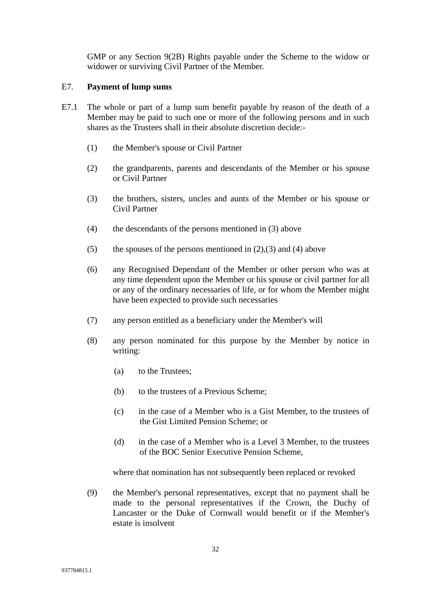GMP or any Section 9(2B) Rights payable under the Scheme to the widow or widower or surviving Civil Partner of the Member.

#### E7. **Payment of lump sums**

- E7.1 The whole or part of a lump sum benefit payable by reason of the death of a Member may be paid to such one or more of the following persons and in such shares as the Trustees shall in their absolute discretion decide:-
	- (1) the Member's spouse or Civil Partner
	- (2) the grandparents, parents and descendants of the Member or his spouse or Civil Partner
	- (3) the brothers, sisters, uncles and aunts of the Member or his spouse or Civil Partner
	- (4) the descendants of the persons mentioned in (3) above
	- (5) the spouses of the persons mentioned in  $(2),(3)$  and  $(4)$  above
	- (6) any Recognised Dependant of the Member or other person who was at any time dependent upon the Member or his spouse or civil partner for all or any of the ordinary necessaries of life, or for whom the Member might have been expected to provide such necessaries
	- (7) any person entitled as a beneficiary under the Member's will
	- (8) any person nominated for this purpose by the Member by notice in writing:
		- (a) to the Trustees;
		- (b) to the trustees of a Previous Scheme;
		- (c) in the case of a Member who is a Gist Member, to the trustees of the Gist Limited Pension Scheme; or
		- (d) in the case of a Member who is a Level 3 Member, to the trustees of the BOC Senior Executive Pension Scheme,

where that nomination has not subsequently been replaced or revoked

(9) the Member's personal representatives, except that no payment shall be made to the personal representatives if the Crown, the Duchy of Lancaster or the Duke of Cornwall would benefit or if the Member's estate is insolvent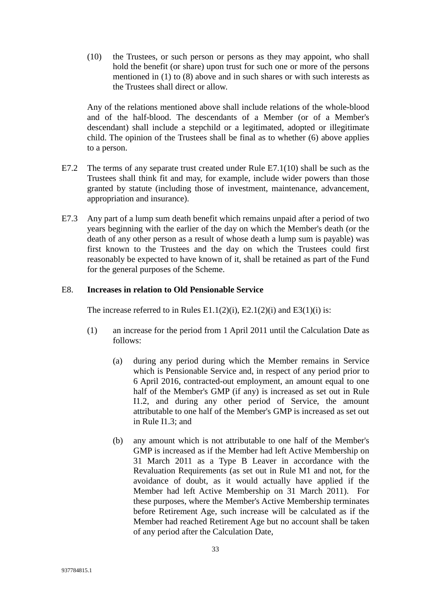(10) the Trustees, or such person or persons as they may appoint, who shall hold the benefit (or share) upon trust for such one or more of the persons mentioned in (1) to (8) above and in such shares or with such interests as the Trustees shall direct or allow.

Any of the relations mentioned above shall include relations of the whole-blood and of the half-blood. The descendants of a Member (or of a Member's descendant) shall include a stepchild or a legitimated, adopted or illegitimate child. The opinion of the Trustees shall be final as to whether (6) above applies to a person.

- E7.2 The terms of any separate trust created under Rule E7.1(10) shall be such as the Trustees shall think fit and may, for example, include wider powers than those granted by statute (including those of investment, maintenance, advancement, appropriation and insurance).
- E7.3 Any part of a lump sum death benefit which remains unpaid after a period of two years beginning with the earlier of the day on which the Member's death (or the death of any other person as a result of whose death a lump sum is payable) was first known to the Trustees and the day on which the Trustees could first reasonably be expected to have known of it, shall be retained as part of the Fund for the general purposes of the Scheme.

### E8. **Increases in relation to Old Pensionable Service**

The increase referred to in Rules E1.1(2)(i), E2.1(2)(i) and E3(1)(i) is:

- (1) an increase for the period from 1 April 2011 until the Calculation Date as follows:
	- (a) during any period during which the Member remains in Service which is Pensionable Service and, in respect of any period prior to 6 April 2016, contracted-out employment, an amount equal to one half of the Member's GMP (if any) is increased as set out in Rule I1.2, and during any other period of Service, the amount attributable to one half of the Member's GMP is increased as set out in Rule I1.3; and
	- (b) any amount which is not attributable to one half of the Member's GMP is increased as if the Member had left Active Membership on 31 March 2011 as a Type B Leaver in accordance with the Revaluation Requirements (as set out in Rule M1 and not, for the avoidance of doubt, as it would actually have applied if the Member had left Active Membership on 31 March 2011). For these purposes, where the Member's Active Membership terminates before Retirement Age, such increase will be calculated as if the Member had reached Retirement Age but no account shall be taken of any period after the Calculation Date,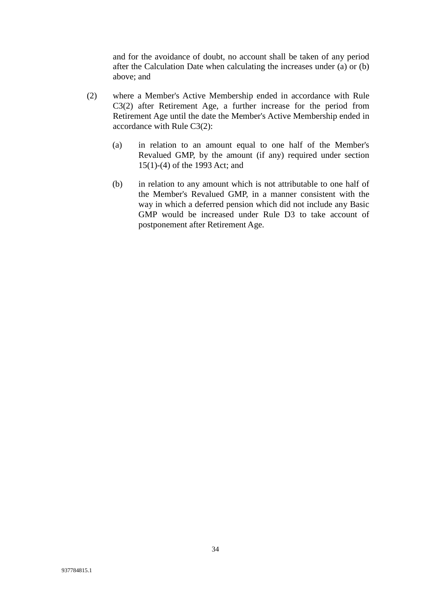and for the avoidance of doubt, no account shall be taken of any period after the Calculation Date when calculating the increases under (a) or (b) above; and

- (2) where a Member's Active Membership ended in accordance with Rule C3(2) after Retirement Age, a further increase for the period from Retirement Age until the date the Member's Active Membership ended in accordance with Rule C3(2):
	- (a) in relation to an amount equal to one half of the Member's Revalued GMP, by the amount (if any) required under section 15(1)-(4) of the 1993 Act; and
	- (b) in relation to any amount which is not attributable to one half of the Member's Revalued GMP, in a manner consistent with the way in which a deferred pension which did not include any Basic GMP would be increased under Rule D3 to take account of postponement after Retirement Age.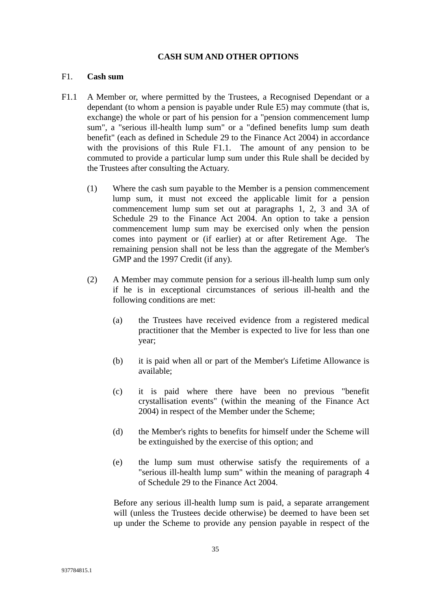#### **CASH SUM AND OTHER OPTIONS**

## F1. **Cash sum**

- F1.1 A Member or, where permitted by the Trustees, a Recognised Dependant or a dependant (to whom a pension is payable under Rule E5) may commute (that is, exchange) the whole or part of his pension for a "pension commencement lump sum", a "serious ill-health lump sum" or a "defined benefits lump sum death benefit" (each as defined in Schedule 29 to the Finance Act 2004) in accordance with the provisions of this Rule F1.1. The amount of any pension to be commuted to provide a particular lump sum under this Rule shall be decided by the Trustees after consulting the Actuary.
	- (1) Where the cash sum payable to the Member is a pension commencement lump sum, it must not exceed the applicable limit for a pension commencement lump sum set out at paragraphs 1, 2, 3 and 3A of Schedule 29 to the Finance Act 2004. An option to take a pension commencement lump sum may be exercised only when the pension comes into payment or (if earlier) at or after Retirement Age. The remaining pension shall not be less than the aggregate of the Member's GMP and the 1997 Credit (if any).
	- (2) A Member may commute pension for a serious ill-health lump sum only if he is in exceptional circumstances of serious ill-health and the following conditions are met:
		- (a) the Trustees have received evidence from a registered medical practitioner that the Member is expected to live for less than one year;
		- (b) it is paid when all or part of the Member's Lifetime Allowance is available;
		- (c) it is paid where there have been no previous "benefit crystallisation events" (within the meaning of the Finance Act 2004) in respect of the Member under the Scheme;
		- (d) the Member's rights to benefits for himself under the Scheme will be extinguished by the exercise of this option; and
		- (e) the lump sum must otherwise satisfy the requirements of a "serious ill-health lump sum" within the meaning of paragraph 4 of Schedule 29 to the Finance Act 2004.

Before any serious ill-health lump sum is paid, a separate arrangement will (unless the Trustees decide otherwise) be deemed to have been set up under the Scheme to provide any pension payable in respect of the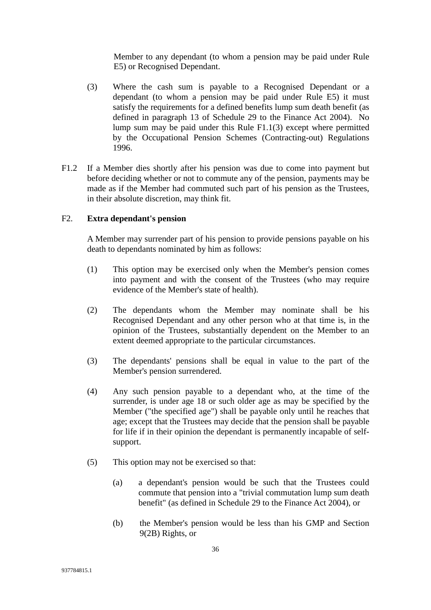Member to any dependant (to whom a pension may be paid under Rule E5) or Recognised Dependant.

- (3) Where the cash sum is payable to a Recognised Dependant or a dependant (to whom a pension may be paid under Rule E5) it must satisfy the requirements for a defined benefits lump sum death benefit (as defined in paragraph 13 of Schedule 29 to the Finance Act 2004). No lump sum may be paid under this Rule F1.1(3) except where permitted by the Occupational Pension Schemes (Contracting-out) Regulations 1996.
- F1.2 If a Member dies shortly after his pension was due to come into payment but before deciding whether or not to commute any of the pension, payments may be made as if the Member had commuted such part of his pension as the Trustees, in their absolute discretion, may think fit.

## F2. **Extra dependant's pension**

A Member may surrender part of his pension to provide pensions payable on his death to dependants nominated by him as follows:

- (1) This option may be exercised only when the Member's pension comes into payment and with the consent of the Trustees (who may require evidence of the Member's state of health).
- (2) The dependants whom the Member may nominate shall be his Recognised Dependant and any other person who at that time is, in the opinion of the Trustees, substantially dependent on the Member to an extent deemed appropriate to the particular circumstances.
- (3) The dependants' pensions shall be equal in value to the part of the Member's pension surrendered.
- (4) Any such pension payable to a dependant who, at the time of the surrender, is under age 18 or such older age as may be specified by the Member ("the specified age") shall be payable only until he reaches that age; except that the Trustees may decide that the pension shall be payable for life if in their opinion the dependant is permanently incapable of selfsupport.
- (5) This option may not be exercised so that:
	- (a) a dependant's pension would be such that the Trustees could commute that pension into a "trivial commutation lump sum death benefit" (as defined in Schedule 29 to the Finance Act 2004), or
	- (b) the Member's pension would be less than his GMP and Section 9(2B) Rights, or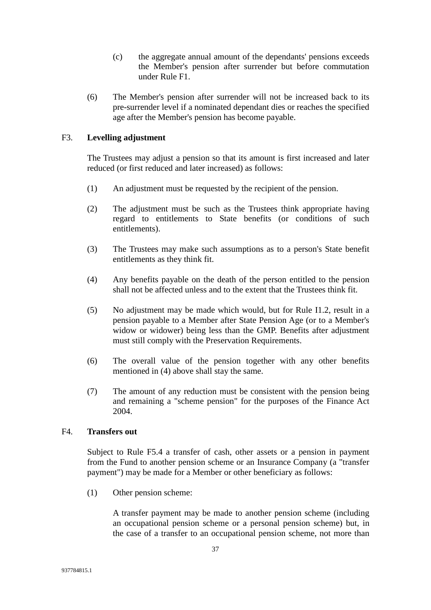- (c) the aggregate annual amount of the dependants' pensions exceeds the Member's pension after surrender but before commutation under Rule F1.
- (6) The Member's pension after surrender will not be increased back to its pre-surrender level if a nominated dependant dies or reaches the specified age after the Member's pension has become payable.

### F3. **Levelling adjustment**

The Trustees may adjust a pension so that its amount is first increased and later reduced (or first reduced and later increased) as follows:

- (1) An adjustment must be requested by the recipient of the pension.
- (2) The adjustment must be such as the Trustees think appropriate having regard to entitlements to State benefits (or conditions of such entitlements).
- (3) The Trustees may make such assumptions as to a person's State benefit entitlements as they think fit.
- (4) Any benefits payable on the death of the person entitled to the pension shall not be affected unless and to the extent that the Trustees think fit.
- (5) No adjustment may be made which would, but for Rule I1.2, result in a pension payable to a Member after State Pension Age (or to a Member's widow or widower) being less than the GMP. Benefits after adjustment must still comply with the Preservation Requirements.
- (6) The overall value of the pension together with any other benefits mentioned in (4) above shall stay the same.
- (7) The amount of any reduction must be consistent with the pension being and remaining a "scheme pension" for the purposes of the Finance Act 2004.

### F4. **Transfers out**

Subject to Rule F5.4 a transfer of cash, other assets or a pension in payment from the Fund to another pension scheme or an Insurance Company (a "transfer payment") may be made for a Member or other beneficiary as follows:

(1) Other pension scheme:

A transfer payment may be made to another pension scheme (including an occupational pension scheme or a personal pension scheme) but, in the case of a transfer to an occupational pension scheme, not more than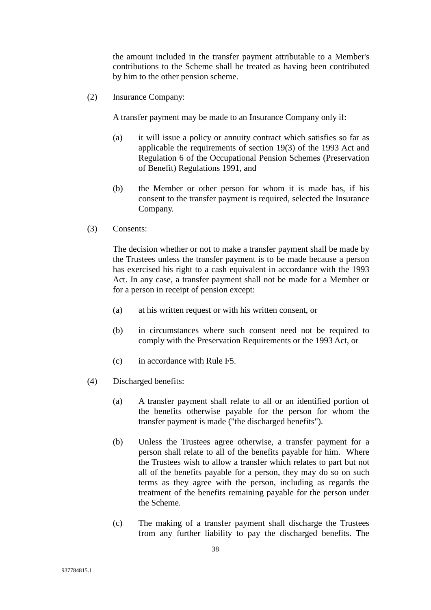the amount included in the transfer payment attributable to a Member's contributions to the Scheme shall be treated as having been contributed by him to the other pension scheme.

(2) Insurance Company:

A transfer payment may be made to an Insurance Company only if:

- (a) it will issue a policy or annuity contract which satisfies so far as applicable the requirements of section 19(3) of the 1993 Act and Regulation 6 of the Occupational Pension Schemes (Preservation of Benefit) Regulations 1991, and
- (b) the Member or other person for whom it is made has, if his consent to the transfer payment is required, selected the Insurance Company.
- (3) Consents:

The decision whether or not to make a transfer payment shall be made by the Trustees unless the transfer payment is to be made because a person has exercised his right to a cash equivalent in accordance with the 1993 Act. In any case, a transfer payment shall not be made for a Member or for a person in receipt of pension except:

- (a) at his written request or with his written consent, or
- (b) in circumstances where such consent need not be required to comply with the Preservation Requirements or the 1993 Act, or
- (c) in accordance with Rule F5.
- (4) Discharged benefits:
	- (a) A transfer payment shall relate to all or an identified portion of the benefits otherwise payable for the person for whom the transfer payment is made ("the discharged benefits").
	- (b) Unless the Trustees agree otherwise, a transfer payment for a person shall relate to all of the benefits payable for him. Where the Trustees wish to allow a transfer which relates to part but not all of the benefits payable for a person, they may do so on such terms as they agree with the person, including as regards the treatment of the benefits remaining payable for the person under the Scheme.
	- (c) The making of a transfer payment shall discharge the Trustees from any further liability to pay the discharged benefits. The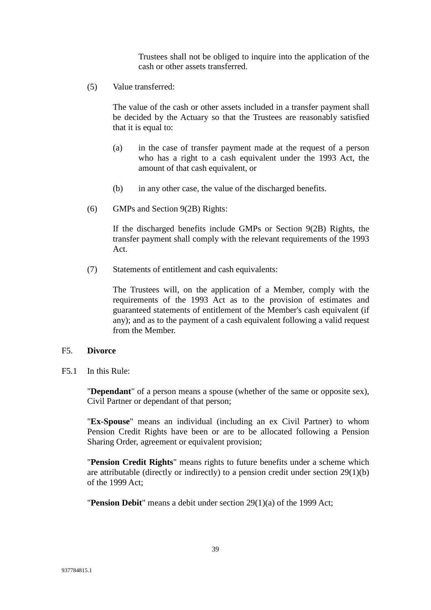Trustees shall not be obliged to inquire into the application of the cash or other assets transferred.

(5) Value transferred:

The value of the cash or other assets included in a transfer payment shall be decided by the Actuary so that the Trustees are reasonably satisfied that it is equal to:

- (a) in the case of transfer payment made at the request of a person who has a right to a cash equivalent under the 1993 Act, the amount of that cash equivalent, or
- (b) in any other case, the value of the discharged benefits.
- (6) GMPs and Section 9(2B) Rights:

If the discharged benefits include GMPs or Section 9(2B) Rights, the transfer payment shall comply with the relevant requirements of the 1993 Act.

(7) Statements of entitlement and cash equivalents:

The Trustees will, on the application of a Member, comply with the requirements of the 1993 Act as to the provision of estimates and guaranteed statements of entitlement of the Member's cash equivalent (if any); and as to the payment of a cash equivalent following a valid request from the Member.

### F5. **Divorce**

F5.1 In this Rule:

"**Dependant**" of a person means a spouse (whether of the same or opposite sex), Civil Partner or dependant of that person;

"**Ex-Spouse**" means an individual (including an ex Civil Partner) to whom Pension Credit Rights have been or are to be allocated following a Pension Sharing Order, agreement or equivalent provision;

"**Pension Credit Rights**" means rights to future benefits under a scheme which are attributable (directly or indirectly) to a pension credit under section 29(1)(b) of the 1999 Act;

"**Pension Debit**" means a debit under section 29(1)(a) of the 1999 Act;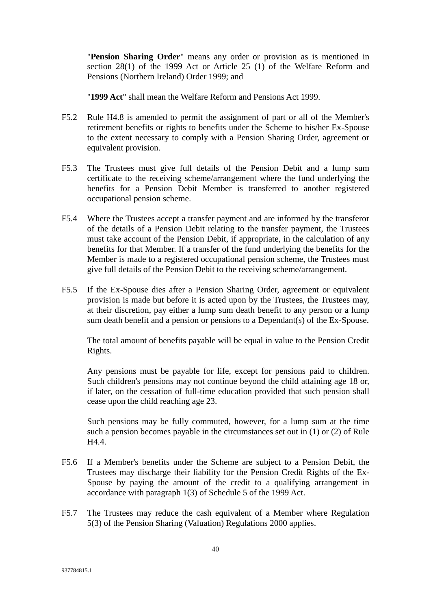"**Pension Sharing Order**" means any order or provision as is mentioned in section 28(1) of the 1999 Act or Article 25 (1) of the Welfare Reform and Pensions (Northern Ireland) Order 1999; and

"**1999 Act**" shall mean the Welfare Reform and Pensions Act 1999.

- F5.2 Rule H4.8 is amended to permit the assignment of part or all of the Member's retirement benefits or rights to benefits under the Scheme to his/her Ex-Spouse to the extent necessary to comply with a Pension Sharing Order, agreement or equivalent provision.
- F5.3 The Trustees must give full details of the Pension Debit and a lump sum certificate to the receiving scheme/arrangement where the fund underlying the benefits for a Pension Debit Member is transferred to another registered occupational pension scheme.
- F5.4 Where the Trustees accept a transfer payment and are informed by the transferor of the details of a Pension Debit relating to the transfer payment, the Trustees must take account of the Pension Debit, if appropriate, in the calculation of any benefits for that Member. If a transfer of the fund underlying the benefits for the Member is made to a registered occupational pension scheme, the Trustees must give full details of the Pension Debit to the receiving scheme/arrangement.
- F5.5 If the Ex-Spouse dies after a Pension Sharing Order, agreement or equivalent provision is made but before it is acted upon by the Trustees, the Trustees may, at their discretion, pay either a lump sum death benefit to any person or a lump sum death benefit and a pension or pensions to a Dependant(s) of the Ex-Spouse.

The total amount of benefits payable will be equal in value to the Pension Credit Rights.

Any pensions must be payable for life, except for pensions paid to children. Such children's pensions may not continue beyond the child attaining age 18 or, if later, on the cessation of full-time education provided that such pension shall cease upon the child reaching age 23.

Such pensions may be fully commuted, however, for a lump sum at the time such a pension becomes payable in the circumstances set out in (1) or (2) of Rule H4.4.

- F5.6 If a Member's benefits under the Scheme are subject to a Pension Debit, the Trustees may discharge their liability for the Pension Credit Rights of the Ex-Spouse by paying the amount of the credit to a qualifying arrangement in accordance with paragraph 1(3) of Schedule 5 of the 1999 Act.
- F5.7 The Trustees may reduce the cash equivalent of a Member where Regulation 5(3) of the Pension Sharing (Valuation) Regulations 2000 applies.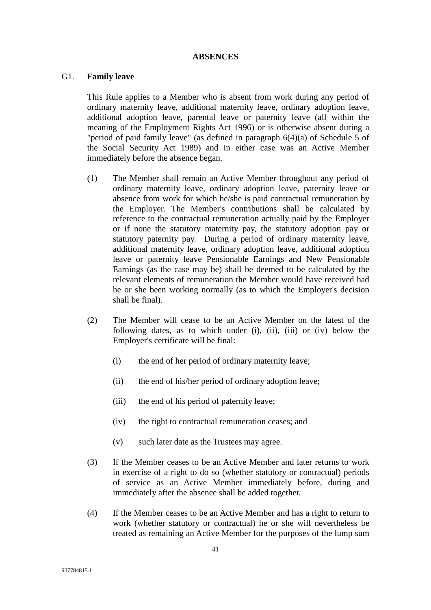#### **ABSENCES**

#### G1. **Family leave**

This Rule applies to a Member who is absent from work during any period of ordinary maternity leave, additional maternity leave, ordinary adoption leave, additional adoption leave, parental leave or paternity leave (all within the meaning of the Employment Rights Act 1996) or is otherwise absent during a "period of paid family leave" (as defined in paragraph 6(4)(a) of Schedule 5 of the Social Security Act 1989) and in either case was an Active Member immediately before the absence began.

- (1) The Member shall remain an Active Member throughout any period of ordinary maternity leave, ordinary adoption leave, paternity leave or absence from work for which he/she is paid contractual remuneration by the Employer. The Member's contributions shall be calculated by reference to the contractual remuneration actually paid by the Employer or if none the statutory maternity pay, the statutory adoption pay or statutory paternity pay. During a period of ordinary maternity leave, additional maternity leave, ordinary adoption leave, additional adoption leave or paternity leave Pensionable Earnings and New Pensionable Earnings (as the case may be) shall be deemed to be calculated by the relevant elements of remuneration the Member would have received had he or she been working normally (as to which the Employer's decision shall be final).
- (2) The Member will cease to be an Active Member on the latest of the following dates, as to which under (i), (ii), (iii) or (iv) below the Employer's certificate will be final:
	- (i) the end of her period of ordinary maternity leave;
	- (ii) the end of his/her period of ordinary adoption leave;
	- (iii) the end of his period of paternity leave;
	- (iv) the right to contractual remuneration ceases; and
	- (v) such later date as the Trustees may agree.
- (3) If the Member ceases to be an Active Member and later returns to work in exercise of a right to do so (whether statutory or contractual) periods of service as an Active Member immediately before, during and immediately after the absence shall be added together.
- (4) If the Member ceases to be an Active Member and has a right to return to work (whether statutory or contractual) he or she will nevertheless be treated as remaining an Active Member for the purposes of the lump sum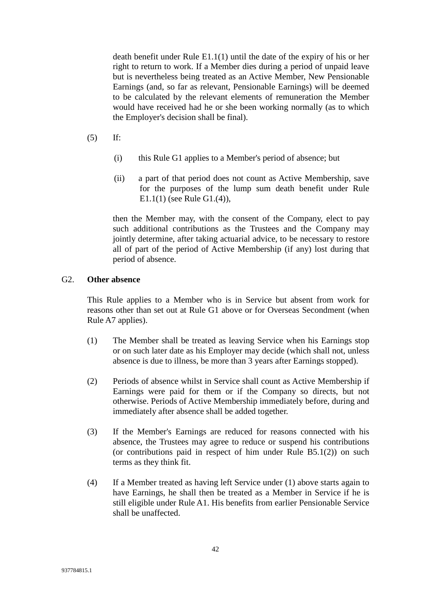death benefit under Rule E1.1(1) until the date of the expiry of his or her right to return to work. If a Member dies during a period of unpaid leave but is nevertheless being treated as an Active Member, New Pensionable Earnings (and, so far as relevant, Pensionable Earnings) will be deemed to be calculated by the relevant elements of remuneration the Member would have received had he or she been working normally (as to which the Employer's decision shall be final).

- (5) If:
	- (i) this Rule G1 applies to a Member's period of absence; but
	- (ii) a part of that period does not count as Active Membership, save for the purposes of the lump sum death benefit under Rule E1.1(1) (see Rule G1.(4)),

then the Member may, with the consent of the Company, elect to pay such additional contributions as the Trustees and the Company may jointly determine, after taking actuarial advice, to be necessary to restore all of part of the period of Active Membership (if any) lost during that period of absence.

### G2. **Other absence**

This Rule applies to a Member who is in Service but absent from work for reasons other than set out at Rule G1 above or for Overseas Secondment (when Rule A7 applies).

- (1) The Member shall be treated as leaving Service when his Earnings stop or on such later date as his Employer may decide (which shall not, unless absence is due to illness, be more than 3 years after Earnings stopped).
- (2) Periods of absence whilst in Service shall count as Active Membership if Earnings were paid for them or if the Company so directs, but not otherwise. Periods of Active Membership immediately before, during and immediately after absence shall be added together.
- (3) If the Member's Earnings are reduced for reasons connected with his absence, the Trustees may agree to reduce or suspend his contributions (or contributions paid in respect of him under Rule B5.1(2)) on such terms as they think fit.
- (4) If a Member treated as having left Service under (1) above starts again to have Earnings, he shall then be treated as a Member in Service if he is still eligible under Rule A1. His benefits from earlier Pensionable Service shall be unaffected.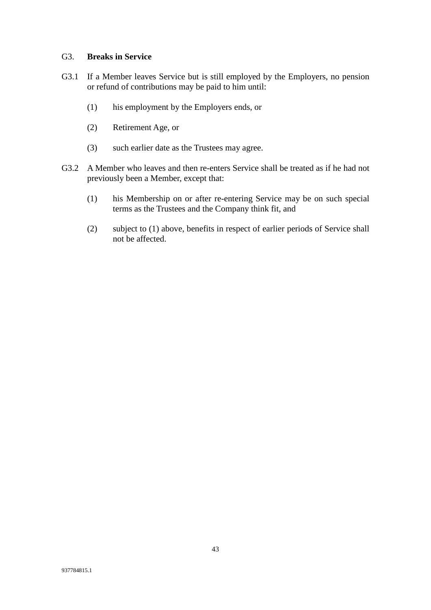### G3. **Breaks in Service**

- G3.1 If a Member leaves Service but is still employed by the Employers, no pension or refund of contributions may be paid to him until:
	- (1) his employment by the Employers ends, or
	- (2) Retirement Age, or
	- (3) such earlier date as the Trustees may agree.
- G3.2 A Member who leaves and then re-enters Service shall be treated as if he had not previously been a Member, except that:
	- (1) his Membership on or after re-entering Service may be on such special terms as the Trustees and the Company think fit, and
	- (2) subject to (1) above, benefits in respect of earlier periods of Service shall not be affected.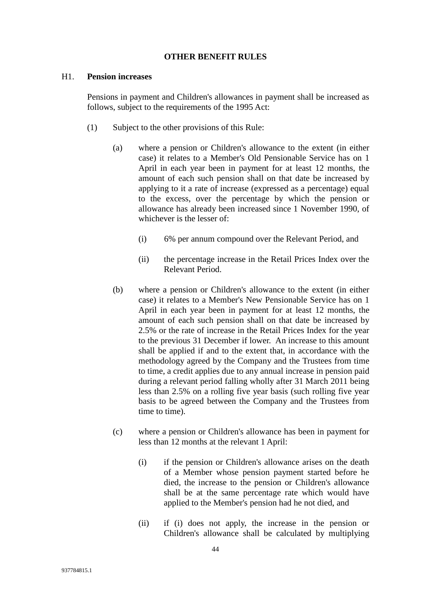#### **OTHER BENEFIT RULES**

#### H1. **Pension increases**

Pensions in payment and Children's allowances in payment shall be increased as follows, subject to the requirements of the 1995 Act:

- (1) Subject to the other provisions of this Rule:
	- (a) where a pension or Children's allowance to the extent (in either case) it relates to a Member's Old Pensionable Service has on 1 April in each year been in payment for at least 12 months, the amount of each such pension shall on that date be increased by applying to it a rate of increase (expressed as a percentage) equal to the excess, over the percentage by which the pension or allowance has already been increased since 1 November 1990, of whichever is the lesser of:
		- (i) 6% per annum compound over the Relevant Period, and
		- (ii) the percentage increase in the Retail Prices Index over the Relevant Period.
	- (b) where a pension or Children's allowance to the extent (in either case) it relates to a Member's New Pensionable Service has on 1 April in each year been in payment for at least 12 months, the amount of each such pension shall on that date be increased by 2.5% or the rate of increase in the Retail Prices Index for the year to the previous 31 December if lower. An increase to this amount shall be applied if and to the extent that, in accordance with the methodology agreed by the Company and the Trustees from time to time, a credit applies due to any annual increase in pension paid during a relevant period falling wholly after 31 March 2011 being less than 2.5% on a rolling five year basis (such rolling five year basis to be agreed between the Company and the Trustees from time to time).
	- (c) where a pension or Children's allowance has been in payment for less than 12 months at the relevant 1 April:
		- (i) if the pension or Children's allowance arises on the death of a Member whose pension payment started before he died, the increase to the pension or Children's allowance shall be at the same percentage rate which would have applied to the Member's pension had he not died, and
		- (ii) if (i) does not apply, the increase in the pension or Children's allowance shall be calculated by multiplying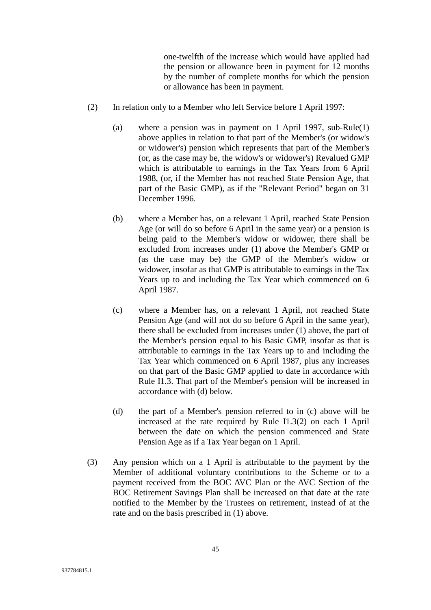one-twelfth of the increase which would have applied had the pension or allowance been in payment for 12 months by the number of complete months for which the pension or allowance has been in payment.

- (2) In relation only to a Member who left Service before 1 April 1997:
	- (a) where a pension was in payment on 1 April 1997, sub-Rule(1) above applies in relation to that part of the Member's (or widow's or widower's) pension which represents that part of the Member's (or, as the case may be, the widow's or widower's) Revalued GMP which is attributable to earnings in the Tax Years from 6 April 1988, (or, if the Member has not reached State Pension Age, that part of the Basic GMP), as if the "Relevant Period" began on 31 December 1996.
	- (b) where a Member has, on a relevant 1 April, reached State Pension Age (or will do so before 6 April in the same year) or a pension is being paid to the Member's widow or widower, there shall be excluded from increases under (1) above the Member's GMP or (as the case may be) the GMP of the Member's widow or widower, insofar as that GMP is attributable to earnings in the Tax Years up to and including the Tax Year which commenced on 6 April 1987.
	- (c) where a Member has, on a relevant 1 April, not reached State Pension Age (and will not do so before 6 April in the same year), there shall be excluded from increases under (1) above, the part of the Member's pension equal to his Basic GMP, insofar as that is attributable to earnings in the Tax Years up to and including the Tax Year which commenced on 6 April 1987, plus any increases on that part of the Basic GMP applied to date in accordance with Rule I1.3. That part of the Member's pension will be increased in accordance with (d) below.
	- (d) the part of a Member's pension referred to in (c) above will be increased at the rate required by Rule I1.3(2) on each 1 April between the date on which the pension commenced and State Pension Age as if a Tax Year began on 1 April.
- (3) Any pension which on a 1 April is attributable to the payment by the Member of additional voluntary contributions to the Scheme or to a payment received from the BOC AVC Plan or the AVC Section of the BOC Retirement Savings Plan shall be increased on that date at the rate notified to the Member by the Trustees on retirement, instead of at the rate and on the basis prescribed in (1) above.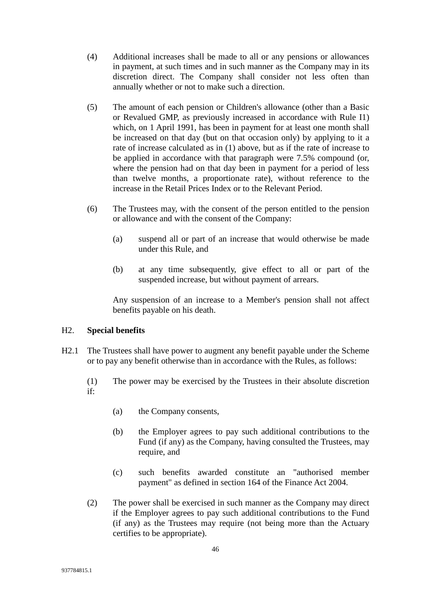- (4) Additional increases shall be made to all or any pensions or allowances in payment, at such times and in such manner as the Company may in its discretion direct. The Company shall consider not less often than annually whether or not to make such a direction.
- (5) The amount of each pension or Children's allowance (other than a Basic or Revalued GMP, as previously increased in accordance with Rule I1) which, on 1 April 1991, has been in payment for at least one month shall be increased on that day (but on that occasion only) by applying to it a rate of increase calculated as in (1) above, but as if the rate of increase to be applied in accordance with that paragraph were 7.5% compound (or, where the pension had on that day been in payment for a period of less than twelve months, a proportionate rate), without reference to the increase in the Retail Prices Index or to the Relevant Period.
- (6) The Trustees may, with the consent of the person entitled to the pension or allowance and with the consent of the Company:
	- (a) suspend all or part of an increase that would otherwise be made under this Rule, and
	- (b) at any time subsequently, give effect to all or part of the suspended increase, but without payment of arrears.

Any suspension of an increase to a Member's pension shall not affect benefits payable on his death.

### H2. **Special benefits**

- H2.1 The Trustees shall have power to augment any benefit payable under the Scheme or to pay any benefit otherwise than in accordance with the Rules, as follows:
	- (1) The power may be exercised by the Trustees in their absolute discretion if:
		- (a) the Company consents,
		- (b) the Employer agrees to pay such additional contributions to the Fund (if any) as the Company, having consulted the Trustees, may require, and
		- (c) such benefits awarded constitute an "authorised member payment" as defined in section 164 of the Finance Act 2004.
	- (2) The power shall be exercised in such manner as the Company may direct if the Employer agrees to pay such additional contributions to the Fund (if any) as the Trustees may require (not being more than the Actuary certifies to be appropriate).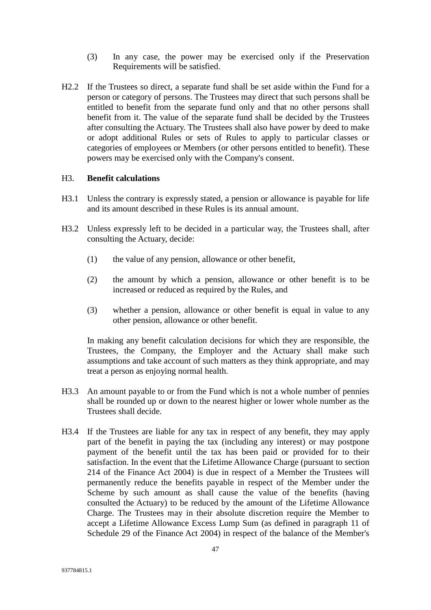- (3) In any case, the power may be exercised only if the Preservation Requirements will be satisfied.
- H2.2 If the Trustees so direct, a separate fund shall be set aside within the Fund for a person or category of persons. The Trustees may direct that such persons shall be entitled to benefit from the separate fund only and that no other persons shall benefit from it. The value of the separate fund shall be decided by the Trustees after consulting the Actuary. The Trustees shall also have power by deed to make or adopt additional Rules or sets of Rules to apply to particular classes or categories of employees or Members (or other persons entitled to benefit). These powers may be exercised only with the Company's consent.

#### H3. **Benefit calculations**

- H3.1 Unless the contrary is expressly stated, a pension or allowance is payable for life and its amount described in these Rules is its annual amount.
- H3.2 Unless expressly left to be decided in a particular way, the Trustees shall, after consulting the Actuary, decide:
	- (1) the value of any pension, allowance or other benefit,
	- (2) the amount by which a pension, allowance or other benefit is to be increased or reduced as required by the Rules, and
	- (3) whether a pension, allowance or other benefit is equal in value to any other pension, allowance or other benefit.

In making any benefit calculation decisions for which they are responsible, the Trustees, the Company, the Employer and the Actuary shall make such assumptions and take account of such matters as they think appropriate, and may treat a person as enjoying normal health.

- H3.3 An amount payable to or from the Fund which is not a whole number of pennies shall be rounded up or down to the nearest higher or lower whole number as the Trustees shall decide.
- H3.4 If the Trustees are liable for any tax in respect of any benefit, they may apply part of the benefit in paying the tax (including any interest) or may postpone payment of the benefit until the tax has been paid or provided for to their satisfaction. In the event that the Lifetime Allowance Charge (pursuant to section 214 of the Finance Act 2004) is due in respect of a Member the Trustees will permanently reduce the benefits payable in respect of the Member under the Scheme by such amount as shall cause the value of the benefits (having consulted the Actuary) to be reduced by the amount of the Lifetime Allowance Charge. The Trustees may in their absolute discretion require the Member to accept a Lifetime Allowance Excess Lump Sum (as defined in paragraph 11 of Schedule 29 of the Finance Act 2004) in respect of the balance of the Member's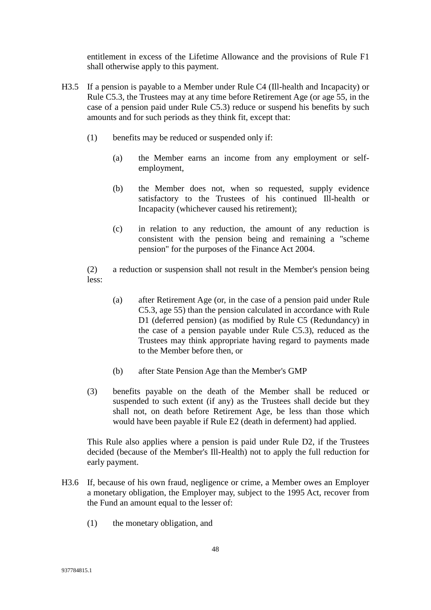entitlement in excess of the Lifetime Allowance and the provisions of Rule F1 shall otherwise apply to this payment.

- H3.5 If a pension is payable to a Member under Rule C4 (Ill-health and Incapacity) or Rule C5.3, the Trustees may at any time before Retirement Age (or age 55, in the case of a pension paid under Rule C5.3) reduce or suspend his benefits by such amounts and for such periods as they think fit, except that:
	- (1) benefits may be reduced or suspended only if:
		- (a) the Member earns an income from any employment or selfemployment,
		- (b) the Member does not, when so requested, supply evidence satisfactory to the Trustees of his continued Ill-health or Incapacity (whichever caused his retirement);
		- (c) in relation to any reduction, the amount of any reduction is consistent with the pension being and remaining a "scheme pension" for the purposes of the Finance Act 2004.

(2) a reduction or suspension shall not result in the Member's pension being less:

- (a) after Retirement Age (or, in the case of a pension paid under Rule C5.3, age 55) than the pension calculated in accordance with Rule D1 (deferred pension) (as modified by Rule C5 (Redundancy) in the case of a pension payable under Rule C5.3), reduced as the Trustees may think appropriate having regard to payments made to the Member before then, or
- (b) after State Pension Age than the Member's GMP
- (3) benefits payable on the death of the Member shall be reduced or suspended to such extent (if any) as the Trustees shall decide but they shall not, on death before Retirement Age, be less than those which would have been payable if Rule E2 (death in deferment) had applied.

This Rule also applies where a pension is paid under Rule D2, if the Trustees decided (because of the Member's Ill-Health) not to apply the full reduction for early payment.

- H3.6 If, because of his own fraud, negligence or crime, a Member owes an Employer a monetary obligation, the Employer may, subject to the 1995 Act, recover from the Fund an amount equal to the lesser of:
	- (1) the monetary obligation, and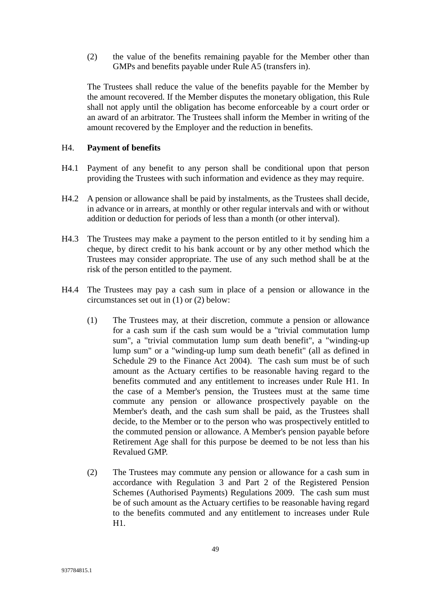(2) the value of the benefits remaining payable for the Member other than GMPs and benefits payable under Rule A5 (transfers in).

The Trustees shall reduce the value of the benefits payable for the Member by the amount recovered. If the Member disputes the monetary obligation, this Rule shall not apply until the obligation has become enforceable by a court order or an award of an arbitrator. The Trustees shall inform the Member in writing of the amount recovered by the Employer and the reduction in benefits.

## H4. **Payment of benefits**

- H4.1 Payment of any benefit to any person shall be conditional upon that person providing the Trustees with such information and evidence as they may require.
- H4.2 A pension or allowance shall be paid by instalments, as the Trustees shall decide, in advance or in arrears, at monthly or other regular intervals and with or without addition or deduction for periods of less than a month (or other interval).
- H4.3 The Trustees may make a payment to the person entitled to it by sending him a cheque, by direct credit to his bank account or by any other method which the Trustees may consider appropriate. The use of any such method shall be at the risk of the person entitled to the payment.
- H4.4 The Trustees may pay a cash sum in place of a pension or allowance in the circumstances set out in (1) or (2) below:
	- (1) The Trustees may, at their discretion, commute a pension or allowance for a cash sum if the cash sum would be a "trivial commutation lump sum", a "trivial commutation lump sum death benefit", a "winding-up lump sum" or a "winding-up lump sum death benefit" (all as defined in Schedule 29 to the Finance Act 2004). The cash sum must be of such amount as the Actuary certifies to be reasonable having regard to the benefits commuted and any entitlement to increases under Rule H1. In the case of a Member's pension, the Trustees must at the same time commute any pension or allowance prospectively payable on the Member's death, and the cash sum shall be paid, as the Trustees shall decide, to the Member or to the person who was prospectively entitled to the commuted pension or allowance. A Member's pension payable before Retirement Age shall for this purpose be deemed to be not less than his Revalued GMP.
	- (2) The Trustees may commute any pension or allowance for a cash sum in accordance with Regulation 3 and Part 2 of the Registered Pension Schemes (Authorised Payments) Regulations 2009. The cash sum must be of such amount as the Actuary certifies to be reasonable having regard to the benefits commuted and any entitlement to increases under Rule H1.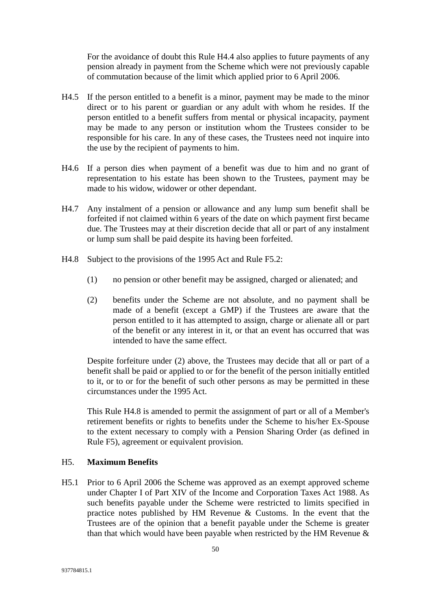For the avoidance of doubt this Rule H4.4 also applies to future payments of any pension already in payment from the Scheme which were not previously capable of commutation because of the limit which applied prior to 6 April 2006.

- H4.5 If the person entitled to a benefit is a minor, payment may be made to the minor direct or to his parent or guardian or any adult with whom he resides. If the person entitled to a benefit suffers from mental or physical incapacity, payment may be made to any person or institution whom the Trustees consider to be responsible for his care. In any of these cases, the Trustees need not inquire into the use by the recipient of payments to him.
- H4.6 If a person dies when payment of a benefit was due to him and no grant of representation to his estate has been shown to the Trustees, payment may be made to his widow, widower or other dependant.
- H4.7 Any instalment of a pension or allowance and any lump sum benefit shall be forfeited if not claimed within 6 years of the date on which payment first became due. The Trustees may at their discretion decide that all or part of any instalment or lump sum shall be paid despite its having been forfeited.
- H4.8 Subject to the provisions of the 1995 Act and Rule F5.2:
	- (1) no pension or other benefit may be assigned, charged or alienated; and
	- (2) benefits under the Scheme are not absolute, and no payment shall be made of a benefit (except a GMP) if the Trustees are aware that the person entitled to it has attempted to assign, charge or alienate all or part of the benefit or any interest in it, or that an event has occurred that was intended to have the same effect.

Despite forfeiture under (2) above, the Trustees may decide that all or part of a benefit shall be paid or applied to or for the benefit of the person initially entitled to it, or to or for the benefit of such other persons as may be permitted in these circumstances under the 1995 Act.

This Rule H4.8 is amended to permit the assignment of part or all of a Member's retirement benefits or rights to benefits under the Scheme to his/her Ex-Spouse to the extent necessary to comply with a Pension Sharing Order (as defined in Rule F5), agreement or equivalent provision.

### H5. **Maximum Benefits**

H5.1 Prior to 6 April 2006 the Scheme was approved as an exempt approved scheme under Chapter I of Part XIV of the Income and Corporation Taxes Act 1988. As such benefits payable under the Scheme were restricted to limits specified in practice notes published by HM Revenue & Customs. In the event that the Trustees are of the opinion that a benefit payable under the Scheme is greater than that which would have been payable when restricted by the HM Revenue  $\&$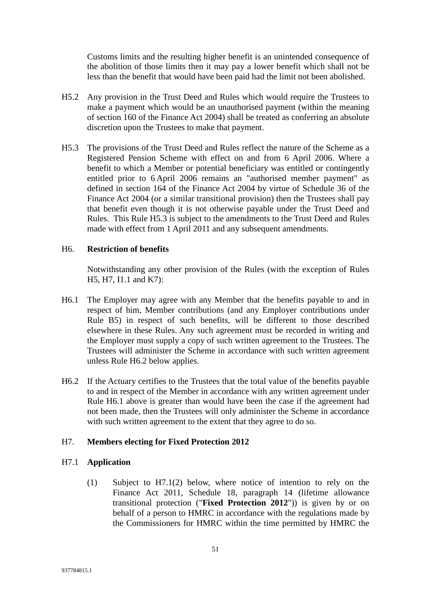Customs limits and the resulting higher benefit is an unintended consequence of the abolition of those limits then it may pay a lower benefit which shall not be less than the benefit that would have been paid had the limit not been abolished.

- H5.2 Any provision in the Trust Deed and Rules which would require the Trustees to make a payment which would be an unauthorised payment (within the meaning of section 160 of the Finance Act 2004) shall be treated as conferring an absolute discretion upon the Trustees to make that payment.
- H5.3 The provisions of the Trust Deed and Rules reflect the nature of the Scheme as a Registered Pension Scheme with effect on and from 6 April 2006. Where a benefit to which a Member or potential beneficiary was entitled or contingently entitled prior to 6 April 2006 remains an "authorised member payment" as defined in section 164 of the Finance Act 2004 by virtue of Schedule 36 of the Finance Act 2004 (or a similar transitional provision) then the Trustees shall pay that benefit even though it is not otherwise payable under the Trust Deed and Rules. This Rule H5.3 is subject to the amendments to the Trust Deed and Rules made with effect from 1 April 2011 and any subsequent amendments.

#### H6. **Restriction of benefits**

Notwithstanding any other provision of the Rules (with the exception of Rules H5, H7, I1.1 and K7):

- H6.1 The Employer may agree with any Member that the benefits payable to and in respect of him, Member contributions (and any Employer contributions under Rule B5) in respect of such benefits, will be different to those described elsewhere in these Rules. Any such agreement must be recorded in writing and the Employer must supply a copy of such written agreement to the Trustees. The Trustees will administer the Scheme in accordance with such written agreement unless Rule H6.2 below applies.
- H6.2 If the Actuary certifies to the Trustees that the total value of the benefits payable to and in respect of the Member in accordance with any written agreement under Rule H6.1 above is greater than would have been the case if the agreement had not been made, then the Trustees will only administer the Scheme in accordance with such written agreement to the extent that they agree to do so.

### H7. **Members electing for Fixed Protection 2012**

#### H7.1 **Application**

(1) Subject to H7.1(2) below, where notice of intention to rely on the Finance Act 2011, Schedule 18, paragraph 14 (lifetime allowance transitional protection ("**Fixed Protection 2012**")) is given by or on behalf of a person to HMRC in accordance with the regulations made by the Commissioners for HMRC within the time permitted by HMRC the

51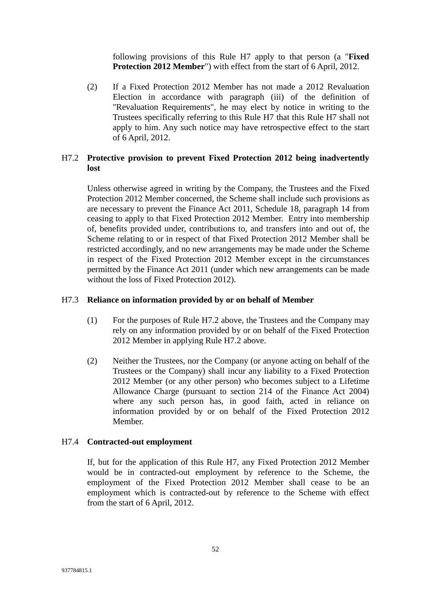following provisions of this Rule H7 apply to that person (a "**Fixed Protection 2012 Member**") with effect from the start of 6 April, 2012.

(2) If a Fixed Protection 2012 Member has not made a 2012 Revaluation Election in accordance with paragraph (iii) of the definition of "Revaluation Requirements", he may elect by notice in writing to the Trustees specifically referring to this Rule H7 that this Rule H7 shall not apply to him. Any such notice may have retrospective effect to the start of 6 April, 2012.

## H7.2 **Protective provision to prevent Fixed Protection 2012 being inadvertently lost**

Unless otherwise agreed in writing by the Company, the Trustees and the Fixed Protection 2012 Member concerned, the Scheme shall include such provisions as are necessary to prevent the Finance Act 2011, Schedule 18, paragraph 14 from ceasing to apply to that Fixed Protection 2012 Member. Entry into membership of, benefits provided under, contributions to, and transfers into and out of, the Scheme relating to or in respect of that Fixed Protection 2012 Member shall be restricted accordingly, and no new arrangements may be made under the Scheme in respect of the Fixed Protection 2012 Member except in the circumstances permitted by the Finance Act 2011 (under which new arrangements can be made without the loss of Fixed Protection 2012).

### H7.3 **Reliance on information provided by or on behalf of Member**

- (1) For the purposes of Rule H7.2 above, the Trustees and the Company may rely on any information provided by or on behalf of the Fixed Protection 2012 Member in applying Rule H7.2 above.
- (2) Neither the Trustees, nor the Company (or anyone acting on behalf of the Trustees or the Company) shall incur any liability to a Fixed Protection 2012 Member (or any other person) who becomes subject to a Lifetime Allowance Charge (pursuant to section 214 of the Finance Act 2004) where any such person has, in good faith, acted in reliance on information provided by or on behalf of the Fixed Protection 2012 Member.

### H7.4 **Contracted-out employment**

If, but for the application of this Rule H7, any Fixed Protection 2012 Member would be in contracted-out employment by reference to the Scheme, the employment of the Fixed Protection 2012 Member shall cease to be an employment which is contracted-out by reference to the Scheme with effect from the start of 6 April, 2012.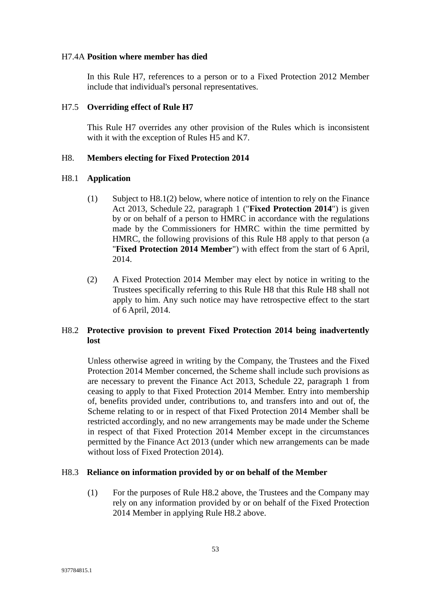#### H7.4A **Position where member has died**

In this Rule H7, references to a person or to a Fixed Protection 2012 Member include that individual's personal representatives.

#### H7.5 **Overriding effect of Rule H7**

This Rule H7 overrides any other provision of the Rules which is inconsistent with it with the exception of Rules H5 and K7.

#### H8. **Members electing for Fixed Protection 2014**

#### H8.1 **Application**

- (1) Subject to H8.1(2) below, where notice of intention to rely on the Finance Act 2013, Schedule 22, paragraph 1 ("**Fixed Protection 2014**") is given by or on behalf of a person to HMRC in accordance with the regulations made by the Commissioners for HMRC within the time permitted by HMRC, the following provisions of this Rule H8 apply to that person (a "**Fixed Protection 2014 Member**") with effect from the start of 6 April, 2014.
- (2) A Fixed Protection 2014 Member may elect by notice in writing to the Trustees specifically referring to this Rule H8 that this Rule H8 shall not apply to him. Any such notice may have retrospective effect to the start of 6 April, 2014.

## H8.2 **Protective provision to prevent Fixed Protection 2014 being inadvertently lost**

Unless otherwise agreed in writing by the Company, the Trustees and the Fixed Protection 2014 Member concerned, the Scheme shall include such provisions as are necessary to prevent the Finance Act 2013, Schedule 22, paragraph 1 from ceasing to apply to that Fixed Protection 2014 Member. Entry into membership of, benefits provided under, contributions to, and transfers into and out of, the Scheme relating to or in respect of that Fixed Protection 2014 Member shall be restricted accordingly, and no new arrangements may be made under the Scheme in respect of that Fixed Protection 2014 Member except in the circumstances permitted by the Finance Act 2013 (under which new arrangements can be made without loss of Fixed Protection 2014).

### H8.3 **Reliance on information provided by or on behalf of the Member**

(1) For the purposes of Rule H8.2 above, the Trustees and the Company may rely on any information provided by or on behalf of the Fixed Protection 2014 Member in applying Rule H8.2 above.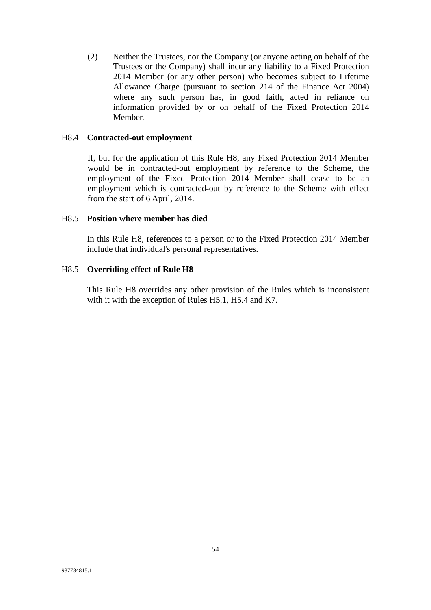(2) Neither the Trustees, nor the Company (or anyone acting on behalf of the Trustees or the Company) shall incur any liability to a Fixed Protection 2014 Member (or any other person) who becomes subject to Lifetime Allowance Charge (pursuant to section 214 of the Finance Act 2004) where any such person has, in good faith, acted in reliance on information provided by or on behalf of the Fixed Protection 2014 Member.

### H8.4 **Contracted-out employment**

If, but for the application of this Rule H8, any Fixed Protection 2014 Member would be in contracted-out employment by reference to the Scheme, the employment of the Fixed Protection 2014 Member shall cease to be an employment which is contracted-out by reference to the Scheme with effect from the start of 6 April, 2014.

#### H8.5 **Position where member has died**

In this Rule H8, references to a person or to the Fixed Protection 2014 Member include that individual's personal representatives.

#### H8.5 **Overriding effect of Rule H8**

This Rule H8 overrides any other provision of the Rules which is inconsistent with it with the exception of Rules H5.1, H5.4 and K7.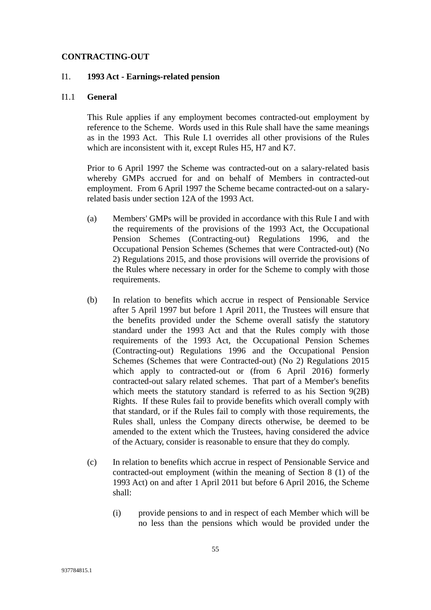#### **CONTRACTING-OUT**

## I1. **1993 Act - Earnings-related pension**

#### I1.1 **General**

This Rule applies if any employment becomes contracted-out employment by reference to the Scheme. Words used in this Rule shall have the same meanings as in the 1993 Act. This Rule I.1 overrides all other provisions of the Rules which are inconsistent with it, except Rules H5, H7 and K7.

Prior to 6 April 1997 the Scheme was contracted-out on a salary-related basis whereby GMPs accrued for and on behalf of Members in contracted-out employment. From 6 April 1997 the Scheme became contracted-out on a salaryrelated basis under section 12A of the 1993 Act.

- (a) Members' GMPs will be provided in accordance with this Rule I and with the requirements of the provisions of the 1993 Act, the Occupational Pension Schemes (Contracting-out) Regulations 1996, and the Occupational Pension Schemes (Schemes that were Contracted-out) (No 2) Regulations 2015, and those provisions will override the provisions of the Rules where necessary in order for the Scheme to comply with those requirements.
- (b) In relation to benefits which accrue in respect of Pensionable Service after 5 April 1997 but before 1 April 2011, the Trustees will ensure that the benefits provided under the Scheme overall satisfy the statutory standard under the 1993 Act and that the Rules comply with those requirements of the 1993 Act, the Occupational Pension Schemes (Contracting-out) Regulations 1996 and the Occupational Pension Schemes (Schemes that were Contracted-out) (No 2) Regulations 2015 which apply to contracted-out or (from 6 April 2016) formerly contracted-out salary related schemes. That part of a Member's benefits which meets the statutory standard is referred to as his Section 9(2B) Rights. If these Rules fail to provide benefits which overall comply with that standard, or if the Rules fail to comply with those requirements, the Rules shall, unless the Company directs otherwise, be deemed to be amended to the extent which the Trustees, having considered the advice of the Actuary, consider is reasonable to ensure that they do comply.
- (c) In relation to benefits which accrue in respect of Pensionable Service and contracted-out employment (within the meaning of Section 8 (1) of the 1993 Act) on and after 1 April 2011 but before 6 April 2016, the Scheme shall:
	- (i) provide pensions to and in respect of each Member which will be no less than the pensions which would be provided under the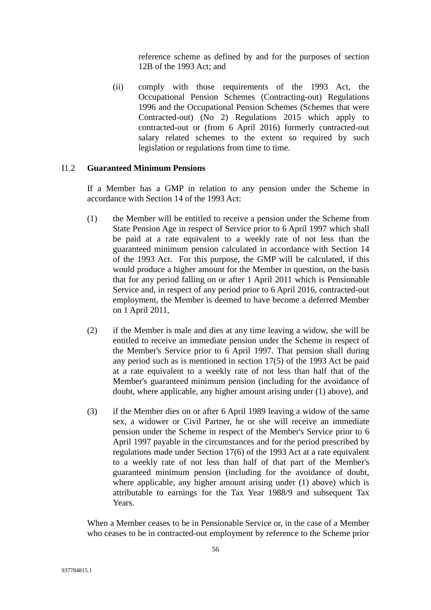reference scheme as defined by and for the purposes of section 12B of the 1993 Act; and

(ii) comply with those requirements of the 1993 Act, the Occupational Pension Schemes (Contracting-out) Regulations 1996 and the Occupational Pension Schemes (Schemes that were Contracted-out) (No 2) Regulations 2015 which apply to contracted-out or (from 6 April 2016) formerly contracted-out salary related schemes to the extent so required by such legislation or regulations from time to time.

## I1.2 **Guaranteed Minimum Pensions**

If a Member has a GMP in relation to any pension under the Scheme in accordance with Section 14 of the 1993 Act:

- (1) the Member will be entitled to receive a pension under the Scheme from State Pension Age in respect of Service prior to 6 April 1997 which shall be paid at a rate equivalent to a weekly rate of not less than the guaranteed minimum pension calculated in accordance with Section 14 of the 1993 Act. For this purpose, the GMP will be calculated, if this would produce a higher amount for the Member in question, on the basis that for any period falling on or after 1 April 2011 which is Pensionable Service and, in respect of any period prior to 6 April 2016, contracted-out employment, the Member is deemed to have become a deferred Member on 1 April 2011,
- (2) if the Member is male and dies at any time leaving a widow, she will be entitled to receive an immediate pension under the Scheme in respect of the Member's Service prior to 6 April 1997. That pension shall during any period such as is mentioned in section 17(5) of the 1993 Act be paid at a rate equivalent to a weekly rate of not less than half that of the Member's guaranteed minimum pension (including for the avoidance of doubt, where applicable, any higher amount arising under (1) above), and
- (3) if the Member dies on or after 6 April 1989 leaving a widow of the same sex, a widower or Civil Partner, he or she will receive an immediate pension under the Scheme in respect of the Member's Service prior to 6 April 1997 payable in the circumstances and for the period prescribed by regulations made under Section 17(6) of the 1993 Act at a rate equivalent to a weekly rate of not less than half of that part of the Member's guaranteed minimum pension (including for the avoidance of doubt, where applicable, any higher amount arising under (1) above) which is attributable to earnings for the Tax Year 1988/9 and subsequent Tax Years.

When a Member ceases to be in Pensionable Service or, in the case of a Member who ceases to be in contracted-out employment by reference to the Scheme prior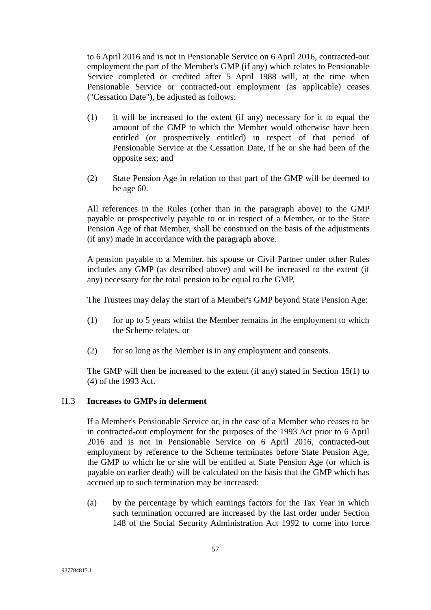to 6 April 2016 and is not in Pensionable Service on 6 April 2016, contracted-out employment the part of the Member's GMP (if any) which relates to Pensionable Service completed or credited after 5 April 1988 will, at the time when Pensionable Service or contracted-out employment (as applicable) ceases ("Cessation Date"), be adjusted as follows:

- (1) it will be increased to the extent (if any) necessary for it to equal the amount of the GMP to which the Member would otherwise have been entitled (or prospectively entitled) in respect of that period of Pensionable Service at the Cessation Date, if he or she had been of the opposite sex; and
- (2) State Pension Age in relation to that part of the GMP will be deemed to be age 60.

All references in the Rules (other than in the paragraph above) to the GMP payable or prospectively payable to or in respect of a Member, or to the State Pension Age of that Member, shall be construed on the basis of the adjustments (if any) made in accordance with the paragraph above.

A pension payable to a Member, his spouse or Civil Partner under other Rules includes any GMP (as described above) and will be increased to the extent (if any) necessary for the total pension to be equal to the GMP.

The Trustees may delay the start of a Member's GMP beyond State Pension Age:

- (1) for up to 5 years whilst the Member remains in the employment to which the Scheme relates, or
- (2) for so long as the Member is in any employment and consents.

The GMP will then be increased to the extent (if any) stated in Section 15(1) to (4) of the 1993 Act.

### I1.3 **Increases to GMPs in deferment**

If a Member's Pensionable Service or, in the case of a Member who ceases to be in contracted-out employment for the purposes of the 1993 Act prior to 6 April 2016 and is not in Pensionable Service on 6 April 2016, contracted-out employment by reference to the Scheme terminates before State Pension Age, the GMP to which he or she will be entitled at State Pension Age (or which is payable on earlier death) will be calculated on the basis that the GMP which has accrued up to such termination may be increased:

(a) by the percentage by which earnings factors for the Tax Year in which such termination occurred are increased by the last order under Section 148 of the Social Security Administration Act 1992 to come into force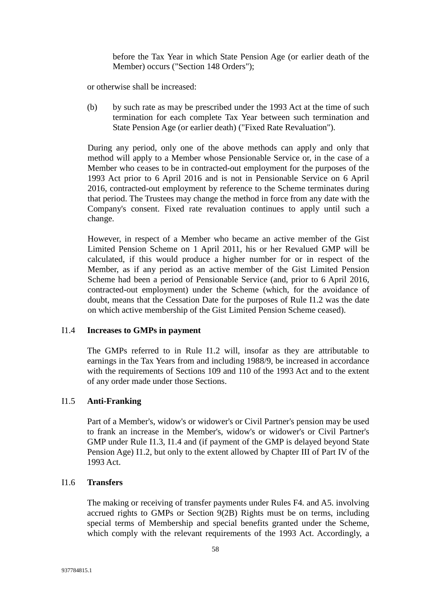before the Tax Year in which State Pension Age (or earlier death of the Member) occurs ("Section 148 Orders");

or otherwise shall be increased:

(b) by such rate as may be prescribed under the 1993 Act at the time of such termination for each complete Tax Year between such termination and State Pension Age (or earlier death) ("Fixed Rate Revaluation").

During any period, only one of the above methods can apply and only that method will apply to a Member whose Pensionable Service or, in the case of a Member who ceases to be in contracted-out employment for the purposes of the 1993 Act prior to 6 April 2016 and is not in Pensionable Service on 6 April 2016, contracted-out employment by reference to the Scheme terminates during that period. The Trustees may change the method in force from any date with the Company's consent. Fixed rate revaluation continues to apply until such a change.

However, in respect of a Member who became an active member of the Gist Limited Pension Scheme on 1 April 2011, his or her Revalued GMP will be calculated, if this would produce a higher number for or in respect of the Member, as if any period as an active member of the Gist Limited Pension Scheme had been a period of Pensionable Service (and, prior to 6 April 2016, contracted-out employment) under the Scheme (which, for the avoidance of doubt, means that the Cessation Date for the purposes of Rule I1.2 was the date on which active membership of the Gist Limited Pension Scheme ceased).

### I1.4 **Increases to GMPs in payment**

The GMPs referred to in Rule I1.2 will, insofar as they are attributable to earnings in the Tax Years from and including 1988/9, be increased in accordance with the requirements of Sections 109 and 110 of the 1993 Act and to the extent of any order made under those Sections.

## I1.5 **Anti-Franking**

Part of a Member's, widow's or widower's or Civil Partner's pension may be used to frank an increase in the Member's, widow's or widower's or Civil Partner's GMP under Rule I1.3, I1.4 and (if payment of the GMP is delayed beyond State Pension Age) I1.2, but only to the extent allowed by Chapter III of Part IV of the 1993 Act.

#### I1.6 **Transfers**

The making or receiving of transfer payments under Rules F4. and A5. involving accrued rights to GMPs or Section 9(2B) Rights must be on terms, including special terms of Membership and special benefits granted under the Scheme, which comply with the relevant requirements of the 1993 Act. Accordingly, a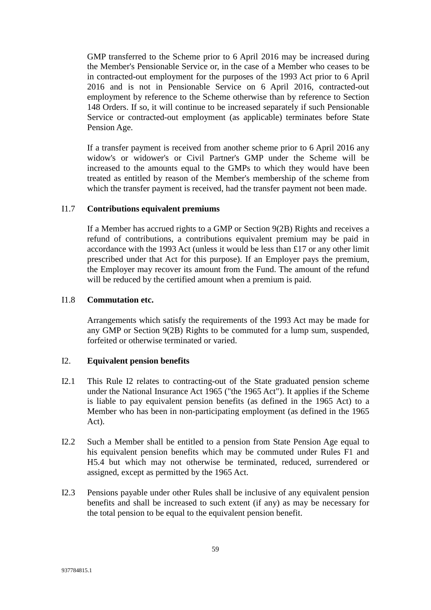GMP transferred to the Scheme prior to 6 April 2016 may be increased during the Member's Pensionable Service or, in the case of a Member who ceases to be in contracted-out employment for the purposes of the 1993 Act prior to 6 April 2016 and is not in Pensionable Service on 6 April 2016, contracted-out employment by reference to the Scheme otherwise than by reference to Section 148 Orders. If so, it will continue to be increased separately if such Pensionable Service or contracted-out employment (as applicable) terminates before State Pension Age.

If a transfer payment is received from another scheme prior to 6 April 2016 any widow's or widower's or Civil Partner's GMP under the Scheme will be increased to the amounts equal to the GMPs to which they would have been treated as entitled by reason of the Member's membership of the scheme from which the transfer payment is received, had the transfer payment not been made.

### I1.7 **Contributions equivalent premiums**

If a Member has accrued rights to a GMP or Section 9(2B) Rights and receives a refund of contributions, a contributions equivalent premium may be paid in accordance with the 1993 Act (unless it would be less than £17 or any other limit prescribed under that Act for this purpose). If an Employer pays the premium, the Employer may recover its amount from the Fund. The amount of the refund will be reduced by the certified amount when a premium is paid.

### I1.8 **Commutation etc.**

Arrangements which satisfy the requirements of the 1993 Act may be made for any GMP or Section 9(2B) Rights to be commuted for a lump sum, suspended, forfeited or otherwise terminated or varied.

## I2. **Equivalent pension benefits**

- I2.1 This Rule I2 relates to contracting-out of the State graduated pension scheme under the National Insurance Act 1965 ("the 1965 Act"). It applies if the Scheme is liable to pay equivalent pension benefits (as defined in the 1965 Act) to a Member who has been in non-participating employment (as defined in the 1965 Act).
- I2.2 Such a Member shall be entitled to a pension from State Pension Age equal to his equivalent pension benefits which may be commuted under Rules F1 and H5.4 but which may not otherwise be terminated, reduced, surrendered or assigned, except as permitted by the 1965 Act.
- I2.3 Pensions payable under other Rules shall be inclusive of any equivalent pension benefits and shall be increased to such extent (if any) as may be necessary for the total pension to be equal to the equivalent pension benefit.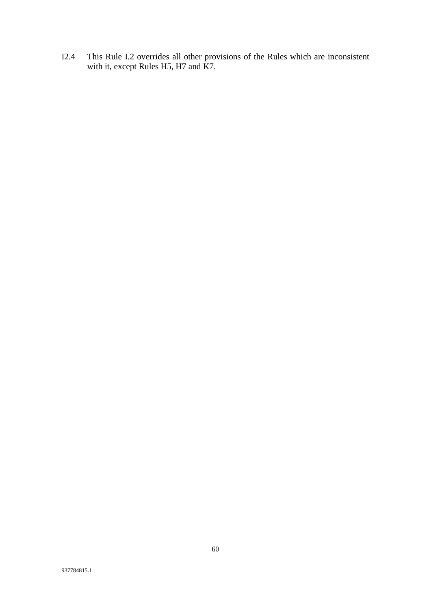I2.4 This Rule I.2 overrides all other provisions of the Rules which are inconsistent with it, except Rules H5, H7 and K7.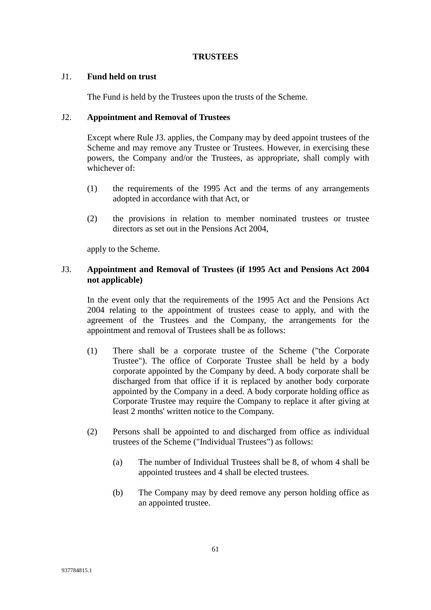#### **TRUSTEES**

### J1. **Fund held on trust**

The Fund is held by the Trustees upon the trusts of the Scheme.

#### J2. **Appointment and Removal of Trustees**

Except where Rule J3. applies, the Company may by deed appoint trustees of the Scheme and may remove any Trustee or Trustees. However, in exercising these powers, the Company and/or the Trustees, as appropriate, shall comply with whichever of:

- (1) the requirements of the 1995 Act and the terms of any arrangements adopted in accordance with that Act, or
- (2) the provisions in relation to member nominated trustees or trustee directors as set out in the Pensions Act 2004,

apply to the Scheme.

## J3. **Appointment and Removal of Trustees (if 1995 Act and Pensions Act 2004 not applicable)**

In the event only that the requirements of the 1995 Act and the Pensions Act 2004 relating to the appointment of trustees cease to apply, and with the agreement of the Trustees and the Company, the arrangements for the appointment and removal of Trustees shall be as follows:

- (1) There shall be a corporate trustee of the Scheme ("the Corporate Trustee"). The office of Corporate Trustee shall be held by a body corporate appointed by the Company by deed. A body corporate shall be discharged from that office if it is replaced by another body corporate appointed by the Company in a deed. A body corporate holding office as Corporate Trustee may require the Company to replace it after giving at least 2 months' written notice to the Company.
- (2) Persons shall be appointed to and discharged from office as individual trustees of the Scheme ("Individual Trustees") as follows:
	- (a) The number of Individual Trustees shall be 8, of whom 4 shall be appointed trustees and 4 shall be elected trustees.
	- (b) The Company may by deed remove any person holding office as an appointed trustee.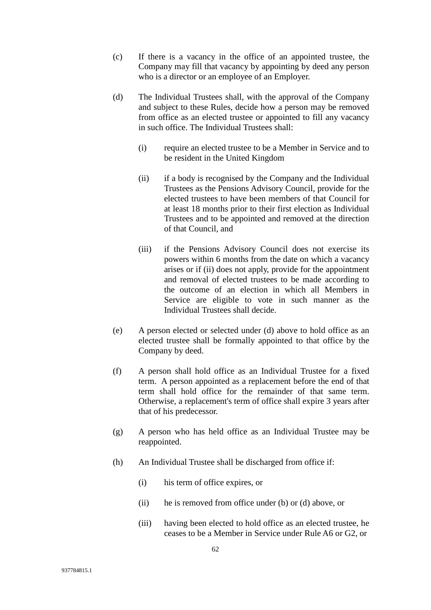- (c) If there is a vacancy in the office of an appointed trustee, the Company may fill that vacancy by appointing by deed any person who is a director or an employee of an Employer.
- (d) The Individual Trustees shall, with the approval of the Company and subject to these Rules, decide how a person may be removed from office as an elected trustee or appointed to fill any vacancy in such office. The Individual Trustees shall:
	- (i) require an elected trustee to be a Member in Service and to be resident in the United Kingdom
	- (ii) if a body is recognised by the Company and the Individual Trustees as the Pensions Advisory Council, provide for the elected trustees to have been members of that Council for at least 18 months prior to their first election as Individual Trustees and to be appointed and removed at the direction of that Council, and
	- (iii) if the Pensions Advisory Council does not exercise its powers within 6 months from the date on which a vacancy arises or if (ii) does not apply, provide for the appointment and removal of elected trustees to be made according to the outcome of an election in which all Members in Service are eligible to vote in such manner as the Individual Trustees shall decide.
- (e) A person elected or selected under (d) above to hold office as an elected trustee shall be formally appointed to that office by the Company by deed.
- (f) A person shall hold office as an Individual Trustee for a fixed term. A person appointed as a replacement before the end of that term shall hold office for the remainder of that same term. Otherwise, a replacement's term of office shall expire 3 years after that of his predecessor.
- (g) A person who has held office as an Individual Trustee may be reappointed.
- (h) An Individual Trustee shall be discharged from office if:
	- (i) his term of office expires, or
	- (ii) he is removed from office under (b) or (d) above, or
	- (iii) having been elected to hold office as an elected trustee, he ceases to be a Member in Service under Rule A6 or G2, or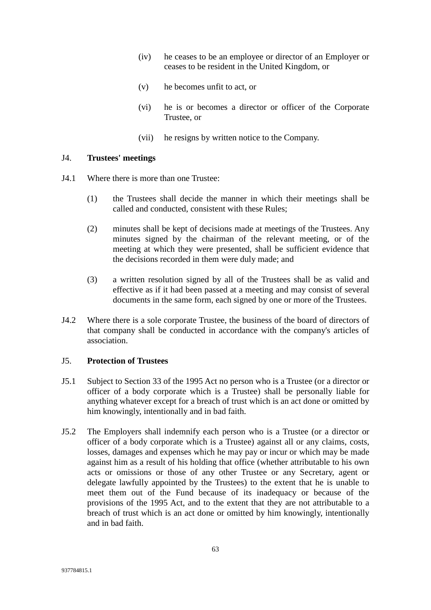- (iv) he ceases to be an employee or director of an Employer or ceases to be resident in the United Kingdom, or
- (v) he becomes unfit to act, or
- (vi) he is or becomes a director or officer of the Corporate Trustee, or
- (vii) he resigns by written notice to the Company.

### J4. **Trustees' meetings**

- J4.1 Where there is more than one Trustee:
	- (1) the Trustees shall decide the manner in which their meetings shall be called and conducted, consistent with these Rules;
	- (2) minutes shall be kept of decisions made at meetings of the Trustees. Any minutes signed by the chairman of the relevant meeting, or of the meeting at which they were presented, shall be sufficient evidence that the decisions recorded in them were duly made; and
	- (3) a written resolution signed by all of the Trustees shall be as valid and effective as if it had been passed at a meeting and may consist of several documents in the same form, each signed by one or more of the Trustees.
- J4.2 Where there is a sole corporate Trustee, the business of the board of directors of that company shall be conducted in accordance with the company's articles of association.

# J5. **Protection of Trustees**

- J5.1 Subject to Section 33 of the 1995 Act no person who is a Trustee (or a director or officer of a body corporate which is a Trustee) shall be personally liable for anything whatever except for a breach of trust which is an act done or omitted by him knowingly, intentionally and in bad faith.
- J5.2 The Employers shall indemnify each person who is a Trustee (or a director or officer of a body corporate which is a Trustee) against all or any claims, costs, losses, damages and expenses which he may pay or incur or which may be made against him as a result of his holding that office (whether attributable to his own acts or omissions or those of any other Trustee or any Secretary, agent or delegate lawfully appointed by the Trustees) to the extent that he is unable to meet them out of the Fund because of its inadequacy or because of the provisions of the 1995 Act, and to the extent that they are not attributable to a breach of trust which is an act done or omitted by him knowingly, intentionally and in bad faith.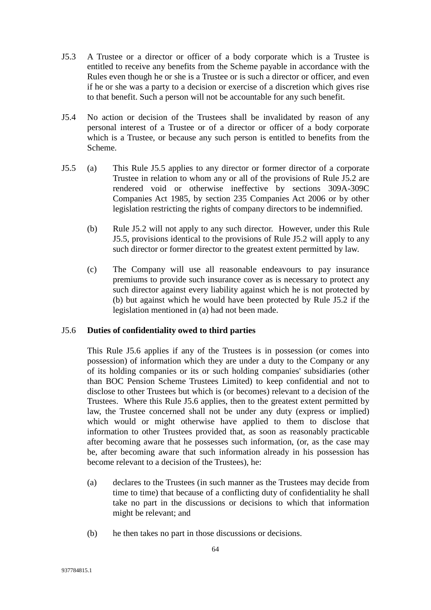- J5.3 A Trustee or a director or officer of a body corporate which is a Trustee is entitled to receive any benefits from the Scheme payable in accordance with the Rules even though he or she is a Trustee or is such a director or officer, and even if he or she was a party to a decision or exercise of a discretion which gives rise to that benefit. Such a person will not be accountable for any such benefit.
- J5.4 No action or decision of the Trustees shall be invalidated by reason of any personal interest of a Trustee or of a director or officer of a body corporate which is a Trustee, or because any such person is entitled to benefits from the Scheme.
- J5.5 (a) This Rule J5.5 applies to any director or former director of a corporate Trustee in relation to whom any or all of the provisions of Rule J5.2 are rendered void or otherwise ineffective by sections 309A-309C Companies Act 1985, by section 235 Companies Act 2006 or by other legislation restricting the rights of company directors to be indemnified.
	- (b) Rule J5.2 will not apply to any such director. However, under this Rule J5.5, provisions identical to the provisions of Rule J5.2 will apply to any such director or former director to the greatest extent permitted by law.
	- (c) The Company will use all reasonable endeavours to pay insurance premiums to provide such insurance cover as is necessary to protect any such director against every liability against which he is not protected by (b) but against which he would have been protected by Rule J5.2 if the legislation mentioned in (a) had not been made.

### J5.6 **Duties of confidentiality owed to third parties**

This Rule J5.6 applies if any of the Trustees is in possession (or comes into possession) of information which they are under a duty to the Company or any of its holding companies or its or such holding companies' subsidiaries (other than BOC Pension Scheme Trustees Limited) to keep confidential and not to disclose to other Trustees but which is (or becomes) relevant to a decision of the Trustees. Where this Rule J5.6 applies, then to the greatest extent permitted by law, the Trustee concerned shall not be under any duty (express or implied) which would or might otherwise have applied to them to disclose that information to other Trustees provided that, as soon as reasonably practicable after becoming aware that he possesses such information, (or, as the case may be, after becoming aware that such information already in his possession has become relevant to a decision of the Trustees), he:

- (a) declares to the Trustees (in such manner as the Trustees may decide from time to time) that because of a conflicting duty of confidentiality he shall take no part in the discussions or decisions to which that information might be relevant; and
- (b) he then takes no part in those discussions or decisions.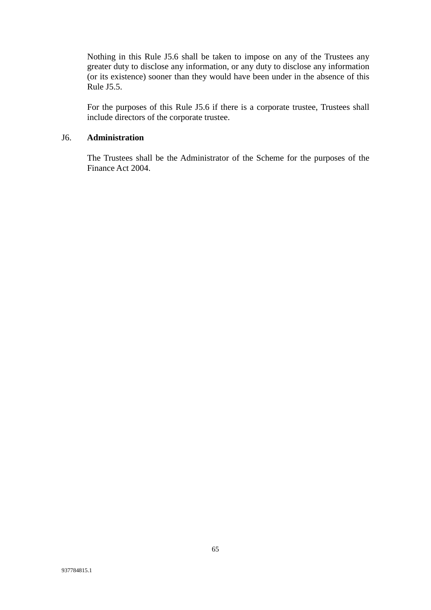Nothing in this Rule J5.6 shall be taken to impose on any of the Trustees any greater duty to disclose any information, or any duty to disclose any information (or its existence) sooner than they would have been under in the absence of this Rule J5.5.

For the purposes of this Rule J5.6 if there is a corporate trustee, Trustees shall include directors of the corporate trustee.

#### J6. **Administration**

The Trustees shall be the Administrator of the Scheme for the purposes of the Finance Act 2004.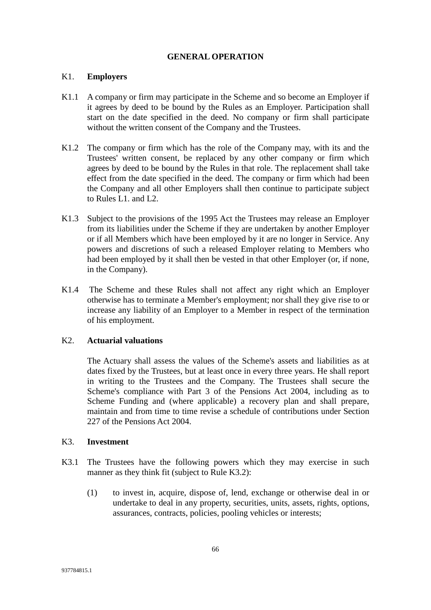#### **GENERAL OPERATION**

### K1. **Employers**

- K1.1 A company or firm may participate in the Scheme and so become an Employer if it agrees by deed to be bound by the Rules as an Employer. Participation shall start on the date specified in the deed. No company or firm shall participate without the written consent of the Company and the Trustees.
- K1.2 The company or firm which has the role of the Company may, with its and the Trustees' written consent, be replaced by any other company or firm which agrees by deed to be bound by the Rules in that role. The replacement shall take effect from the date specified in the deed. The company or firm which had been the Company and all other Employers shall then continue to participate subject to Rules L1. and L2.
- K1.3 Subject to the provisions of the 1995 Act the Trustees may release an Employer from its liabilities under the Scheme if they are undertaken by another Employer or if all Members which have been employed by it are no longer in Service. Any powers and discretions of such a released Employer relating to Members who had been employed by it shall then be vested in that other Employer (or, if none, in the Company).
- K1.4 The Scheme and these Rules shall not affect any right which an Employer otherwise has to terminate a Member's employment; nor shall they give rise to or increase any liability of an Employer to a Member in respect of the termination of his employment.

### K2. **Actuarial valuations**

The Actuary shall assess the values of the Scheme's assets and liabilities as at dates fixed by the Trustees, but at least once in every three years. He shall report in writing to the Trustees and the Company. The Trustees shall secure the Scheme's compliance with Part 3 of the Pensions Act 2004, including as to Scheme Funding and (where applicable) a recovery plan and shall prepare, maintain and from time to time revise a schedule of contributions under Section 227 of the Pensions Act 2004.

#### K3. **Investment**

- K3.1 The Trustees have the following powers which they may exercise in such manner as they think fit (subject to Rule K3.2):
	- (1) to invest in, acquire, dispose of, lend, exchange or otherwise deal in or undertake to deal in any property, securities, units, assets, rights, options, assurances, contracts, policies, pooling vehicles or interests;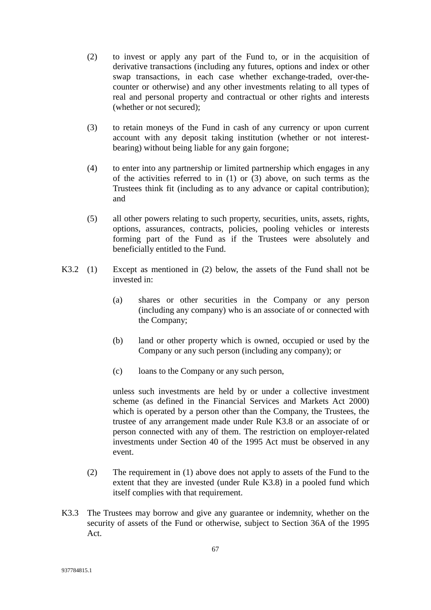- (2) to invest or apply any part of the Fund to, or in the acquisition of derivative transactions (including any futures, options and index or other swap transactions, in each case whether exchange-traded, over-thecounter or otherwise) and any other investments relating to all types of real and personal property and contractual or other rights and interests (whether or not secured);
- (3) to retain moneys of the Fund in cash of any currency or upon current account with any deposit taking institution (whether or not interestbearing) without being liable for any gain forgone;
- (4) to enter into any partnership or limited partnership which engages in any of the activities referred to in (1) or (3) above, on such terms as the Trustees think fit (including as to any advance or capital contribution); and
- (5) all other powers relating to such property, securities, units, assets, rights, options, assurances, contracts, policies, pooling vehicles or interests forming part of the Fund as if the Trustees were absolutely and beneficially entitled to the Fund.
- K3.2 (1) Except as mentioned in (2) below, the assets of the Fund shall not be invested in:
	- (a) shares or other securities in the Company or any person (including any company) who is an associate of or connected with the Company;
	- (b) land or other property which is owned, occupied or used by the Company or any such person (including any company); or
	- (c) loans to the Company or any such person,

unless such investments are held by or under a collective investment scheme (as defined in the Financial Services and Markets Act 2000) which is operated by a person other than the Company, the Trustees, the trustee of any arrangement made under Rule K3.8 or an associate of or person connected with any of them. The restriction on employer-related investments under Section 40 of the 1995 Act must be observed in any event.

- (2) The requirement in (1) above does not apply to assets of the Fund to the extent that they are invested (under Rule K3.8) in a pooled fund which itself complies with that requirement.
- K3.3 The Trustees may borrow and give any guarantee or indemnity, whether on the security of assets of the Fund or otherwise, subject to Section 36A of the 1995 Act.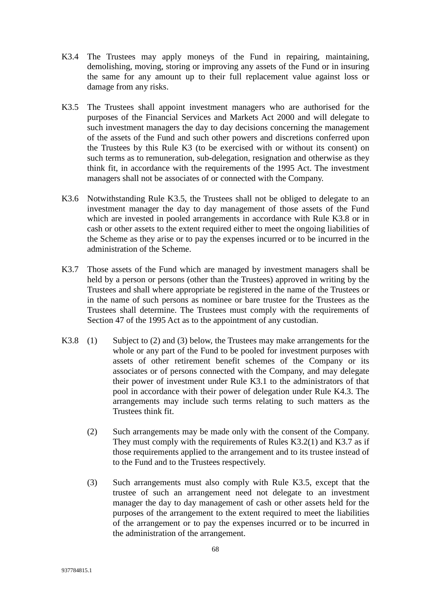- K3.4 The Trustees may apply moneys of the Fund in repairing, maintaining, demolishing, moving, storing or improving any assets of the Fund or in insuring the same for any amount up to their full replacement value against loss or damage from any risks.
- K3.5 The Trustees shall appoint investment managers who are authorised for the purposes of the Financial Services and Markets Act 2000 and will delegate to such investment managers the day to day decisions concerning the management of the assets of the Fund and such other powers and discretions conferred upon the Trustees by this Rule K3 (to be exercised with or without its consent) on such terms as to remuneration, sub-delegation, resignation and otherwise as they think fit, in accordance with the requirements of the 1995 Act. The investment managers shall not be associates of or connected with the Company.
- K3.6 Notwithstanding Rule K3.5, the Trustees shall not be obliged to delegate to an investment manager the day to day management of those assets of the Fund which are invested in pooled arrangements in accordance with Rule K3.8 or in cash or other assets to the extent required either to meet the ongoing liabilities of the Scheme as they arise or to pay the expenses incurred or to be incurred in the administration of the Scheme.
- K3.7 Those assets of the Fund which are managed by investment managers shall be held by a person or persons (other than the Trustees) approved in writing by the Trustees and shall where appropriate be registered in the name of the Trustees or in the name of such persons as nominee or bare trustee for the Trustees as the Trustees shall determine. The Trustees must comply with the requirements of Section 47 of the 1995 Act as to the appointment of any custodian.
- K3.8 (1) Subject to (2) and (3) below, the Trustees may make arrangements for the whole or any part of the Fund to be pooled for investment purposes with assets of other retirement benefit schemes of the Company or its associates or of persons connected with the Company, and may delegate their power of investment under Rule K3.1 to the administrators of that pool in accordance with their power of delegation under Rule K4.3. The arrangements may include such terms relating to such matters as the Trustees think fit.
	- (2) Such arrangements may be made only with the consent of the Company. They must comply with the requirements of Rules K3.2(1) and K3.7 as if those requirements applied to the arrangement and to its trustee instead of to the Fund and to the Trustees respectively.
	- (3) Such arrangements must also comply with Rule K3.5, except that the trustee of such an arrangement need not delegate to an investment manager the day to day management of cash or other assets held for the purposes of the arrangement to the extent required to meet the liabilities of the arrangement or to pay the expenses incurred or to be incurred in the administration of the arrangement.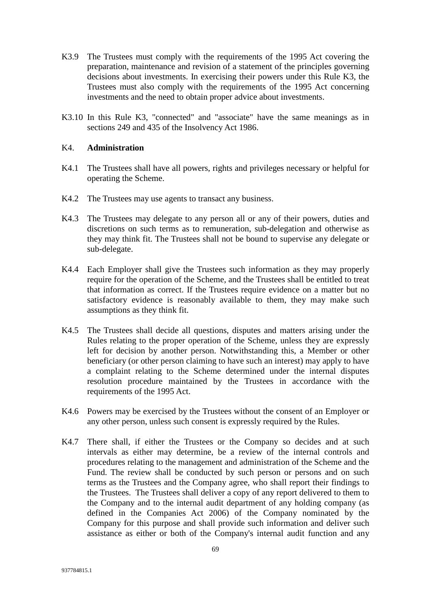- K3.9 The Trustees must comply with the requirements of the 1995 Act covering the preparation, maintenance and revision of a statement of the principles governing decisions about investments. In exercising their powers under this Rule K3, the Trustees must also comply with the requirements of the 1995 Act concerning investments and the need to obtain proper advice about investments.
- K3.10 In this Rule K3, "connected" and "associate" have the same meanings as in sections 249 and 435 of the Insolvency Act 1986.

## K4. **Administration**

- K4.1 The Trustees shall have all powers, rights and privileges necessary or helpful for operating the Scheme.
- K4.2 The Trustees may use agents to transact any business.
- K4.3 The Trustees may delegate to any person all or any of their powers, duties and discretions on such terms as to remuneration, sub-delegation and otherwise as they may think fit. The Trustees shall not be bound to supervise any delegate or sub-delegate.
- K4.4 Each Employer shall give the Trustees such information as they may properly require for the operation of the Scheme, and the Trustees shall be entitled to treat that information as correct. If the Trustees require evidence on a matter but no satisfactory evidence is reasonably available to them, they may make such assumptions as they think fit.
- K4.5 The Trustees shall decide all questions, disputes and matters arising under the Rules relating to the proper operation of the Scheme, unless they are expressly left for decision by another person. Notwithstanding this, a Member or other beneficiary (or other person claiming to have such an interest) may apply to have a complaint relating to the Scheme determined under the internal disputes resolution procedure maintained by the Trustees in accordance with the requirements of the 1995 Act.
- K4.6 Powers may be exercised by the Trustees without the consent of an Employer or any other person, unless such consent is expressly required by the Rules.
- K4.7 There shall, if either the Trustees or the Company so decides and at such intervals as either may determine, be a review of the internal controls and procedures relating to the management and administration of the Scheme and the Fund. The review shall be conducted by such person or persons and on such terms as the Trustees and the Company agree, who shall report their findings to the Trustees. The Trustees shall deliver a copy of any report delivered to them to the Company and to the internal audit department of any holding company (as defined in the Companies Act 2006) of the Company nominated by the Company for this purpose and shall provide such information and deliver such assistance as either or both of the Company's internal audit function and any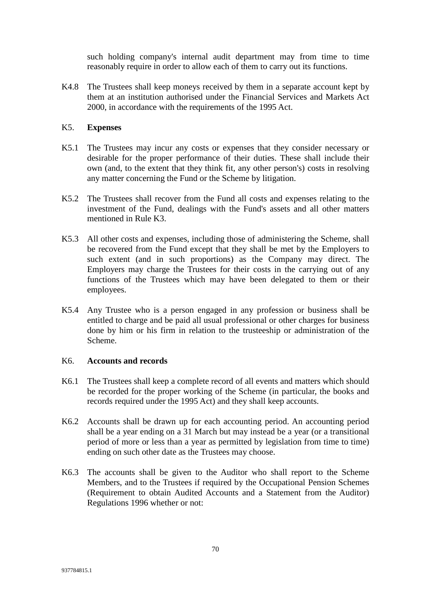such holding company's internal audit department may from time to time reasonably require in order to allow each of them to carry out its functions.

K4.8 The Trustees shall keep moneys received by them in a separate account kept by them at an institution authorised under the Financial Services and Markets Act 2000, in accordance with the requirements of the 1995 Act.

# K5. **Expenses**

- K5.1 The Trustees may incur any costs or expenses that they consider necessary or desirable for the proper performance of their duties. These shall include their own (and, to the extent that they think fit, any other person's) costs in resolving any matter concerning the Fund or the Scheme by litigation.
- K5.2 The Trustees shall recover from the Fund all costs and expenses relating to the investment of the Fund, dealings with the Fund's assets and all other matters mentioned in Rule K3.
- K5.3 All other costs and expenses, including those of administering the Scheme, shall be recovered from the Fund except that they shall be met by the Employers to such extent (and in such proportions) as the Company may direct. The Employers may charge the Trustees for their costs in the carrying out of any functions of the Trustees which may have been delegated to them or their employees.
- K5.4 Any Trustee who is a person engaged in any profession or business shall be entitled to charge and be paid all usual professional or other charges for business done by him or his firm in relation to the trusteeship or administration of the Scheme.

## K6. **Accounts and records**

- K6.1 The Trustees shall keep a complete record of all events and matters which should be recorded for the proper working of the Scheme (in particular, the books and records required under the 1995 Act) and they shall keep accounts.
- K6.2 Accounts shall be drawn up for each accounting period. An accounting period shall be a year ending on a 31 March but may instead be a year (or a transitional period of more or less than a year as permitted by legislation from time to time) ending on such other date as the Trustees may choose.
- K6.3 The accounts shall be given to the Auditor who shall report to the Scheme Members, and to the Trustees if required by the Occupational Pension Schemes (Requirement to obtain Audited Accounts and a Statement from the Auditor) Regulations 1996 whether or not: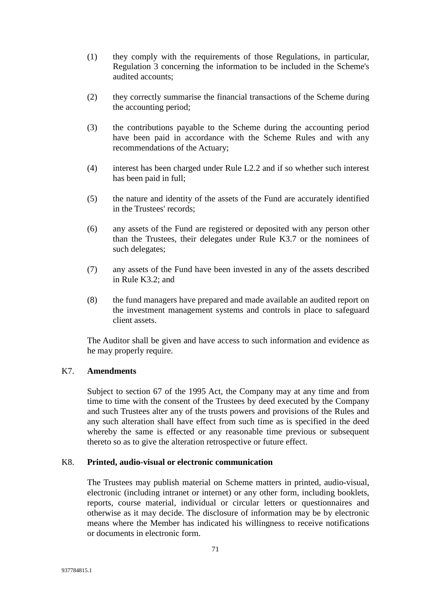- (1) they comply with the requirements of those Regulations, in particular, Regulation 3 concerning the information to be included in the Scheme's audited accounts;
- (2) they correctly summarise the financial transactions of the Scheme during the accounting period;
- (3) the contributions payable to the Scheme during the accounting period have been paid in accordance with the Scheme Rules and with any recommendations of the Actuary;
- (4) interest has been charged under Rule L2.2 and if so whether such interest has been paid in full;
- (5) the nature and identity of the assets of the Fund are accurately identified in the Trustees' records;
- (6) any assets of the Fund are registered or deposited with any person other than the Trustees, their delegates under Rule K3.7 or the nominees of such delegates;
- (7) any assets of the Fund have been invested in any of the assets described in Rule K3.2; and
- (8) the fund managers have prepared and made available an audited report on the investment management systems and controls in place to safeguard client assets.

The Auditor shall be given and have access to such information and evidence as he may properly require.

## K7. **Amendments**

Subject to section 67 of the 1995 Act, the Company may at any time and from time to time with the consent of the Trustees by deed executed by the Company and such Trustees alter any of the trusts powers and provisions of the Rules and any such alteration shall have effect from such time as is specified in the deed whereby the same is effected or any reasonable time previous or subsequent thereto so as to give the alteration retrospective or future effect.

#### K8. **Printed, audio-visual or electronic communication**

The Trustees may publish material on Scheme matters in printed, audio-visual, electronic (including intranet or internet) or any other form, including booklets, reports, course material, individual or circular letters or questionnaires and otherwise as it may decide. The disclosure of information may be by electronic means where the Member has indicated his willingness to receive notifications or documents in electronic form.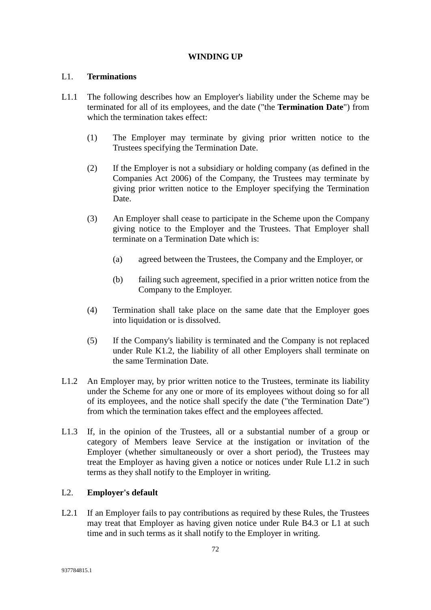# **WINDING UP**

# L1. **Terminations**

- L1.1 The following describes how an Employer's liability under the Scheme may be terminated for all of its employees, and the date ("the **Termination Date**") from which the termination takes effect:
	- (1) The Employer may terminate by giving prior written notice to the Trustees specifying the Termination Date.
	- (2) If the Employer is not a subsidiary or holding company (as defined in the Companies Act 2006) of the Company, the Trustees may terminate by giving prior written notice to the Employer specifying the Termination Date.
	- (3) An Employer shall cease to participate in the Scheme upon the Company giving notice to the Employer and the Trustees. That Employer shall terminate on a Termination Date which is:
		- (a) agreed between the Trustees, the Company and the Employer, or
		- (b) failing such agreement, specified in a prior written notice from the Company to the Employer.
	- (4) Termination shall take place on the same date that the Employer goes into liquidation or is dissolved.
	- (5) If the Company's liability is terminated and the Company is not replaced under Rule K1.2, the liability of all other Employers shall terminate on the same Termination Date.
- L1.2 An Employer may, by prior written notice to the Trustees, terminate its liability under the Scheme for any one or more of its employees without doing so for all of its employees, and the notice shall specify the date ("the Termination Date") from which the termination takes effect and the employees affected.
- L1.3 If, in the opinion of the Trustees, all or a substantial number of a group or category of Members leave Service at the instigation or invitation of the Employer (whether simultaneously or over a short period), the Trustees may treat the Employer as having given a notice or notices under Rule L1.2 in such terms as they shall notify to the Employer in writing.

# L2. **Employer's default**

L2.1 If an Employer fails to pay contributions as required by these Rules, the Trustees may treat that Employer as having given notice under Rule B4.3 or L1 at such time and in such terms as it shall notify to the Employer in writing.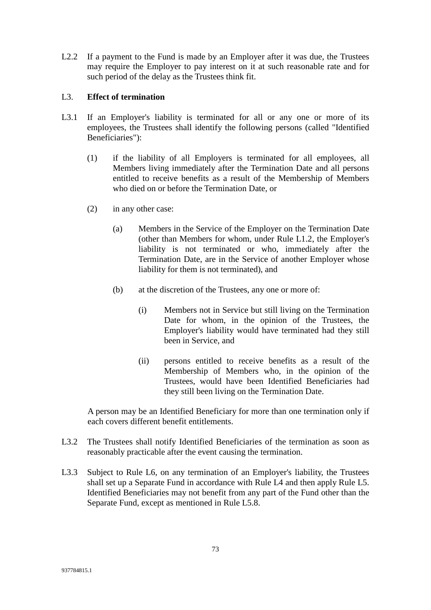L2.2 If a payment to the Fund is made by an Employer after it was due, the Trustees may require the Employer to pay interest on it at such reasonable rate and for such period of the delay as the Trustees think fit.

# L3. **Effect of termination**

- L3.1 If an Employer's liability is terminated for all or any one or more of its employees, the Trustees shall identify the following persons (called "Identified Beneficiaries"):
	- (1) if the liability of all Employers is terminated for all employees, all Members living immediately after the Termination Date and all persons entitled to receive benefits as a result of the Membership of Members who died on or before the Termination Date, or
	- (2) in any other case:
		- (a) Members in the Service of the Employer on the Termination Date (other than Members for whom, under Rule L1.2, the Employer's liability is not terminated or who, immediately after the Termination Date, are in the Service of another Employer whose liability for them is not terminated), and
		- (b) at the discretion of the Trustees, any one or more of:
			- (i) Members not in Service but still living on the Termination Date for whom, in the opinion of the Trustees, the Employer's liability would have terminated had they still been in Service, and
			- (ii) persons entitled to receive benefits as a result of the Membership of Members who, in the opinion of the Trustees, would have been Identified Beneficiaries had they still been living on the Termination Date.

A person may be an Identified Beneficiary for more than one termination only if each covers different benefit entitlements.

- L3.2 The Trustees shall notify Identified Beneficiaries of the termination as soon as reasonably practicable after the event causing the termination.
- L3.3 Subject to Rule L6, on any termination of an Employer's liability, the Trustees shall set up a Separate Fund in accordance with Rule L4 and then apply Rule L5. Identified Beneficiaries may not benefit from any part of the Fund other than the Separate Fund, except as mentioned in Rule L5.8.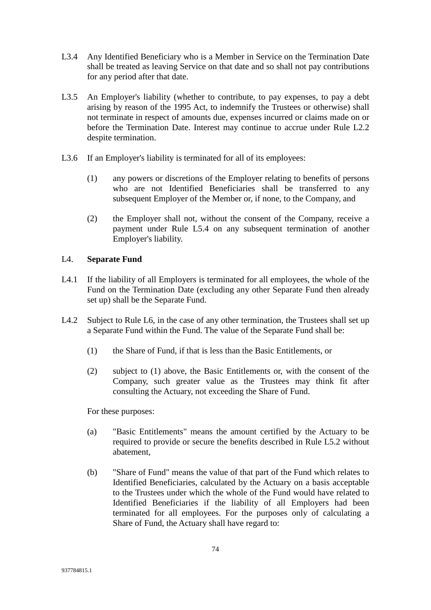- L3.4 Any Identified Beneficiary who is a Member in Service on the Termination Date shall be treated as leaving Service on that date and so shall not pay contributions for any period after that date.
- L3.5 An Employer's liability (whether to contribute, to pay expenses, to pay a debt arising by reason of the 1995 Act, to indemnify the Trustees or otherwise) shall not terminate in respect of amounts due, expenses incurred or claims made on or before the Termination Date. Interest may continue to accrue under Rule L2.2 despite termination.
- L3.6 If an Employer's liability is terminated for all of its employees:
	- (1) any powers or discretions of the Employer relating to benefits of persons who are not Identified Beneficiaries shall be transferred to any subsequent Employer of the Member or, if none, to the Company, and
	- (2) the Employer shall not, without the consent of the Company, receive a payment under Rule L5.4 on any subsequent termination of another Employer's liability.

# L4. **Separate Fund**

- L4.1 If the liability of all Employers is terminated for all employees, the whole of the Fund on the Termination Date (excluding any other Separate Fund then already set up) shall be the Separate Fund.
- L4.2 Subject to Rule L6, in the case of any other termination, the Trustees shall set up a Separate Fund within the Fund. The value of the Separate Fund shall be:
	- (1) the Share of Fund, if that is less than the Basic Entitlements, or
	- (2) subject to (1) above, the Basic Entitlements or, with the consent of the Company, such greater value as the Trustees may think fit after consulting the Actuary, not exceeding the Share of Fund.

For these purposes:

- (a) "Basic Entitlements" means the amount certified by the Actuary to be required to provide or secure the benefits described in Rule L5.2 without abatement,
- (b) "Share of Fund" means the value of that part of the Fund which relates to Identified Beneficiaries, calculated by the Actuary on a basis acceptable to the Trustees under which the whole of the Fund would have related to Identified Beneficiaries if the liability of all Employers had been terminated for all employees. For the purposes only of calculating a Share of Fund, the Actuary shall have regard to: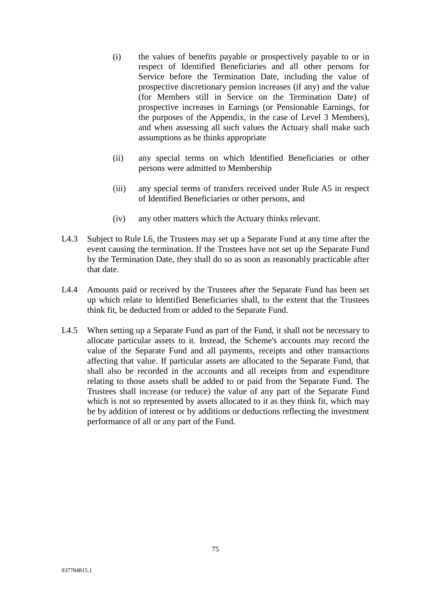- (i) the values of benefits payable or prospectively payable to or in respect of Identified Beneficiaries and all other persons for Service before the Termination Date, including the value of prospective discretionary pension increases (if any) and the value (for Members still in Service on the Termination Date) of prospective increases in Earnings (or Pensionable Earnings, for the purposes of the Appendix, in the case of Level 3 Members), and when assessing all such values the Actuary shall make such assumptions as he thinks appropriate
- (ii) any special terms on which Identified Beneficiaries or other persons were admitted to Membership
- (iii) any special terms of transfers received under Rule A5 in respect of Identified Beneficiaries or other persons, and
- (iv) any other matters which the Actuary thinks relevant.
- L4.3 Subject to Rule L6, the Trustees may set up a Separate Fund at any time after the event causing the termination. If the Trustees have not set up the Separate Fund by the Termination Date, they shall do so as soon as reasonably practicable after that date.
- L4.4 Amounts paid or received by the Trustees after the Separate Fund has been set up which relate to Identified Beneficiaries shall, to the extent that the Trustees think fit, be deducted from or added to the Separate Fund.
- L4.5 When setting up a Separate Fund as part of the Fund, it shall not be necessary to allocate particular assets to it. Instead, the Scheme's accounts may record the value of the Separate Fund and all payments, receipts and other transactions affecting that value. If particular assets are allocated to the Separate Fund, that shall also be recorded in the accounts and all receipts from and expenditure relating to those assets shall be added to or paid from the Separate Fund. The Trustees shall increase (or reduce) the value of any part of the Separate Fund which is not so represented by assets allocated to it as they think fit, which may be by addition of interest or by additions or deductions reflecting the investment performance of all or any part of the Fund.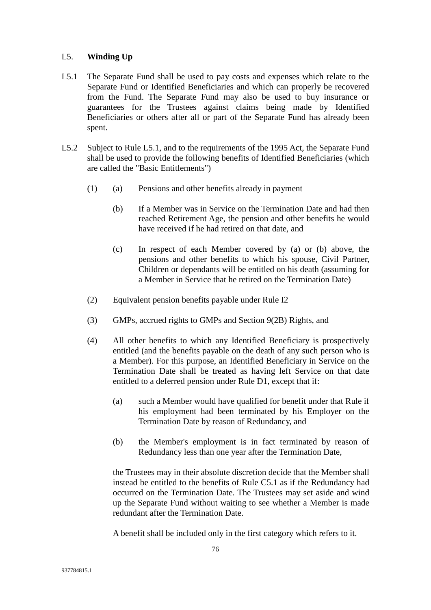## L5. **Winding Up**

- L5.1 The Separate Fund shall be used to pay costs and expenses which relate to the Separate Fund or Identified Beneficiaries and which can properly be recovered from the Fund. The Separate Fund may also be used to buy insurance or guarantees for the Trustees against claims being made by Identified Beneficiaries or others after all or part of the Separate Fund has already been spent.
- L5.2 Subject to Rule L5.1, and to the requirements of the 1995 Act, the Separate Fund shall be used to provide the following benefits of Identified Beneficiaries (which are called the "Basic Entitlements")
	- (1) (a) Pensions and other benefits already in payment
		- (b) If a Member was in Service on the Termination Date and had then reached Retirement Age, the pension and other benefits he would have received if he had retired on that date, and
		- (c) In respect of each Member covered by (a) or (b) above, the pensions and other benefits to which his spouse, Civil Partner, Children or dependants will be entitled on his death (assuming for a Member in Service that he retired on the Termination Date)
	- (2) Equivalent pension benefits payable under Rule I2
	- (3) GMPs, accrued rights to GMPs and Section 9(2B) Rights, and
	- (4) All other benefits to which any Identified Beneficiary is prospectively entitled (and the benefits payable on the death of any such person who is a Member). For this purpose, an Identified Beneficiary in Service on the Termination Date shall be treated as having left Service on that date entitled to a deferred pension under Rule D1, except that if:
		- (a) such a Member would have qualified for benefit under that Rule if his employment had been terminated by his Employer on the Termination Date by reason of Redundancy, and
		- (b) the Member's employment is in fact terminated by reason of Redundancy less than one year after the Termination Date,

the Trustees may in their absolute discretion decide that the Member shall instead be entitled to the benefits of Rule C5.1 as if the Redundancy had occurred on the Termination Date. The Trustees may set aside and wind up the Separate Fund without waiting to see whether a Member is made redundant after the Termination Date.

A benefit shall be included only in the first category which refers to it.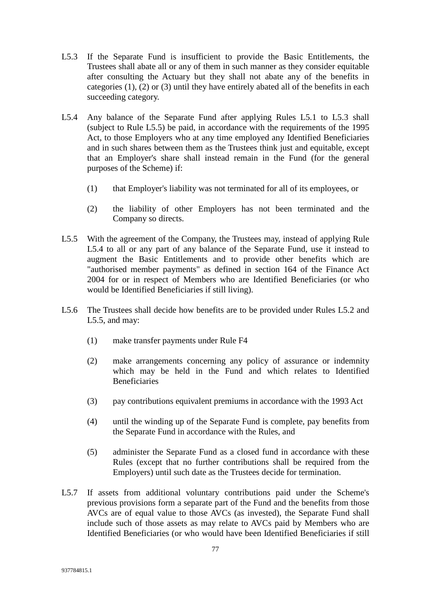- L5.3 If the Separate Fund is insufficient to provide the Basic Entitlements, the Trustees shall abate all or any of them in such manner as they consider equitable after consulting the Actuary but they shall not abate any of the benefits in categories (1), (2) or (3) until they have entirely abated all of the benefits in each succeeding category.
- L5.4 Any balance of the Separate Fund after applying Rules L5.1 to L5.3 shall (subject to Rule L5.5) be paid, in accordance with the requirements of the 1995 Act, to those Employers who at any time employed any Identified Beneficiaries and in such shares between them as the Trustees think just and equitable, except that an Employer's share shall instead remain in the Fund (for the general purposes of the Scheme) if:
	- (1) that Employer's liability was not terminated for all of its employees, or
	- (2) the liability of other Employers has not been terminated and the Company so directs.
- L5.5 With the agreement of the Company, the Trustees may, instead of applying Rule L5.4 to all or any part of any balance of the Separate Fund, use it instead to augment the Basic Entitlements and to provide other benefits which are "authorised member payments" as defined in section 164 of the Finance Act 2004 for or in respect of Members who are Identified Beneficiaries (or who would be Identified Beneficiaries if still living).
- L5.6 The Trustees shall decide how benefits are to be provided under Rules L5.2 and L5.5, and may:
	- (1) make transfer payments under Rule F4
	- (2) make arrangements concerning any policy of assurance or indemnity which may be held in the Fund and which relates to Identified Beneficiaries
	- (3) pay contributions equivalent premiums in accordance with the 1993 Act
	- (4) until the winding up of the Separate Fund is complete, pay benefits from the Separate Fund in accordance with the Rules, and
	- (5) administer the Separate Fund as a closed fund in accordance with these Rules (except that no further contributions shall be required from the Employers) until such date as the Trustees decide for termination.
- L5.7 If assets from additional voluntary contributions paid under the Scheme's previous provisions form a separate part of the Fund and the benefits from those AVCs are of equal value to those AVCs (as invested), the Separate Fund shall include such of those assets as may relate to AVCs paid by Members who are Identified Beneficiaries (or who would have been Identified Beneficiaries if still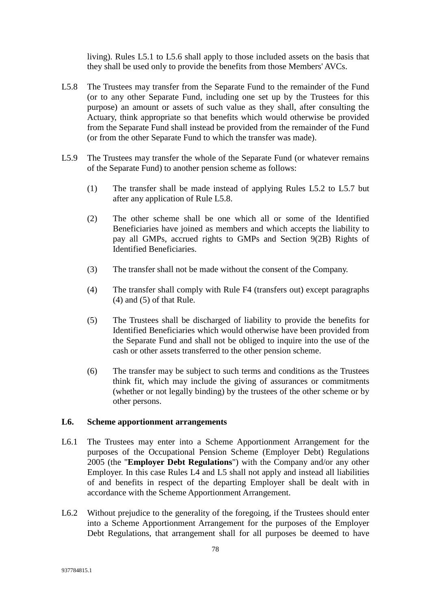living). Rules L5.1 to L5.6 shall apply to those included assets on the basis that they shall be used only to provide the benefits from those Members' AVCs.

- L5.8 The Trustees may transfer from the Separate Fund to the remainder of the Fund (or to any other Separate Fund, including one set up by the Trustees for this purpose) an amount or assets of such value as they shall, after consulting the Actuary, think appropriate so that benefits which would otherwise be provided from the Separate Fund shall instead be provided from the remainder of the Fund (or from the other Separate Fund to which the transfer was made).
- L5.9 The Trustees may transfer the whole of the Separate Fund (or whatever remains of the Separate Fund) to another pension scheme as follows:
	- (1) The transfer shall be made instead of applying Rules L5.2 to L5.7 but after any application of Rule L5.8.
	- (2) The other scheme shall be one which all or some of the Identified Beneficiaries have joined as members and which accepts the liability to pay all GMPs, accrued rights to GMPs and Section 9(2B) Rights of Identified Beneficiaries.
	- (3) The transfer shall not be made without the consent of the Company.
	- (4) The transfer shall comply with Rule F4 (transfers out) except paragraphs (4) and (5) of that Rule.
	- (5) The Trustees shall be discharged of liability to provide the benefits for Identified Beneficiaries which would otherwise have been provided from the Separate Fund and shall not be obliged to inquire into the use of the cash or other assets transferred to the other pension scheme.
	- (6) The transfer may be subject to such terms and conditions as the Trustees think fit, which may include the giving of assurances or commitments (whether or not legally binding) by the trustees of the other scheme or by other persons.

## **L6. Scheme apportionment arrangements**

- L6.1 The Trustees may enter into a Scheme Apportionment Arrangement for the purposes of the Occupational Pension Scheme (Employer Debt) Regulations 2005 (the "**Employer Debt Regulations**") with the Company and/or any other Employer. In this case Rules L4 and L5 shall not apply and instead all liabilities of and benefits in respect of the departing Employer shall be dealt with in accordance with the Scheme Apportionment Arrangement.
- L6.2 Without prejudice to the generality of the foregoing, if the Trustees should enter into a Scheme Apportionment Arrangement for the purposes of the Employer Debt Regulations, that arrangement shall for all purposes be deemed to have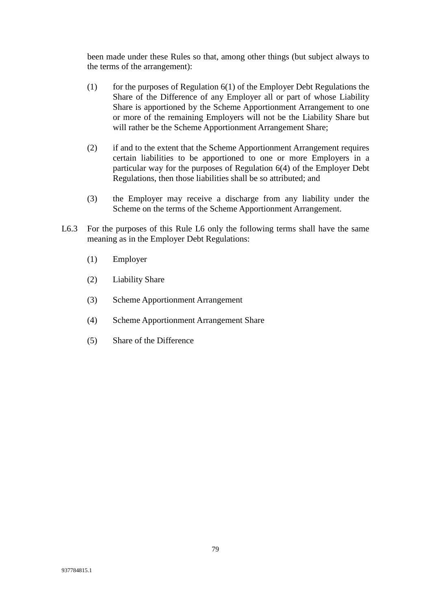been made under these Rules so that, among other things (but subject always to the terms of the arrangement):

- (1) for the purposes of Regulation  $6(1)$  of the Employer Debt Regulations the Share of the Difference of any Employer all or part of whose Liability Share is apportioned by the Scheme Apportionment Arrangement to one or more of the remaining Employers will not be the Liability Share but will rather be the Scheme Apportionment Arrangement Share;
- (2) if and to the extent that the Scheme Apportionment Arrangement requires certain liabilities to be apportioned to one or more Employers in a particular way for the purposes of Regulation 6(4) of the Employer Debt Regulations, then those liabilities shall be so attributed; and
- (3) the Employer may receive a discharge from any liability under the Scheme on the terms of the Scheme Apportionment Arrangement.
- L6.3 For the purposes of this Rule L6 only the following terms shall have the same meaning as in the Employer Debt Regulations:
	- (1) Employer
	- (2) Liability Share
	- (3) Scheme Apportionment Arrangement
	- (4) Scheme Apportionment Arrangement Share
	- (5) Share of the Difference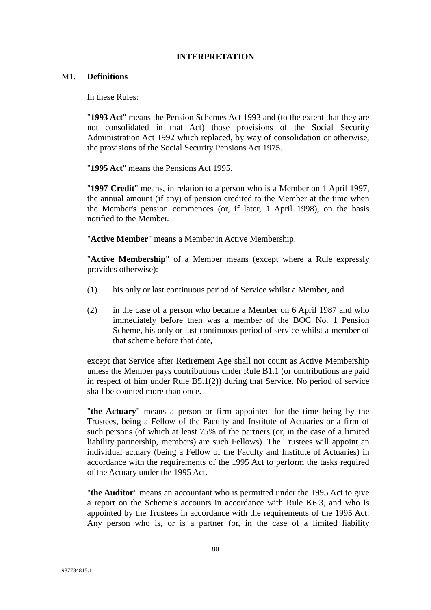#### **INTERPRETATION**

## M1. **Definitions**

In these Rules:

"**1993 Act**" means the Pension Schemes Act 1993 and (to the extent that they are not consolidated in that Act) those provisions of the Social Security Administration Act 1992 which replaced, by way of consolidation or otherwise, the provisions of the Social Security Pensions Act 1975.

"**1995 Act**" means the Pensions Act 1995.

"**1997 Credit**" means, in relation to a person who is a Member on 1 April 1997, the annual amount (if any) of pension credited to the Member at the time when the Member's pension commences (or, if later, 1 April 1998), on the basis notified to the Member.

"**Active Member**" means a Member in Active Membership.

"**Active Membership**" of a Member means (except where a Rule expressly provides otherwise):

- (1) his only or last continuous period of Service whilst a Member, and
- (2) in the case of a person who became a Member on 6 April 1987 and who immediately before then was a member of the BOC No. 1 Pension Scheme, his only or last continuous period of service whilst a member of that scheme before that date,

except that Service after Retirement Age shall not count as Active Membership unless the Member pays contributions under Rule B1.1 (or contributions are paid in respect of him under Rule B5.1(2)) during that Service. No period of service shall be counted more than once.

"**the Actuary**" means a person or firm appointed for the time being by the Trustees, being a Fellow of the Faculty and Institute of Actuaries or a firm of such persons (of which at least 75% of the partners (or, in the case of a limited liability partnership, members) are such Fellows). The Trustees will appoint an individual actuary (being a Fellow of the Faculty and Institute of Actuaries) in accordance with the requirements of the 1995 Act to perform the tasks required of the Actuary under the 1995 Act.

"**the Auditor**" means an accountant who is permitted under the 1995 Act to give a report on the Scheme's accounts in accordance with Rule K6.3, and who is appointed by the Trustees in accordance with the requirements of the 1995 Act. Any person who is, or is a partner (or, in the case of a limited liability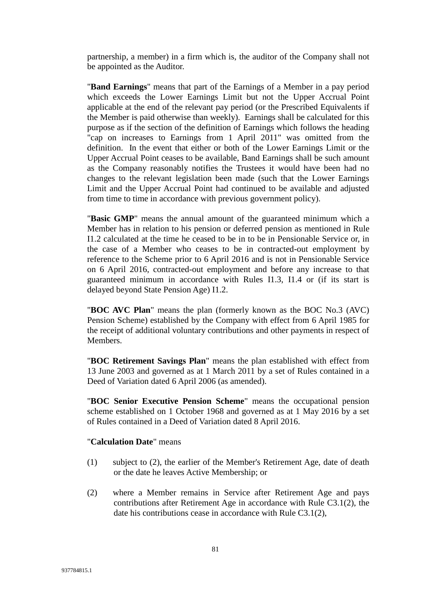partnership, a member) in a firm which is, the auditor of the Company shall not be appointed as the Auditor.

"**Band Earnings**" means that part of the Earnings of a Member in a pay period which exceeds the Lower Earnings Limit but not the Upper Accrual Point applicable at the end of the relevant pay period (or the Prescribed Equivalents if the Member is paid otherwise than weekly). Earnings shall be calculated for this purpose as if the section of the definition of Earnings which follows the heading "cap on increases to Earnings from 1 April 2011" was omitted from the definition. In the event that either or both of the Lower Earnings Limit or the Upper Accrual Point ceases to be available, Band Earnings shall be such amount as the Company reasonably notifies the Trustees it would have been had no changes to the relevant legislation been made (such that the Lower Earnings Limit and the Upper Accrual Point had continued to be available and adjusted from time to time in accordance with previous government policy).

"**Basic GMP**" means the annual amount of the guaranteed minimum which a Member has in relation to his pension or deferred pension as mentioned in Rule I1.2 calculated at the time he ceased to be in to be in Pensionable Service or, in the case of a Member who ceases to be in contracted-out employment by reference to the Scheme prior to 6 April 2016 and is not in Pensionable Service on 6 April 2016, contracted-out employment and before any increase to that guaranteed minimum in accordance with Rules I1.3, I1.4 or (if its start is delayed beyond State Pension Age) I1.2.

"**BOC AVC Plan**" means the plan (formerly known as the BOC No.3 (AVC) Pension Scheme) established by the Company with effect from 6 April 1985 for the receipt of additional voluntary contributions and other payments in respect of Members.

"**BOC Retirement Savings Plan**" means the plan established with effect from 13 June 2003 and governed as at 1 March 2011 by a set of Rules contained in a Deed of Variation dated 6 April 2006 (as amended).

"**BOC Senior Executive Pension Scheme**" means the occupational pension scheme established on 1 October 1968 and governed as at 1 May 2016 by a set of Rules contained in a Deed of Variation dated 8 April 2016.

#### "**Calculation Date**" means

- (1) subject to (2), the earlier of the Member's Retirement Age, date of death or the date he leaves Active Membership; or
- (2) where a Member remains in Service after Retirement Age and pays contributions after Retirement Age in accordance with Rule C3.1(2), the date his contributions cease in accordance with Rule C3.1(2),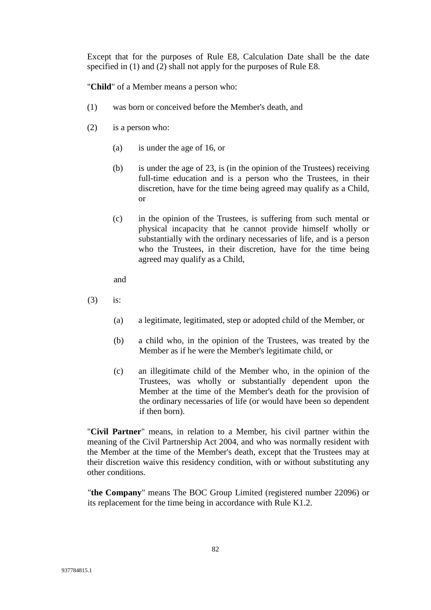Except that for the purposes of Rule E8, Calculation Date shall be the date specified in (1) and (2) shall not apply for the purposes of Rule E8.

"**Child**" of a Member means a person who:

- (1) was born or conceived before the Member's death, and
- (2) is a person who:
	- (a) is under the age of 16, or
	- (b) is under the age of 23, is (in the opinion of the Trustees) receiving full-time education and is a person who the Trustees, in their discretion, have for the time being agreed may qualify as a Child, or
	- (c) in the opinion of the Trustees, is suffering from such mental or physical incapacity that he cannot provide himself wholly or substantially with the ordinary necessaries of life, and is a person who the Trustees, in their discretion, have for the time being agreed may qualify as a Child,

and

- (3) is:
	- (a) a legitimate, legitimated, step or adopted child of the Member, or
	- (b) a child who, in the opinion of the Trustees, was treated by the Member as if he were the Member's legitimate child, or
	- (c) an illegitimate child of the Member who, in the opinion of the Trustees, was wholly or substantially dependent upon the Member at the time of the Member's death for the provision of the ordinary necessaries of life (or would have been so dependent if then born).

"**Civil Partner**" means, in relation to a Member, his civil partner within the meaning of the Civil Partnership Act 2004, and who was normally resident with the Member at the time of the Member's death, except that the Trustees may at their discretion waive this residency condition, with or without substituting any other conditions.

"**the Company**" means The BOC Group Limited (registered number 22096) or its replacement for the time being in accordance with Rule K1.2.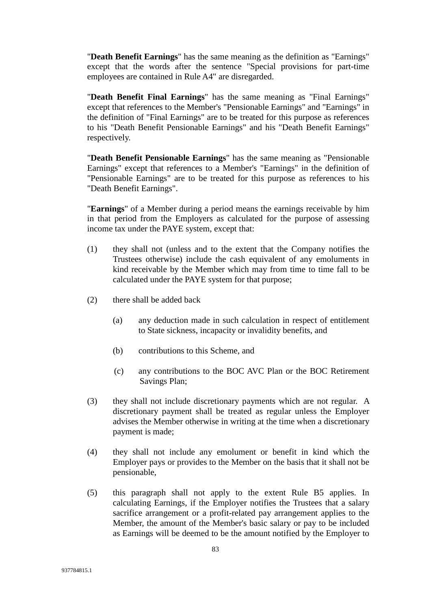"**Death Benefit Earnings**" has the same meaning as the definition as "Earnings" except that the words after the sentence "Special provisions for part-time employees are contained in Rule A4" are disregarded.

"**Death Benefit Final Earnings**" has the same meaning as "Final Earnings" except that references to the Member's "Pensionable Earnings" and "Earnings" in the definition of "Final Earnings" are to be treated for this purpose as references to his "Death Benefit Pensionable Earnings" and his "Death Benefit Earnings" respectively.

"**Death Benefit Pensionable Earnings**" has the same meaning as "Pensionable Earnings" except that references to a Member's "Earnings" in the definition of "Pensionable Earnings" are to be treated for this purpose as references to his "Death Benefit Earnings".

"**Earnings**" of a Member during a period means the earnings receivable by him in that period from the Employers as calculated for the purpose of assessing income tax under the PAYE system, except that:

- (1) they shall not (unless and to the extent that the Company notifies the Trustees otherwise) include the cash equivalent of any emoluments in kind receivable by the Member which may from time to time fall to be calculated under the PAYE system for that purpose;
- (2) there shall be added back
	- (a) any deduction made in such calculation in respect of entitlement to State sickness, incapacity or invalidity benefits, and
	- (b) contributions to this Scheme, and
	- (c) any contributions to the BOC AVC Plan or the BOC Retirement Savings Plan;
- (3) they shall not include discretionary payments which are not regular. A discretionary payment shall be treated as regular unless the Employer advises the Member otherwise in writing at the time when a discretionary payment is made;
- (4) they shall not include any emolument or benefit in kind which the Employer pays or provides to the Member on the basis that it shall not be pensionable,
- (5) this paragraph shall not apply to the extent Rule B5 applies. In calculating Earnings, if the Employer notifies the Trustees that a salary sacrifice arrangement or a profit-related pay arrangement applies to the Member, the amount of the Member's basic salary or pay to be included as Earnings will be deemed to be the amount notified by the Employer to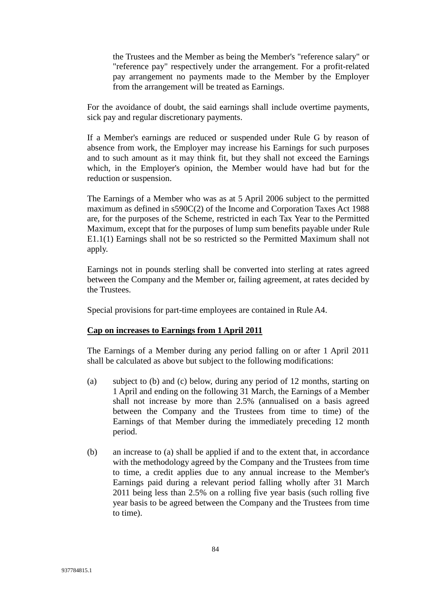the Trustees and the Member as being the Member's "reference salary" or "reference pay" respectively under the arrangement. For a profit-related pay arrangement no payments made to the Member by the Employer from the arrangement will be treated as Earnings.

For the avoidance of doubt, the said earnings shall include overtime payments, sick pay and regular discretionary payments.

If a Member's earnings are reduced or suspended under Rule G by reason of absence from work, the Employer may increase his Earnings for such purposes and to such amount as it may think fit, but they shall not exceed the Earnings which, in the Employer's opinion, the Member would have had but for the reduction or suspension.

The Earnings of a Member who was as at 5 April 2006 subject to the permitted maximum as defined in s590C(2) of the Income and Corporation Taxes Act 1988 are, for the purposes of the Scheme, restricted in each Tax Year to the Permitted Maximum, except that for the purposes of lump sum benefits payable under Rule E1.1(1) Earnings shall not be so restricted so the Permitted Maximum shall not apply.

Earnings not in pounds sterling shall be converted into sterling at rates agreed between the Company and the Member or, failing agreement, at rates decided by the Trustees.

Special provisions for part-time employees are contained in Rule A4.

## **Cap on increases to Earnings from 1 April 2011**

The Earnings of a Member during any period falling on or after 1 April 2011 shall be calculated as above but subject to the following modifications:

- (a) subject to (b) and (c) below, during any period of 12 months, starting on 1 April and ending on the following 31 March, the Earnings of a Member shall not increase by more than 2.5% (annualised on a basis agreed between the Company and the Trustees from time to time) of the Earnings of that Member during the immediately preceding 12 month period.
- (b) an increase to (a) shall be applied if and to the extent that, in accordance with the methodology agreed by the Company and the Trustees from time to time, a credit applies due to any annual increase to the Member's Earnings paid during a relevant period falling wholly after 31 March 2011 being less than 2.5% on a rolling five year basis (such rolling five year basis to be agreed between the Company and the Trustees from time to time).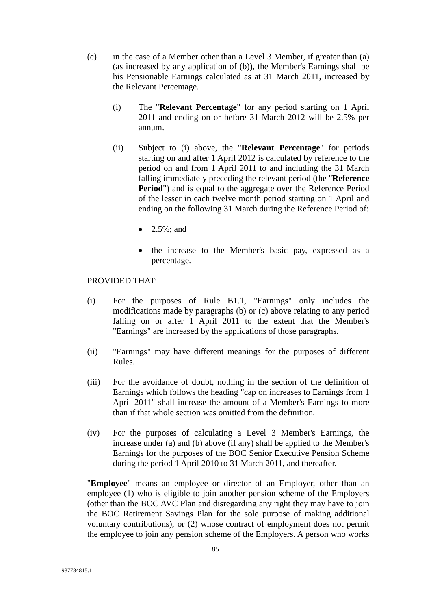- (c) in the case of a Member other than a Level 3 Member, if greater than (a) (as increased by any application of (b)), the Member's Earnings shall be his Pensionable Earnings calculated as at 31 March 2011, increased by the Relevant Percentage.
	- (i) The "**Relevant Percentage**" for any period starting on 1 April 2011 and ending on or before 31 March 2012 will be 2.5% per annum.
	- (ii) Subject to (i) above, the "**Relevant Percentage**" for periods starting on and after 1 April 2012 is calculated by reference to the period on and from 1 April 2011 to and including the 31 March falling immediately preceding the relevant period (the "**Reference Period**") and is equal to the aggregate over the Reference Period of the lesser in each twelve month period starting on 1 April and ending on the following 31 March during the Reference Period of:
		- 2.5%; and
		- the increase to the Member's basic pay, expressed as a percentage.

#### PROVIDED THAT:

- (i) For the purposes of Rule B1.1, "Earnings" only includes the modifications made by paragraphs (b) or (c) above relating to any period falling on or after 1 April 2011 to the extent that the Member's "Earnings" are increased by the applications of those paragraphs.
- (ii) "Earnings" may have different meanings for the purposes of different Rules.
- (iii) For the avoidance of doubt, nothing in the section of the definition of Earnings which follows the heading "cap on increases to Earnings from 1 April 2011" shall increase the amount of a Member's Earnings to more than if that whole section was omitted from the definition.
- (iv) For the purposes of calculating a Level 3 Member's Earnings, the increase under (a) and (b) above (if any) shall be applied to the Member's Earnings for the purposes of the BOC Senior Executive Pension Scheme during the period 1 April 2010 to 31 March 2011, and thereafter.

"**Employee**" means an employee or director of an Employer, other than an employee (1) who is eligible to join another pension scheme of the Employers (other than the BOC AVC Plan and disregarding any right they may have to join the BOC Retirement Savings Plan for the sole purpose of making additional voluntary contributions), or (2) whose contract of employment does not permit the employee to join any pension scheme of the Employers. A person who works

85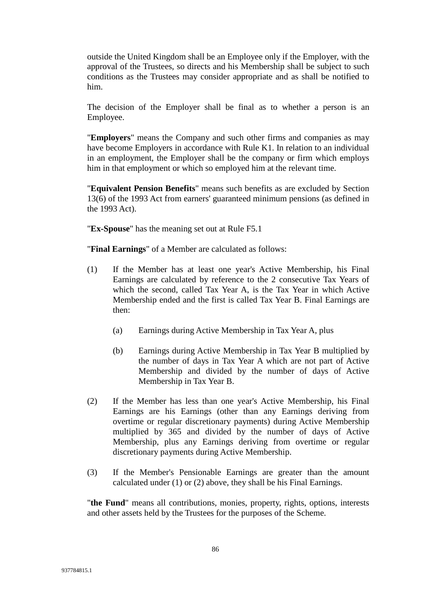outside the United Kingdom shall be an Employee only if the Employer, with the approval of the Trustees, so directs and his Membership shall be subject to such conditions as the Trustees may consider appropriate and as shall be notified to him.

The decision of the Employer shall be final as to whether a person is an Employee.

"**Employers**" means the Company and such other firms and companies as may have become Employers in accordance with Rule K1. In relation to an individual in an employment, the Employer shall be the company or firm which employs him in that employment or which so employed him at the relevant time.

"**Equivalent Pension Benefits**" means such benefits as are excluded by Section 13(6) of the 1993 Act from earners' guaranteed minimum pensions (as defined in the 1993 Act).

"**Ex-Spouse**" has the meaning set out at Rule F5.1

"**Final Earnings**" of a Member are calculated as follows:

- (1) If the Member has at least one year's Active Membership, his Final Earnings are calculated by reference to the 2 consecutive Tax Years of which the second, called Tax Year A, is the Tax Year in which Active Membership ended and the first is called Tax Year B. Final Earnings are then:
	- (a) Earnings during Active Membership in Tax Year A, plus
	- (b) Earnings during Active Membership in Tax Year B multiplied by the number of days in Tax Year A which are not part of Active Membership and divided by the number of days of Active Membership in Tax Year B.
- (2) If the Member has less than one year's Active Membership, his Final Earnings are his Earnings (other than any Earnings deriving from overtime or regular discretionary payments) during Active Membership multiplied by 365 and divided by the number of days of Active Membership, plus any Earnings deriving from overtime or regular discretionary payments during Active Membership.
- (3) If the Member's Pensionable Earnings are greater than the amount calculated under (1) or (2) above, they shall be his Final Earnings.

"**the Fund**" means all contributions, monies, property, rights, options, interests and other assets held by the Trustees for the purposes of the Scheme.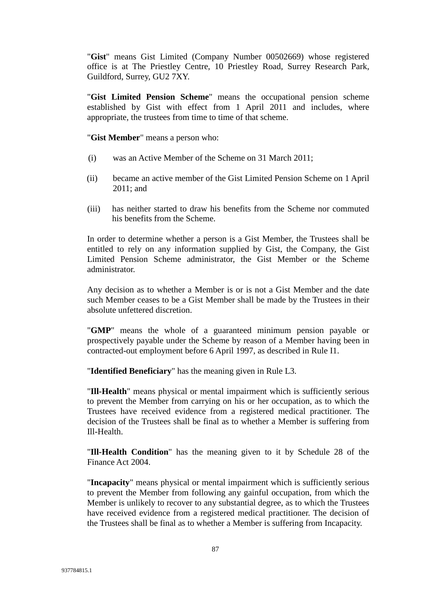"**Gist**" means Gist Limited (Company Number 00502669) whose registered office is at The Priestley Centre, 10 Priestley Road, Surrey Research Park, Guildford, Surrey, GU2 7XY.

"**Gist Limited Pension Scheme**" means the occupational pension scheme established by Gist with effect from 1 April 2011 and includes, where appropriate, the trustees from time to time of that scheme.

"**Gist Member**" means a person who:

- (i) was an Active Member of the Scheme on 31 March 2011;
- (ii) became an active member of the Gist Limited Pension Scheme on 1 April 2011; and
- (iii) has neither started to draw his benefits from the Scheme nor commuted his benefits from the Scheme.

In order to determine whether a person is a Gist Member, the Trustees shall be entitled to rely on any information supplied by Gist, the Company, the Gist Limited Pension Scheme administrator, the Gist Member or the Scheme administrator.

Any decision as to whether a Member is or is not a Gist Member and the date such Member ceases to be a Gist Member shall be made by the Trustees in their absolute unfettered discretion.

"**GMP**" means the whole of a guaranteed minimum pension payable or prospectively payable under the Scheme by reason of a Member having been in contracted-out employment before 6 April 1997, as described in Rule I1.

"**Identified Beneficiary**" has the meaning given in Rule L3.

"**Ill-Health**" means physical or mental impairment which is sufficiently serious to prevent the Member from carrying on his or her occupation, as to which the Trustees have received evidence from a registered medical practitioner. The decision of the Trustees shall be final as to whether a Member is suffering from Ill-Health.

"**Ill-Health Condition**" has the meaning given to it by Schedule 28 of the Finance Act 2004.

"**Incapacity**" means physical or mental impairment which is sufficiently serious to prevent the Member from following any gainful occupation, from which the Member is unlikely to recover to any substantial degree, as to which the Trustees have received evidence from a registered medical practitioner. The decision of the Trustees shall be final as to whether a Member is suffering from Incapacity.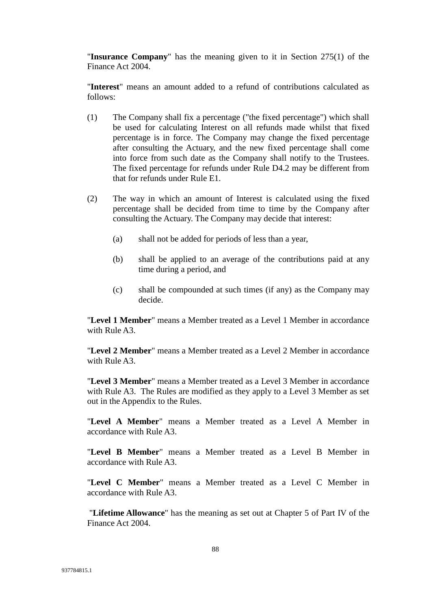"**Insurance Company**" has the meaning given to it in Section 275(1) of the Finance Act 2004.

"**Interest**" means an amount added to a refund of contributions calculated as follows:

- (1) The Company shall fix a percentage ("the fixed percentage") which shall be used for calculating Interest on all refunds made whilst that fixed percentage is in force. The Company may change the fixed percentage after consulting the Actuary, and the new fixed percentage shall come into force from such date as the Company shall notify to the Trustees. The fixed percentage for refunds under Rule D4.2 may be different from that for refunds under Rule E1.
- (2) The way in which an amount of Interest is calculated using the fixed percentage shall be decided from time to time by the Company after consulting the Actuary. The Company may decide that interest:
	- (a) shall not be added for periods of less than a year,
	- (b) shall be applied to an average of the contributions paid at any time during a period, and
	- (c) shall be compounded at such times (if any) as the Company may decide.

"**Level 1 Member**" means a Member treated as a Level 1 Member in accordance with Rule A3

"**Level 2 Member**" means a Member treated as a Level 2 Member in accordance with Rule A3.

"**Level 3 Member**" means a Member treated as a Level 3 Member in accordance with Rule A3. The Rules are modified as they apply to a Level 3 Member as set out in the Appendix to the Rules.

"**Level A Member**" means a Member treated as a Level A Member in accordance with Rule A3.

"**Level B Member**" means a Member treated as a Level B Member in accordance with Rule A3.

"**Level C Member**" means a Member treated as a Level C Member in accordance with Rule A3.

"**Lifetime Allowance**" has the meaning as set out at Chapter 5 of Part IV of the Finance Act 2004.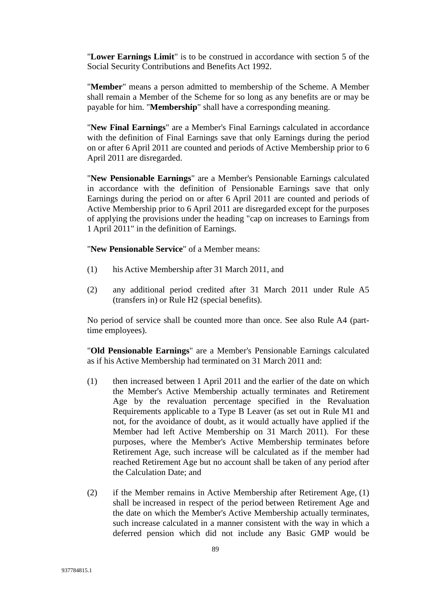"**Lower Earnings Limit**" is to be construed in accordance with section 5 of the Social Security Contributions and Benefits Act 1992.

"**Member**" means a person admitted to membership of the Scheme. A Member shall remain a Member of the Scheme for so long as any benefits are or may be payable for him. "**Membership**" shall have a corresponding meaning.

"**New Final Earnings**" are a Member's Final Earnings calculated in accordance with the definition of Final Earnings save that only Earnings during the period on or after 6 April 2011 are counted and periods of Active Membership prior to 6 April 2011 are disregarded.

"**New Pensionable Earnings**" are a Member's Pensionable Earnings calculated in accordance with the definition of Pensionable Earnings save that only Earnings during the period on or after 6 April 2011 are counted and periods of Active Membership prior to 6 April 2011 are disregarded except for the purposes of applying the provisions under the heading "cap on increases to Earnings from 1 April 2011" in the definition of Earnings.

"**New Pensionable Service**" of a Member means:

- (1) his Active Membership after 31 March 2011, and
- (2) any additional period credited after 31 March 2011 under Rule A5 (transfers in) or Rule H2 (special benefits).

No period of service shall be counted more than once. See also Rule A4 (parttime employees).

"**Old Pensionable Earnings**" are a Member's Pensionable Earnings calculated as if his Active Membership had terminated on 31 March 2011 and:

- (1) then increased between 1 April 2011 and the earlier of the date on which the Member's Active Membership actually terminates and Retirement Age by the revaluation percentage specified in the Revaluation Requirements applicable to a Type B Leaver (as set out in Rule M1 and not, for the avoidance of doubt, as it would actually have applied if the Member had left Active Membership on 31 March 2011). For these purposes, where the Member's Active Membership terminates before Retirement Age, such increase will be calculated as if the member had reached Retirement Age but no account shall be taken of any period after the Calculation Date; and
- (2) if the Member remains in Active Membership after Retirement Age, (1) shall be increased in respect of the period between Retirement Age and the date on which the Member's Active Membership actually terminates, such increase calculated in a manner consistent with the way in which a deferred pension which did not include any Basic GMP would be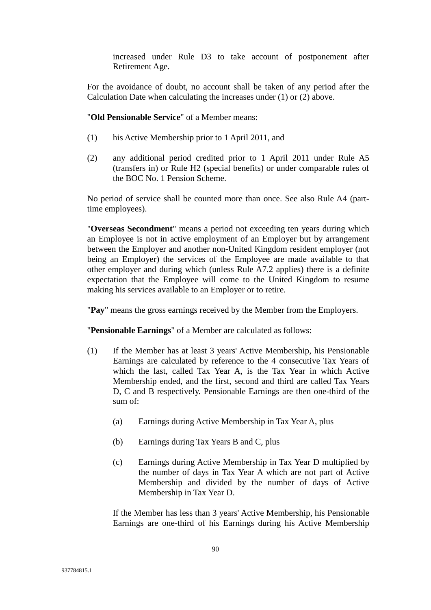increased under Rule D3 to take account of postponement after Retirement Age.

For the avoidance of doubt, no account shall be taken of any period after the Calculation Date when calculating the increases under (1) or (2) above.

"**Old Pensionable Service**" of a Member means:

- (1) his Active Membership prior to 1 April 2011, and
- (2) any additional period credited prior to 1 April 2011 under Rule A5 (transfers in) or Rule H2 (special benefits) or under comparable rules of the BOC No. 1 Pension Scheme.

No period of service shall be counted more than once. See also Rule A4 (parttime employees).

"**Overseas Secondment**" means a period not exceeding ten years during which an Employee is not in active employment of an Employer but by arrangement between the Employer and another non-United Kingdom resident employer (not being an Employer) the services of the Employee are made available to that other employer and during which (unless Rule A7.2 applies) there is a definite expectation that the Employee will come to the United Kingdom to resume making his services available to an Employer or to retire.

"**Pay**" means the gross earnings received by the Member from the Employers.

"**Pensionable Earnings**" of a Member are calculated as follows:

- (1) If the Member has at least 3 years' Active Membership, his Pensionable Earnings are calculated by reference to the 4 consecutive Tax Years of which the last, called Tax Year A, is the Tax Year in which Active Membership ended, and the first, second and third are called Tax Years D, C and B respectively. Pensionable Earnings are then one-third of the sum of:
	- (a) Earnings during Active Membership in Tax Year A, plus
	- (b) Earnings during Tax Years B and C, plus
	- (c) Earnings during Active Membership in Tax Year D multiplied by the number of days in Tax Year A which are not part of Active Membership and divided by the number of days of Active Membership in Tax Year D.

If the Member has less than 3 years' Active Membership, his Pensionable Earnings are one-third of his Earnings during his Active Membership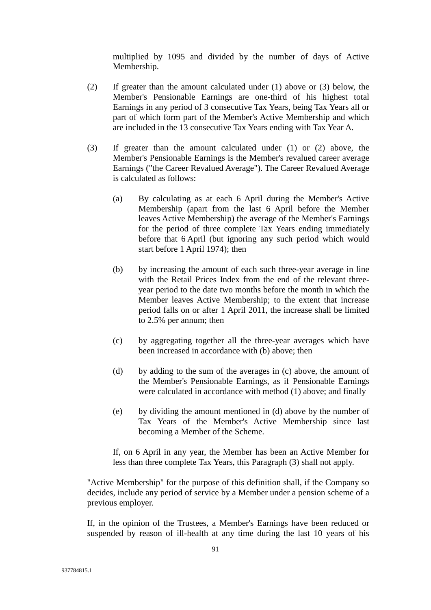multiplied by 1095 and divided by the number of days of Active Membership.

- (2) If greater than the amount calculated under (1) above or (3) below, the Member's Pensionable Earnings are one-third of his highest total Earnings in any period of 3 consecutive Tax Years, being Tax Years all or part of which form part of the Member's Active Membership and which are included in the 13 consecutive Tax Years ending with Tax Year A.
- (3) If greater than the amount calculated under (1) or (2) above, the Member's Pensionable Earnings is the Member's revalued career average Earnings ("the Career Revalued Average"). The Career Revalued Average is calculated as follows:
	- (a) By calculating as at each 6 April during the Member's Active Membership (apart from the last 6 April before the Member leaves Active Membership) the average of the Member's Earnings for the period of three complete Tax Years ending immediately before that 6 April (but ignoring any such period which would start before 1 April 1974); then
	- (b) by increasing the amount of each such three-year average in line with the Retail Prices Index from the end of the relevant threeyear period to the date two months before the month in which the Member leaves Active Membership; to the extent that increase period falls on or after 1 April 2011, the increase shall be limited to 2.5% per annum; then
	- (c) by aggregating together all the three-year averages which have been increased in accordance with (b) above; then
	- (d) by adding to the sum of the averages in (c) above, the amount of the Member's Pensionable Earnings, as if Pensionable Earnings were calculated in accordance with method (1) above; and finally
	- (e) by dividing the amount mentioned in (d) above by the number of Tax Years of the Member's Active Membership since last becoming a Member of the Scheme.

If, on 6 April in any year, the Member has been an Active Member for less than three complete Tax Years, this Paragraph (3) shall not apply.

"Active Membership" for the purpose of this definition shall, if the Company so decides, include any period of service by a Member under a pension scheme of a previous employer.

If, in the opinion of the Trustees, a Member's Earnings have been reduced or suspended by reason of ill-health at any time during the last 10 years of his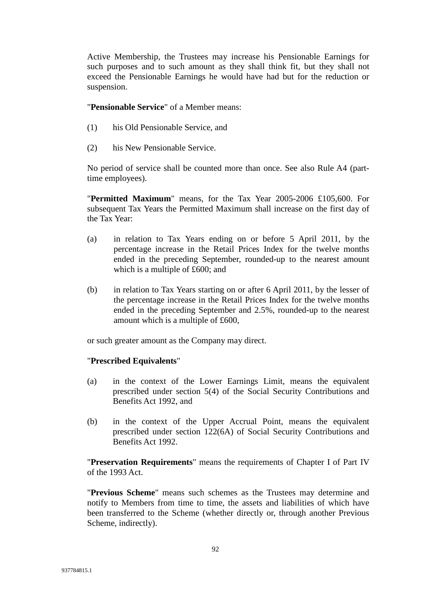Active Membership, the Trustees may increase his Pensionable Earnings for such purposes and to such amount as they shall think fit, but they shall not exceed the Pensionable Earnings he would have had but for the reduction or suspension.

"**Pensionable Service**" of a Member means:

- (1) his Old Pensionable Service, and
- (2) his New Pensionable Service.

No period of service shall be counted more than once. See also Rule A4 (parttime employees).

"**Permitted Maximum**" means, for the Tax Year 2005-2006 £105,600. For subsequent Tax Years the Permitted Maximum shall increase on the first day of the Tax Year:

- (a) in relation to Tax Years ending on or before 5 April 2011, by the percentage increase in the Retail Prices Index for the twelve months ended in the preceding September, rounded-up to the nearest amount which is a multiple of £600; and
- (b) in relation to Tax Years starting on or after 6 April 2011, by the lesser of the percentage increase in the Retail Prices Index for the twelve months ended in the preceding September and 2.5%, rounded-up to the nearest amount which is a multiple of £600,

or such greater amount as the Company may direct.

## "**Prescribed Equivalents**"

- (a) in the context of the Lower Earnings Limit, means the equivalent prescribed under section 5(4) of the Social Security Contributions and Benefits Act 1992, and
- (b) in the context of the Upper Accrual Point, means the equivalent prescribed under section 122(6A) of Social Security Contributions and Benefits Act 1992.

"**Preservation Requirements**" means the requirements of Chapter I of Part IV of the 1993 Act.

"**Previous Scheme**" means such schemes as the Trustees may determine and notify to Members from time to time, the assets and liabilities of which have been transferred to the Scheme (whether directly or, through another Previous Scheme, indirectly).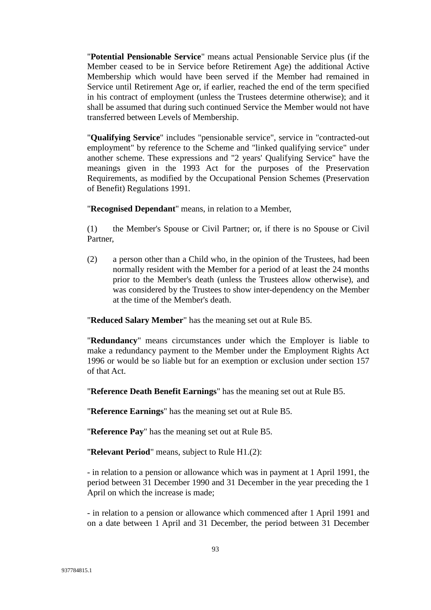"**Potential Pensionable Service**" means actual Pensionable Service plus (if the Member ceased to be in Service before Retirement Age) the additional Active Membership which would have been served if the Member had remained in Service until Retirement Age or, if earlier, reached the end of the term specified in his contract of employment (unless the Trustees determine otherwise); and it shall be assumed that during such continued Service the Member would not have transferred between Levels of Membership.

"**Qualifying Service**" includes "pensionable service", service in "contracted-out employment" by reference to the Scheme and "linked qualifying service" under another scheme. These expressions and "2 years' Qualifying Service" have the meanings given in the 1993 Act for the purposes of the Preservation Requirements, as modified by the Occupational Pension Schemes (Preservation of Benefit) Regulations 1991.

"**Recognised Dependant**" means, in relation to a Member,

(1) the Member's Spouse or Civil Partner; or, if there is no Spouse or Civil Partner,

(2) a person other than a Child who, in the opinion of the Trustees, had been normally resident with the Member for a period of at least the 24 months prior to the Member's death (unless the Trustees allow otherwise), and was considered by the Trustees to show inter-dependency on the Member at the time of the Member's death.

"**Reduced Salary Member**" has the meaning set out at Rule B5.

"**Redundancy**" means circumstances under which the Employer is liable to make a redundancy payment to the Member under the Employment Rights Act 1996 or would be so liable but for an exemption or exclusion under section 157 of that Act.

"**Reference Death Benefit Earnings**" has the meaning set out at Rule B5.

"**Reference Earnings**" has the meaning set out at Rule B5.

"**Reference Pay**" has the meaning set out at Rule B5.

"**Relevant Period**" means, subject to Rule H1.(2):

- in relation to a pension or allowance which was in payment at 1 April 1991, the period between 31 December 1990 and 31 December in the year preceding the 1 April on which the increase is made;

- in relation to a pension or allowance which commenced after 1 April 1991 and on a date between 1 April and 31 December, the period between 31 December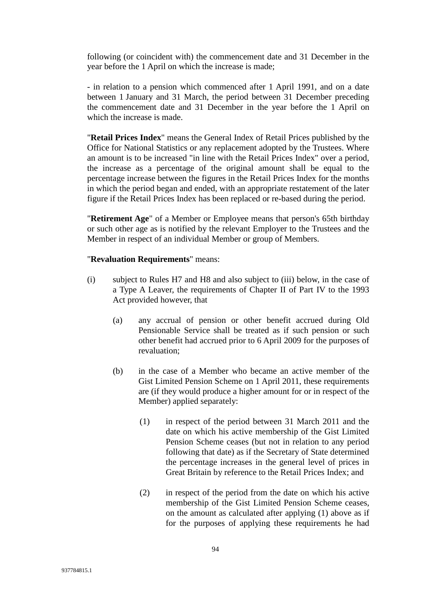following (or coincident with) the commencement date and 31 December in the year before the 1 April on which the increase is made;

- in relation to a pension which commenced after 1 April 1991, and on a date between 1 January and 31 March, the period between 31 December preceding the commencement date and 31 December in the year before the 1 April on which the increase is made.

"**Retail Prices Index**" means the General Index of Retail Prices published by the Office for National Statistics or any replacement adopted by the Trustees. Where an amount is to be increased "in line with the Retail Prices Index" over a period, the increase as a percentage of the original amount shall be equal to the percentage increase between the figures in the Retail Prices Index for the months in which the period began and ended, with an appropriate restatement of the later figure if the Retail Prices Index has been replaced or re-based during the period.

"**Retirement Age**" of a Member or Employee means that person's 65th birthday or such other age as is notified by the relevant Employer to the Trustees and the Member in respect of an individual Member or group of Members.

#### "**Revaluation Requirements**" means:

- (i) subject to Rules H7 and H8 and also subject to (iii) below, in the case of a Type A Leaver, the requirements of Chapter II of Part IV to the 1993 Act provided however, that
	- (a) any accrual of pension or other benefit accrued during Old Pensionable Service shall be treated as if such pension or such other benefit had accrued prior to 6 April 2009 for the purposes of revaluation;
	- (b) in the case of a Member who became an active member of the Gist Limited Pension Scheme on 1 April 2011, these requirements are (if they would produce a higher amount for or in respect of the Member) applied separately:
		- (1) in respect of the period between 31 March 2011 and the date on which his active membership of the Gist Limited Pension Scheme ceases (but not in relation to any period following that date) as if the Secretary of State determined the percentage increases in the general level of prices in Great Britain by reference to the Retail Prices Index; and
		- (2) in respect of the period from the date on which his active membership of the Gist Limited Pension Scheme ceases, on the amount as calculated after applying (1) above as if for the purposes of applying these requirements he had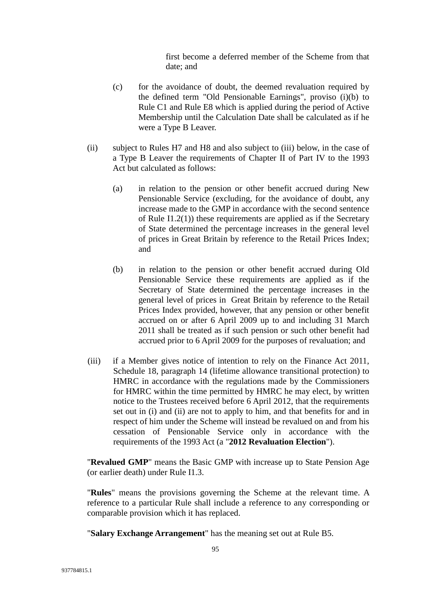first become a deferred member of the Scheme from that date; and

- (c) for the avoidance of doubt, the deemed revaluation required by the defined term "Old Pensionable Earnings", proviso (i)(b) to Rule C1 and Rule E8 which is applied during the period of Active Membership until the Calculation Date shall be calculated as if he were a Type B Leaver.
- (ii) subject to Rules H7 and H8 and also subject to (iii) below, in the case of a Type B Leaver the requirements of Chapter II of Part IV to the 1993 Act but calculated as follows:
	- (a) in relation to the pension or other benefit accrued during New Pensionable Service (excluding, for the avoidance of doubt, any increase made to the GMP in accordance with the second sentence of Rule I1.2(1)) these requirements are applied as if the Secretary of State determined the percentage increases in the general level of prices in Great Britain by reference to the Retail Prices Index; and
	- (b) in relation to the pension or other benefit accrued during Old Pensionable Service these requirements are applied as if the Secretary of State determined the percentage increases in the general level of prices in Great Britain by reference to the Retail Prices Index provided, however, that any pension or other benefit accrued on or after 6 April 2009 up to and including 31 March 2011 shall be treated as if such pension or such other benefit had accrued prior to 6 April 2009 for the purposes of revaluation; and
- (iii) if a Member gives notice of intention to rely on the Finance Act 2011, Schedule 18, paragraph 14 (lifetime allowance transitional protection) to HMRC in accordance with the regulations made by the Commissioners for HMRC within the time permitted by HMRC he may elect, by written notice to the Trustees received before 6 April 2012, that the requirements set out in (i) and (ii) are not to apply to him, and that benefits for and in respect of him under the Scheme will instead be revalued on and from his cessation of Pensionable Service only in accordance with the requirements of the 1993 Act (a "**2012 Revaluation Election**").

"**Revalued GMP**" means the Basic GMP with increase up to State Pension Age (or earlier death) under Rule I1.3.

"**Rules**" means the provisions governing the Scheme at the relevant time. A reference to a particular Rule shall include a reference to any corresponding or comparable provision which it has replaced.

"**Salary Exchange Arrangement**" has the meaning set out at Rule B5.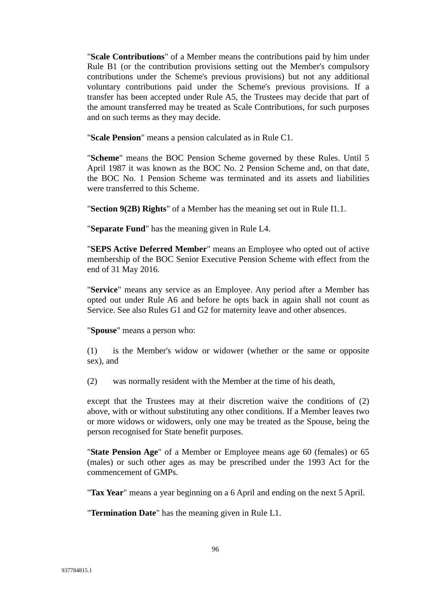"**Scale Contributions**" of a Member means the contributions paid by him under Rule B1 (or the contribution provisions setting out the Member's compulsory contributions under the Scheme's previous provisions) but not any additional voluntary contributions paid under the Scheme's previous provisions. If a transfer has been accepted under Rule A5, the Trustees may decide that part of the amount transferred may be treated as Scale Contributions, for such purposes and on such terms as they may decide.

"**Scale Pension**" means a pension calculated as in Rule C1.

"**Scheme**" means the BOC Pension Scheme governed by these Rules. Until 5 April 1987 it was known as the BOC No. 2 Pension Scheme and, on that date, the BOC No. 1 Pension Scheme was terminated and its assets and liabilities were transferred to this Scheme.

"**Section 9(2B) Rights**" of a Member has the meaning set out in Rule I1.1.

"**Separate Fund**" has the meaning given in Rule L4.

"**SEPS Active Deferred Member**" means an Employee who opted out of active membership of the BOC Senior Executive Pension Scheme with effect from the end of 31 May 2016.

"**Service**" means any service as an Employee. Any period after a Member has opted out under Rule A6 and before he opts back in again shall not count as Service. See also Rules G1 and G2 for maternity leave and other absences.

"**Spouse**" means a person who:

(1) is the Member's widow or widower (whether or the same or opposite sex), and

(2) was normally resident with the Member at the time of his death,

except that the Trustees may at their discretion waive the conditions of  $(2)$ above, with or without substituting any other conditions. If a Member leaves two or more widows or widowers, only one may be treated as the Spouse, being the person recognised for State benefit purposes.

"**State Pension Age**" of a Member or Employee means age 60 (females) or 65 (males) or such other ages as may be prescribed under the 1993 Act for the commencement of GMPs.

"**Tax Year**" means a year beginning on a 6 April and ending on the next 5 April.

"**Termination Date**" has the meaning given in Rule L1.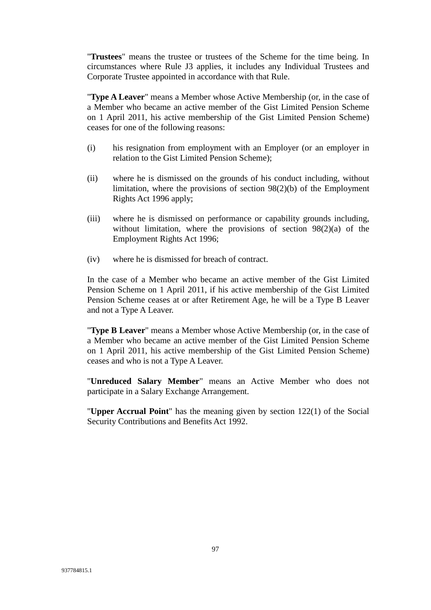"**Trustees**" means the trustee or trustees of the Scheme for the time being. In circumstances where Rule J3 applies, it includes any Individual Trustees and Corporate Trustee appointed in accordance with that Rule.

"**Type A Leaver**" means a Member whose Active Membership (or, in the case of a Member who became an active member of the Gist Limited Pension Scheme on 1 April 2011, his active membership of the Gist Limited Pension Scheme) ceases for one of the following reasons:

- (i) his resignation from employment with an Employer (or an employer in relation to the Gist Limited Pension Scheme);
- (ii) where he is dismissed on the grounds of his conduct including, without limitation, where the provisions of section 98(2)(b) of the Employment Rights Act 1996 apply;
- (iii) where he is dismissed on performance or capability grounds including, without limitation, where the provisions of section 98(2)(a) of the Employment Rights Act 1996;
- (iv) where he is dismissed for breach of contract.

In the case of a Member who became an active member of the Gist Limited Pension Scheme on 1 April 2011, if his active membership of the Gist Limited Pension Scheme ceases at or after Retirement Age, he will be a Type B Leaver and not a Type A Leaver.

"**Type B Leaver**" means a Member whose Active Membership (or, in the case of a Member who became an active member of the Gist Limited Pension Scheme on 1 April 2011, his active membership of the Gist Limited Pension Scheme) ceases and who is not a Type A Leaver.

"**Unreduced Salary Member**" means an Active Member who does not participate in a Salary Exchange Arrangement.

"**Upper Accrual Point**" has the meaning given by section 122(1) of the Social Security Contributions and Benefits Act 1992.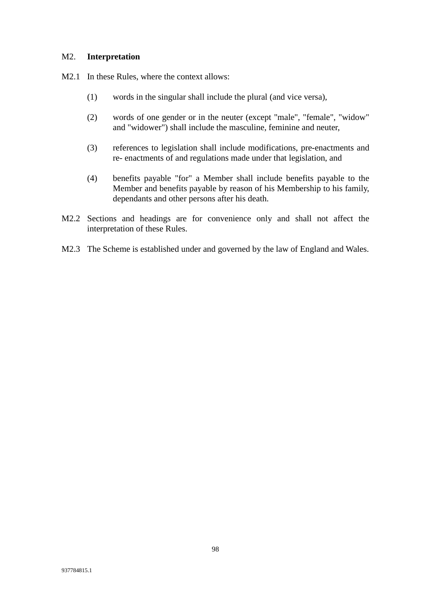#### M2. **Interpretation**

M2.1 In these Rules, where the context allows:

- (1) words in the singular shall include the plural (and vice versa),
- (2) words of one gender or in the neuter (except "male", "female", "widow" and "widower") shall include the masculine, feminine and neuter,
- (3) references to legislation shall include modifications, pre-enactments and re- enactments of and regulations made under that legislation, and
- (4) benefits payable "for" a Member shall include benefits payable to the Member and benefits payable by reason of his Membership to his family, dependants and other persons after his death.
- M2.2 Sections and headings are for convenience only and shall not affect the interpretation of these Rules.
- M2.3 The Scheme is established under and governed by the law of England and Wales.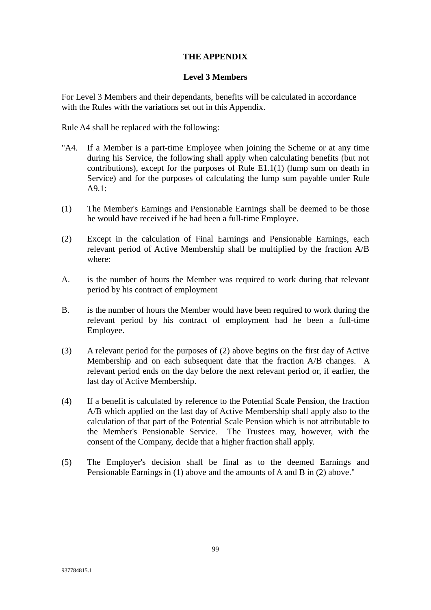## **THE APPENDIX**

## **Level 3 Members**

For Level 3 Members and their dependants, benefits will be calculated in accordance with the Rules with the variations set out in this Appendix.

Rule A4 shall be replaced with the following:

- "A4. If a Member is a part-time Employee when joining the Scheme or at any time during his Service, the following shall apply when calculating benefits (but not contributions), except for the purposes of Rule E1.1(1) (lump sum on death in Service) and for the purposes of calculating the lump sum payable under Rule  $A9.1:$
- (1) The Member's Earnings and Pensionable Earnings shall be deemed to be those he would have received if he had been a full-time Employee.
- (2) Except in the calculation of Final Earnings and Pensionable Earnings, each relevant period of Active Membership shall be multiplied by the fraction A/B where:
- A. is the number of hours the Member was required to work during that relevant period by his contract of employment
- B. is the number of hours the Member would have been required to work during the relevant period by his contract of employment had he been a full-time Employee.
- (3) A relevant period for the purposes of (2) above begins on the first day of Active Membership and on each subsequent date that the fraction A/B changes. A relevant period ends on the day before the next relevant period or, if earlier, the last day of Active Membership.
- (4) If a benefit is calculated by reference to the Potential Scale Pension, the fraction A/B which applied on the last day of Active Membership shall apply also to the calculation of that part of the Potential Scale Pension which is not attributable to the Member's Pensionable Service. The Trustees may, however, with the consent of the Company, decide that a higher fraction shall apply.
- (5) The Employer's decision shall be final as to the deemed Earnings and Pensionable Earnings in (1) above and the amounts of A and B in (2) above."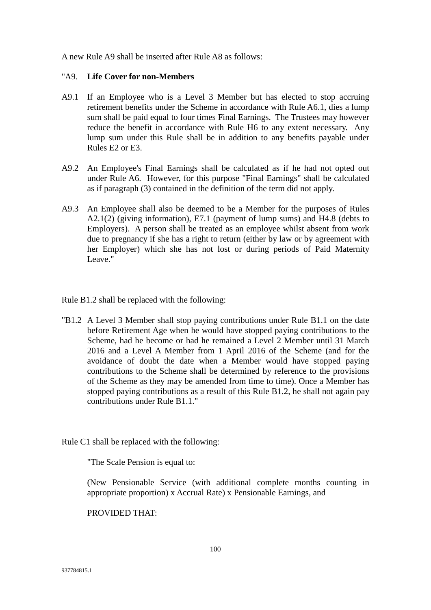A new Rule A9 shall be inserted after Rule A8 as follows:

# "A9. **Life Cover for non-Members**

- A9.1 If an Employee who is a Level 3 Member but has elected to stop accruing retirement benefits under the Scheme in accordance with Rule A6.1, dies a lump sum shall be paid equal to four times Final Earnings. The Trustees may however reduce the benefit in accordance with Rule H6 to any extent necessary. Any lump sum under this Rule shall be in addition to any benefits payable under Rules E2 or E3.
- A9.2 An Employee's Final Earnings shall be calculated as if he had not opted out under Rule A6. However, for this purpose "Final Earnings" shall be calculated as if paragraph (3) contained in the definition of the term did not apply.
- A9.3 An Employee shall also be deemed to be a Member for the purposes of Rules A2.1(2) (giving information), E7.1 (payment of lump sums) and H4.8 (debts to Employers). A person shall be treated as an employee whilst absent from work due to pregnancy if she has a right to return (either by law or by agreement with her Employer) which she has not lost or during periods of Paid Maternity Leave."

Rule B1.2 shall be replaced with the following:

"B1.2 A Level 3 Member shall stop paying contributions under Rule B1.1 on the date before Retirement Age when he would have stopped paying contributions to the Scheme, had he become or had he remained a Level 2 Member until 31 March 2016 and a Level A Member from 1 April 2016 of the Scheme (and for the avoidance of doubt the date when a Member would have stopped paying contributions to the Scheme shall be determined by reference to the provisions of the Scheme as they may be amended from time to time). Once a Member has stopped paying contributions as a result of this Rule B1.2, he shall not again pay contributions under Rule B1.1."

Rule C1 shall be replaced with the following:

"The Scale Pension is equal to:

(New Pensionable Service (with additional complete months counting in appropriate proportion) x Accrual Rate) x Pensionable Earnings, and

PROVIDED THAT: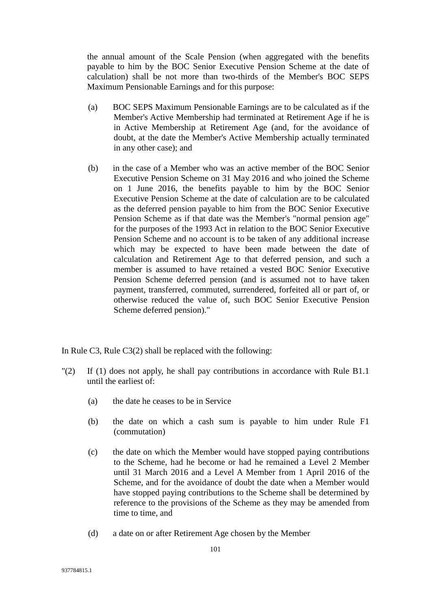the annual amount of the Scale Pension (when aggregated with the benefits payable to him by the BOC Senior Executive Pension Scheme at the date of calculation) shall be not more than two-thirds of the Member's BOC SEPS Maximum Pensionable Earnings and for this purpose:

- (a) BOC SEPS Maximum Pensionable Earnings are to be calculated as if the Member's Active Membership had terminated at Retirement Age if he is in Active Membership at Retirement Age (and, for the avoidance of doubt, at the date the Member's Active Membership actually terminated in any other case); and
- (b) in the case of a Member who was an active member of the BOC Senior Executive Pension Scheme on 31 May 2016 and who joined the Scheme on 1 June 2016, the benefits payable to him by the BOC Senior Executive Pension Scheme at the date of calculation are to be calculated as the deferred pension payable to him from the BOC Senior Executive Pension Scheme as if that date was the Member's "normal pension age" for the purposes of the 1993 Act in relation to the BOC Senior Executive Pension Scheme and no account is to be taken of any additional increase which may be expected to have been made between the date of calculation and Retirement Age to that deferred pension, and such a member is assumed to have retained a vested BOC Senior Executive Pension Scheme deferred pension (and is assumed not to have taken payment, transferred, commuted, surrendered, forfeited all or part of, or otherwise reduced the value of, such BOC Senior Executive Pension Scheme deferred pension)."

In Rule C3, Rule C3(2) shall be replaced with the following:

- "(2) If (1) does not apply, he shall pay contributions in accordance with Rule B1.1 until the earliest of:
	- (a) the date he ceases to be in Service
	- (b) the date on which a cash sum is payable to him under Rule F1 (commutation)
	- (c) the date on which the Member would have stopped paying contributions to the Scheme, had he become or had he remained a Level 2 Member until 31 March 2016 and a Level A Member from 1 April 2016 of the Scheme, and for the avoidance of doubt the date when a Member would have stopped paying contributions to the Scheme shall be determined by reference to the provisions of the Scheme as they may be amended from time to time, and
	- (d) a date on or after Retirement Age chosen by the Member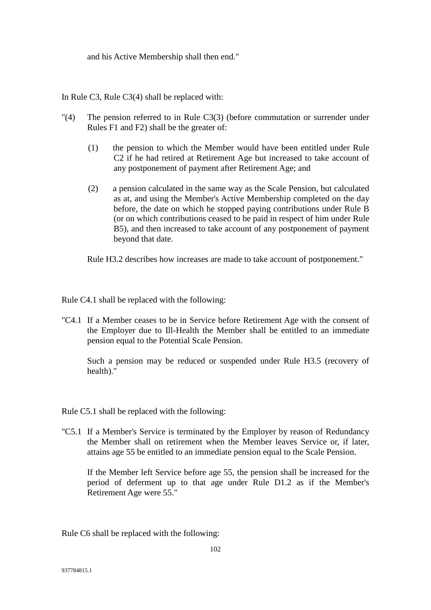and his Active Membership shall then end."

In Rule C3, Rule C3(4) shall be replaced with:

- "(4) The pension referred to in Rule C3(3) (before commutation or surrender under Rules F1 and F2) shall be the greater of:
	- (1) the pension to which the Member would have been entitled under Rule C2 if he had retired at Retirement Age but increased to take account of any postponement of payment after Retirement Age; and
	- (2) a pension calculated in the same way as the Scale Pension, but calculated as at, and using the Member's Active Membership completed on the day before, the date on which he stopped paying contributions under Rule B (or on which contributions ceased to be paid in respect of him under Rule B5), and then increased to take account of any postponement of payment beyond that date.

Rule H3.2 describes how increases are made to take account of postponement."

Rule C4.1 shall be replaced with the following:

"C4.1 If a Member ceases to be in Service before Retirement Age with the consent of the Employer due to Ill-Health the Member shall be entitled to an immediate pension equal to the Potential Scale Pension.

Such a pension may be reduced or suspended under Rule H3.5 (recovery of health)."

Rule C5.1 shall be replaced with the following:

"C5.1 If a Member's Service is terminated by the Employer by reason of Redundancy the Member shall on retirement when the Member leaves Service or, if later, attains age 55 be entitled to an immediate pension equal to the Scale Pension.

If the Member left Service before age 55, the pension shall be increased for the period of deferment up to that age under Rule D1.2 as if the Member's Retirement Age were 55."

Rule C6 shall be replaced with the following: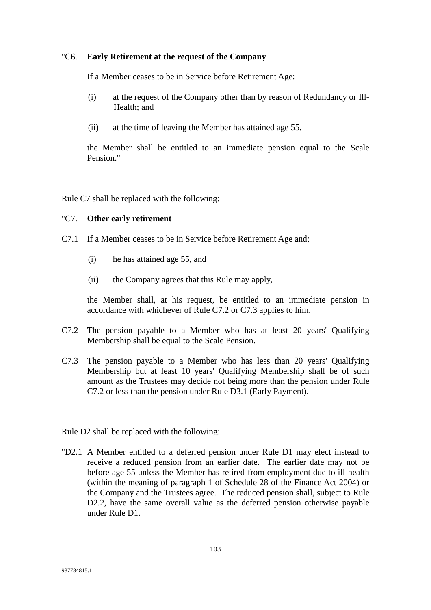#### "C6. **Early Retirement at the request of the Company**

If a Member ceases to be in Service before Retirement Age:

- (i) at the request of the Company other than by reason of Redundancy or Ill-Health; and
- (ii) at the time of leaving the Member has attained age 55,

the Member shall be entitled to an immediate pension equal to the Scale Pension."

Rule C7 shall be replaced with the following:

#### "C7. **Other early retirement**

- C7.1 If a Member ceases to be in Service before Retirement Age and;
	- (i) he has attained age 55, and
	- (ii) the Company agrees that this Rule may apply,

the Member shall, at his request, be entitled to an immediate pension in accordance with whichever of Rule C7.2 or C7.3 applies to him.

- C7.2 The pension payable to a Member who has at least 20 years' Qualifying Membership shall be equal to the Scale Pension.
- C7.3 The pension payable to a Member who has less than 20 years' Qualifying Membership but at least 10 years' Qualifying Membership shall be of such amount as the Trustees may decide not being more than the pension under Rule C7.2 or less than the pension under Rule D3.1 (Early Payment).

Rule D2 shall be replaced with the following:

"D2.1 A Member entitled to a deferred pension under Rule D1 may elect instead to receive a reduced pension from an earlier date. The earlier date may not be before age 55 unless the Member has retired from employment due to ill-health (within the meaning of paragraph 1 of Schedule 28 of the Finance Act 2004) or the Company and the Trustees agree. The reduced pension shall, subject to Rule D2.2, have the same overall value as the deferred pension otherwise payable under Rule D1.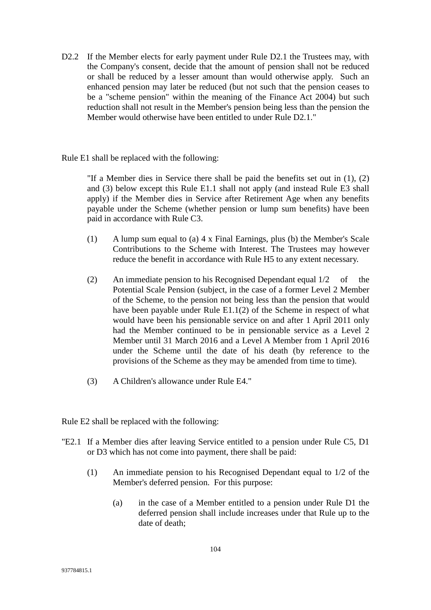D2.2 If the Member elects for early payment under Rule D2.1 the Trustees may, with the Company's consent, decide that the amount of pension shall not be reduced or shall be reduced by a lesser amount than would otherwise apply. Such an enhanced pension may later be reduced (but not such that the pension ceases to be a "scheme pension" within the meaning of the Finance Act 2004) but such reduction shall not result in the Member's pension being less than the pension the Member would otherwise have been entitled to under Rule D2.1."

Rule E1 shall be replaced with the following:

"If a Member dies in Service there shall be paid the benefits set out in (1), (2) and (3) below except this Rule E1.1 shall not apply (and instead Rule E3 shall apply) if the Member dies in Service after Retirement Age when any benefits payable under the Scheme (whether pension or lump sum benefits) have been paid in accordance with Rule C3.

- (1) A lump sum equal to (a) 4 x Final Earnings, plus (b) the Member's Scale Contributions to the Scheme with Interest. The Trustees may however reduce the benefit in accordance with Rule H5 to any extent necessary.
- (2) An immediate pension to his Recognised Dependant equal 1/2 of the Potential Scale Pension (subject, in the case of a former Level 2 Member of the Scheme, to the pension not being less than the pension that would have been payable under Rule E1.1(2) of the Scheme in respect of what would have been his pensionable service on and after 1 April 2011 only had the Member continued to be in pensionable service as a Level 2 Member until 31 March 2016 and a Level A Member from 1 April 2016 under the Scheme until the date of his death (by reference to the provisions of the Scheme as they may be amended from time to time).
- (3) A Children's allowance under Rule E4."

Rule E2 shall be replaced with the following:

- "E2.1 If a Member dies after leaving Service entitled to a pension under Rule C5, D1 or D3 which has not come into payment, there shall be paid:
	- (1) An immediate pension to his Recognised Dependant equal to 1/2 of the Member's deferred pension. For this purpose:
		- (a) in the case of a Member entitled to a pension under Rule D1 the deferred pension shall include increases under that Rule up to the date of death;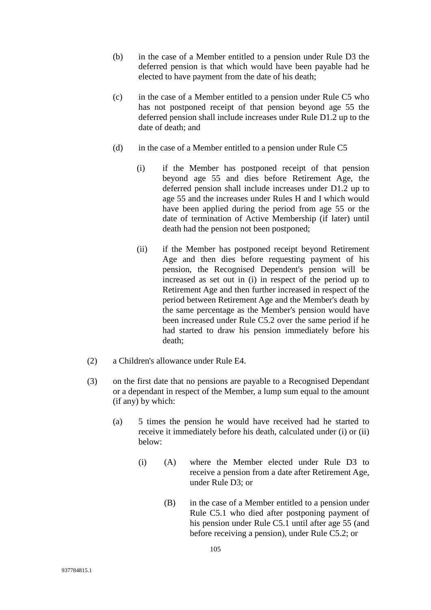- (b) in the case of a Member entitled to a pension under Rule D3 the deferred pension is that which would have been payable had he elected to have payment from the date of his death;
- (c) in the case of a Member entitled to a pension under Rule C5 who has not postponed receipt of that pension beyond age 55 the deferred pension shall include increases under Rule D1.2 up to the date of death; and
- (d) in the case of a Member entitled to a pension under Rule C5
	- (i) if the Member has postponed receipt of that pension beyond age 55 and dies before Retirement Age, the deferred pension shall include increases under D1.2 up to age 55 and the increases under Rules H and I which would have been applied during the period from age 55 or the date of termination of Active Membership (if later) until death had the pension not been postponed;
	- (ii) if the Member has postponed receipt beyond Retirement Age and then dies before requesting payment of his pension, the Recognised Dependent's pension will be increased as set out in (i) in respect of the period up to Retirement Age and then further increased in respect of the period between Retirement Age and the Member's death by the same percentage as the Member's pension would have been increased under Rule C5.2 over the same period if he had started to draw his pension immediately before his death;
- (2) a Children's allowance under Rule E4.
- (3) on the first date that no pensions are payable to a Recognised Dependant or a dependant in respect of the Member, a lump sum equal to the amount (if any) by which:
	- (a) 5 times the pension he would have received had he started to receive it immediately before his death, calculated under (i) or (ii) below:
		- (i) (A) where the Member elected under Rule D3 to receive a pension from a date after Retirement Age, under Rule D3; or
			- (B) in the case of a Member entitled to a pension under Rule C5.1 who died after postponing payment of his pension under Rule C5.1 until after age 55 (and before receiving a pension), under Rule C5.2; or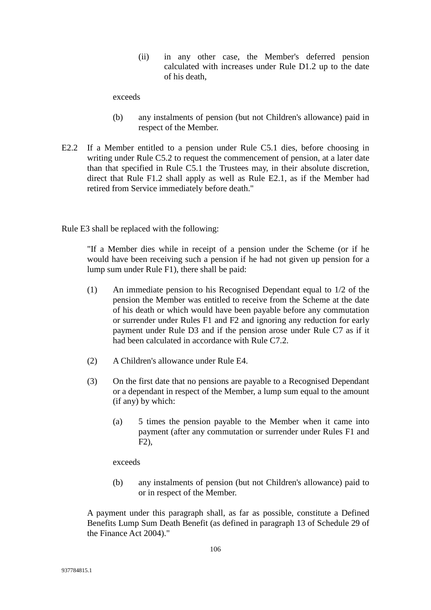(ii) in any other case, the Member's deferred pension calculated with increases under Rule D1.2 up to the date of his death,

exceeds

- (b) any instalments of pension (but not Children's allowance) paid in respect of the Member.
- E2.2 If a Member entitled to a pension under Rule C5.1 dies, before choosing in writing under Rule C5.2 to request the commencement of pension, at a later date than that specified in Rule C5.1 the Trustees may, in their absolute discretion, direct that Rule F1.2 shall apply as well as Rule E2.1, as if the Member had retired from Service immediately before death."

Rule E3 shall be replaced with the following:

"If a Member dies while in receipt of a pension under the Scheme (or if he would have been receiving such a pension if he had not given up pension for a lump sum under Rule F1), there shall be paid:

- (1) An immediate pension to his Recognised Dependant equal to 1/2 of the pension the Member was entitled to receive from the Scheme at the date of his death or which would have been payable before any commutation or surrender under Rules F1 and F2 and ignoring any reduction for early payment under Rule D3 and if the pension arose under Rule C7 as if it had been calculated in accordance with Rule C7.2.
- (2) A Children's allowance under Rule E4.
- (3) On the first date that no pensions are payable to a Recognised Dependant or a dependant in respect of the Member, a lump sum equal to the amount (if any) by which:
	- (a) 5 times the pension payable to the Member when it came into payment (after any commutation or surrender under Rules F1 and F2),

exceeds

(b) any instalments of pension (but not Children's allowance) paid to or in respect of the Member.

A payment under this paragraph shall, as far as possible, constitute a Defined Benefits Lump Sum Death Benefit (as defined in paragraph 13 of Schedule 29 of the Finance Act 2004)."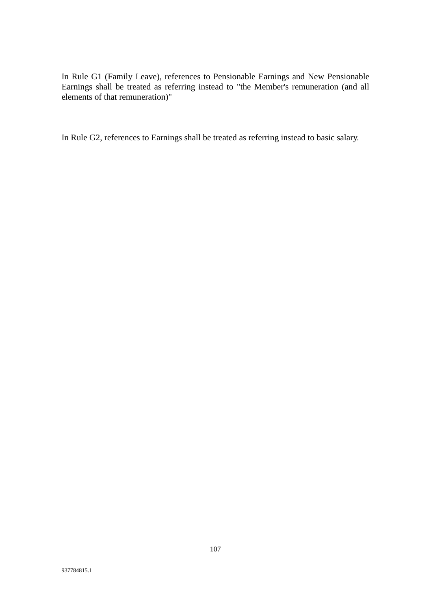In Rule G1 (Family Leave), references to Pensionable Earnings and New Pensionable Earnings shall be treated as referring instead to "the Member's remuneration (and all elements of that remuneration)"

In Rule G2, references to Earnings shall be treated as referring instead to basic salary.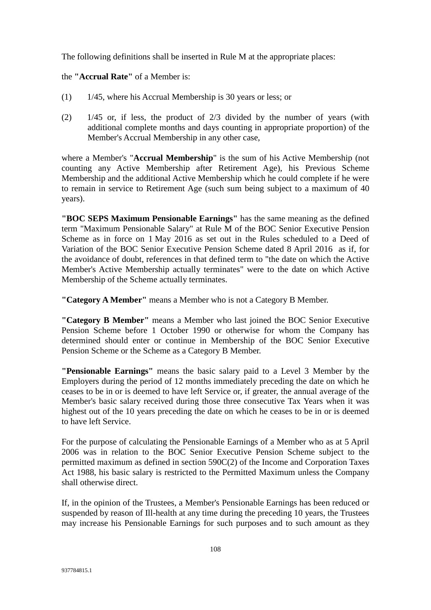The following definitions shall be inserted in Rule M at the appropriate places:

the **"Accrual Rate"** of a Member is:

- (1) 1/45, where his Accrual Membership is 30 years or less; or
- (2) 1/45 or, if less, the product of 2/3 divided by the number of years (with additional complete months and days counting in appropriate proportion) of the Member's Accrual Membership in any other case,

where a Member's "**Accrual Membership**" is the sum of his Active Membership (not counting any Active Membership after Retirement Age), his Previous Scheme Membership and the additional Active Membership which he could complete if he were to remain in service to Retirement Age (such sum being subject to a maximum of 40 years).

**"BOC SEPS Maximum Pensionable Earnings"** has the same meaning as the defined term "Maximum Pensionable Salary" at Rule M of the BOC Senior Executive Pension Scheme as in force on 1 May 2016 as set out in the Rules scheduled to a Deed of Variation of the BOC Senior Executive Pension Scheme dated 8 April 2016 as if, for the avoidance of doubt, references in that defined term to "the date on which the Active Member's Active Membership actually terminates" were to the date on which Active Membership of the Scheme actually terminates.

**"Category A Member"** means a Member who is not a Category B Member.

**"Category B Member"** means a Member who last joined the BOC Senior Executive Pension Scheme before 1 October 1990 or otherwise for whom the Company has determined should enter or continue in Membership of the BOC Senior Executive Pension Scheme or the Scheme as a Category B Member.

**"Pensionable Earnings"** means the basic salary paid to a Level 3 Member by the Employers during the period of 12 months immediately preceding the date on which he ceases to be in or is deemed to have left Service or, if greater, the annual average of the Member's basic salary received during those three consecutive Tax Years when it was highest out of the 10 years preceding the date on which he ceases to be in or is deemed to have left Service.

For the purpose of calculating the Pensionable Earnings of a Member who as at 5 April 2006 was in relation to the BOC Senior Executive Pension Scheme subject to the permitted maximum as defined in section 590C(2) of the Income and Corporation Taxes Act 1988, his basic salary is restricted to the Permitted Maximum unless the Company shall otherwise direct.

If, in the opinion of the Trustees, a Member's Pensionable Earnings has been reduced or suspended by reason of Ill-health at any time during the preceding 10 years, the Trustees may increase his Pensionable Earnings for such purposes and to such amount as they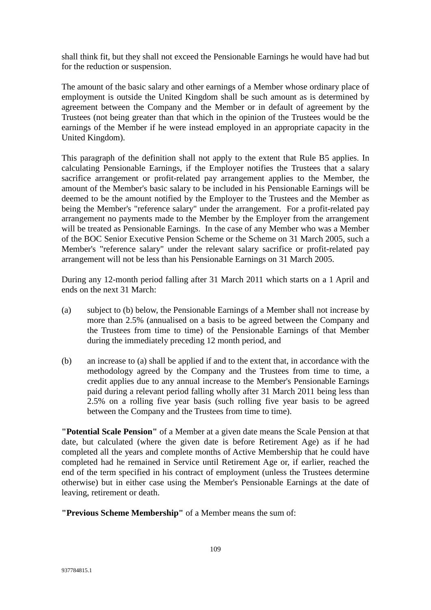shall think fit, but they shall not exceed the Pensionable Earnings he would have had but for the reduction or suspension.

The amount of the basic salary and other earnings of a Member whose ordinary place of employment is outside the United Kingdom shall be such amount as is determined by agreement between the Company and the Member or in default of agreement by the Trustees (not being greater than that which in the opinion of the Trustees would be the earnings of the Member if he were instead employed in an appropriate capacity in the United Kingdom).

This paragraph of the definition shall not apply to the extent that Rule B5 applies. In calculating Pensionable Earnings, if the Employer notifies the Trustees that a salary sacrifice arrangement or profit-related pay arrangement applies to the Member, the amount of the Member's basic salary to be included in his Pensionable Earnings will be deemed to be the amount notified by the Employer to the Trustees and the Member as being the Member's "reference salary" under the arrangement. For a profit-related pay arrangement no payments made to the Member by the Employer from the arrangement will be treated as Pensionable Earnings. In the case of any Member who was a Member of the BOC Senior Executive Pension Scheme or the Scheme on 31 March 2005, such a Member's "reference salary" under the relevant salary sacrifice or profit-related pay arrangement will not be less than his Pensionable Earnings on 31 March 2005.

During any 12-month period falling after 31 March 2011 which starts on a 1 April and ends on the next 31 March:

- (a) subject to (b) below, the Pensionable Earnings of a Member shall not increase by more than 2.5% (annualised on a basis to be agreed between the Company and the Trustees from time to time) of the Pensionable Earnings of that Member during the immediately preceding 12 month period, and
- (b) an increase to (a) shall be applied if and to the extent that, in accordance with the methodology agreed by the Company and the Trustees from time to time, a credit applies due to any annual increase to the Member's Pensionable Earnings paid during a relevant period falling wholly after 31 March 2011 being less than 2.5% on a rolling five year basis (such rolling five year basis to be agreed between the Company and the Trustees from time to time).

**"Potential Scale Pension"** of a Member at a given date means the Scale Pension at that date, but calculated (where the given date is before Retirement Age) as if he had completed all the years and complete months of Active Membership that he could have completed had he remained in Service until Retirement Age or, if earlier, reached the end of the term specified in his contract of employment (unless the Trustees determine otherwise) but in either case using the Member's Pensionable Earnings at the date of leaving, retirement or death.

**"Previous Scheme Membership"** of a Member means the sum of: